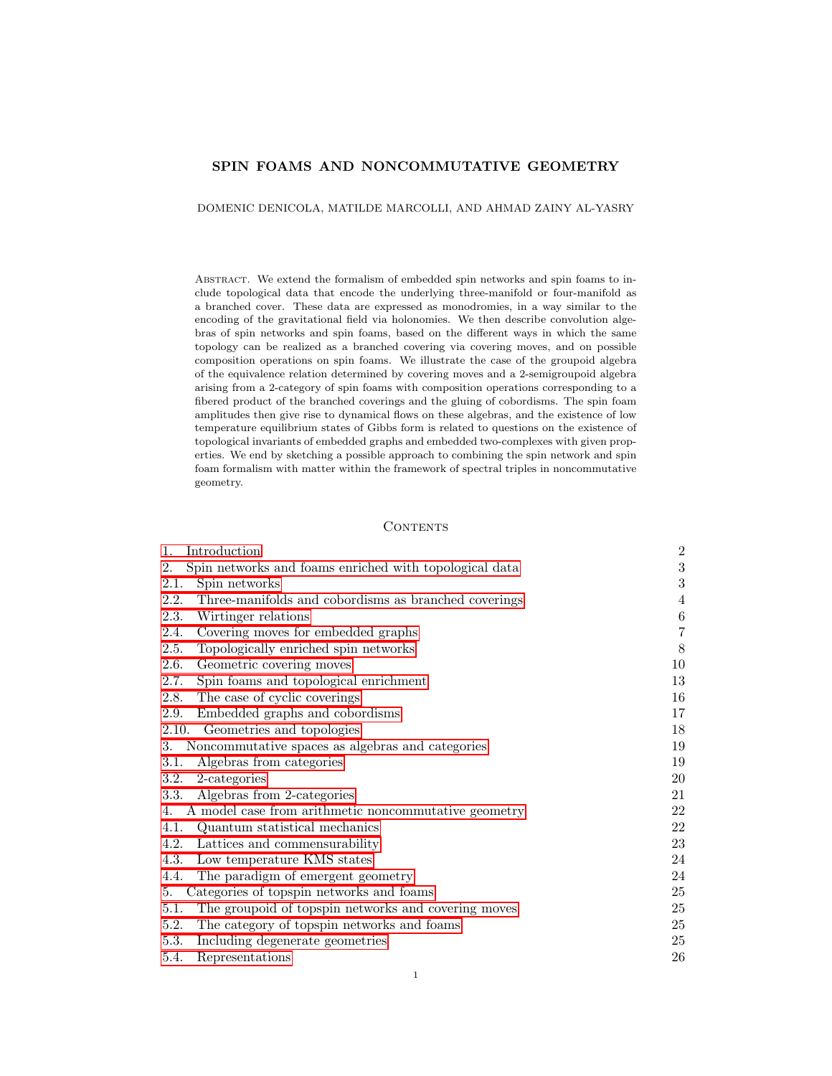## SPIN FOAMS AND NONCOMMUTATIVE GEOMETRY

DOMENIC DENICOLA, MATILDE MARCOLLI, AND AHMAD ZAINY AL-YASRY

Abstract. We extend the formalism of embedded spin networks and spin foams to include topological data that encode the underlying three-manifold or four-manifold as a branched cover. These data are expressed as monodromies, in a way similar to the encoding of the gravitational field via holonomies. We then describe convolution algebras of spin networks and spin foams, based on the different ways in which the same topology can be realized as a branched covering via covering moves, and on possible composition operations on spin foams. We illustrate the case of the groupoid algebra of the equivalence relation determined by covering moves and a 2-semigroupoid algebra arising from a 2-category of spin foams with composition operations corresponding to a fibered product of the branched coverings and the gluing of cobordisms. The spin foam amplitudes then give rise to dynamical flows on these algebras, and the existence of low temperature equilibrium states of Gibbs form is related to questions on the existence of topological invariants of embedded graphs and embedded two-complexes with given properties. We end by sketching a possible approach to combining the spin network and spin foam formalism with matter within the framework of spectral triples in noncommutative geometry.

#### **CONTENTS**

| $\mathbf{1}$ .<br>Introduction                               | $\overline{2}$   |
|--------------------------------------------------------------|------------------|
| Spin networks and foams enriched with topological data<br>2. | 3                |
| 2.1.<br>Spin networks                                        | $\boldsymbol{3}$ |
| 2.2.<br>Three-manifolds and cobordisms as branched coverings | 4                |
| 2.3.<br>Wirtinger relations                                  | $\,6\,$          |
| Covering moves for embedded graphs<br>2.4.                   | $\,7$            |
| Topologically enriched spin networks<br>2.5.                 | $8\,$            |
| Geometric covering moves<br>2.6.                             | 10               |
| 2.7.<br>Spin foams and topological enrichment                | 13               |
| The case of cyclic coverings<br>2.8.                         | 16               |
| 2.9. Embedded graphs and cobordisms                          | 17               |
| 2.10. Geometries and topologies                              | 18               |
| Noncommutative spaces as algebras and categories<br>3.       | 19               |
| Algebras from categories<br>3.1.                             | 19               |
| 3.2.<br>2-categories                                         | 20               |
| Algebras from 2-categories<br>3.3.                           | 21               |
| A model case from arithmetic noncommutative geometry<br>4.   | 22               |
| 4.1.<br>Quantum statistical mechanics                        | 22               |
| 4.2.<br>Lattices and commensurability                        | 23               |
| 4.3.<br>Low temperature KMS states                           | 24               |
| The paradigm of emergent geometry<br>4.4.                    | 24               |
| Categories of topspin networks and foams<br>5.               | 25               |
| The groupoid of topspin networks and covering moves<br>5.1.  | 25               |
| The category of topspin networks and foams<br>5.2.           | 25               |
| 5.3.<br>Including degenerate geometries                      | 25               |
| 5.4.<br>Representations                                      | 26               |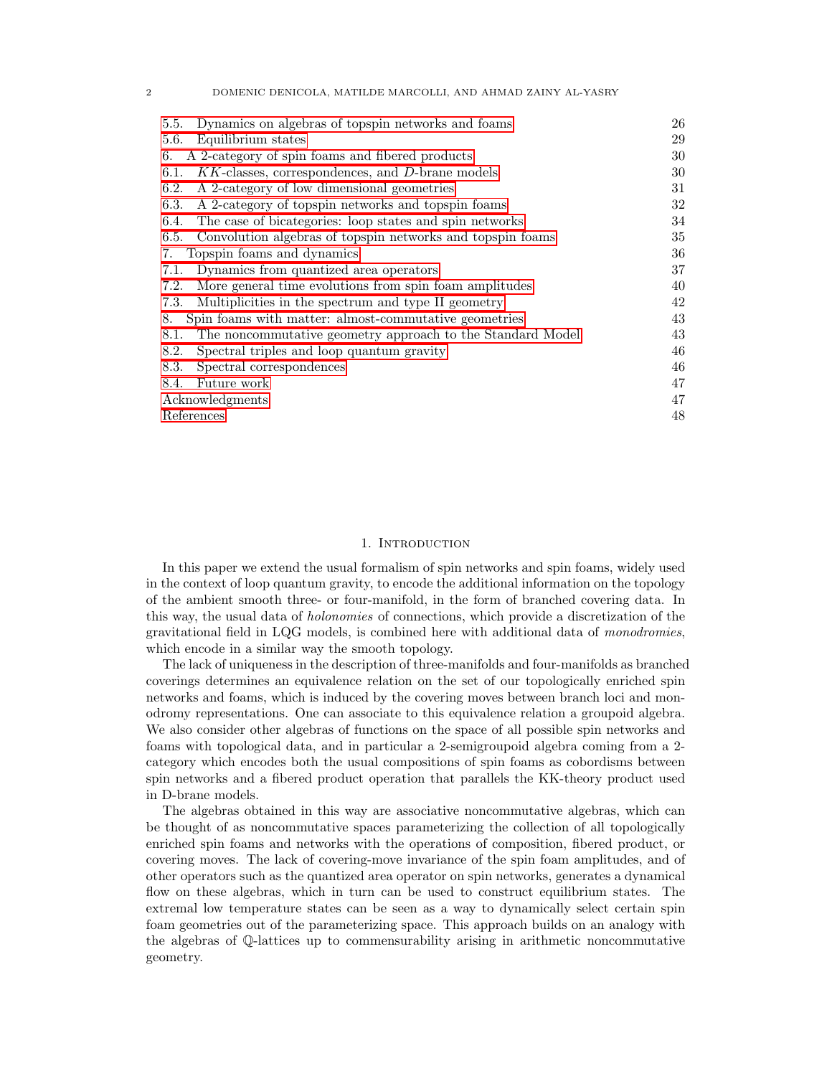| Dynamics on algebras of topspin networks and foams<br>5.5.         | 26 |
|--------------------------------------------------------------------|----|
| Equilibrium states<br>5.6.                                         | 29 |
| A 2-category of spin foams and fibered products<br>6.              | 30 |
| $KK$ -classes, correspondences, and $D$ -brane models<br>6.1.      | 30 |
| A 2-category of low dimensional geometries<br>6.2.                 | 31 |
| A 2-category of topspin networks and topspin foams<br>6.3.         | 32 |
| The case of bicategories: loop states and spin networks<br>6.4.    | 34 |
| Convolution algebras of topspin networks and topspin foams<br>6.5. | 35 |
| Topspin foams and dynamics<br>7.                                   | 36 |
| Dynamics from quantized area operators<br>7.1.                     | 37 |
| More general time evolutions from spin foam amplitudes<br>7.2.     | 40 |
| Multiplicities in the spectrum and type II geometry<br>7.3.        | 42 |
| Spin foams with matter: almost-commutative geometries<br>8.        | 43 |
| The noncommutative geometry approach to the Standard Model<br>8.1. | 43 |
| 8.2.<br>Spectral triples and loop quantum gravity                  | 46 |
| Spectral correspondences<br>8.3.                                   | 46 |
| Future work<br>8.4.                                                | 47 |
| Acknowledgments                                                    | 47 |
| References                                                         | 48 |
|                                                                    |    |

2 DOMENIC DENICOLA, MATILDE MARCOLLI, AND AHMAD ZAINY AL-YASRY

# 1. INTRODUCTION

<span id="page-1-0"></span>In this paper we extend the usual formalism of spin networks and spin foams, widely used in the context of loop quantum gravity, to encode the additional information on the topology of the ambient smooth three- or four-manifold, in the form of branched covering data. In this way, the usual data of holonomies of connections, which provide a discretization of the gravitational field in LQG models, is combined here with additional data of monodromies, which encode in a similar way the smooth topology.

The lack of uniqueness in the description of three-manifolds and four-manifolds as branched coverings determines an equivalence relation on the set of our topologically enriched spin networks and foams, which is induced by the covering moves between branch loci and monodromy representations. One can associate to this equivalence relation a groupoid algebra. We also consider other algebras of functions on the space of all possible spin networks and foams with topological data, and in particular a 2-semigroupoid algebra coming from a 2 category which encodes both the usual compositions of spin foams as cobordisms between spin networks and a fibered product operation that parallels the KK-theory product used in D-brane models.

The algebras obtained in this way are associative noncommutative algebras, which can be thought of as noncommutative spaces parameterizing the collection of all topologically enriched spin foams and networks with the operations of composition, fibered product, or covering moves. The lack of covering-move invariance of the spin foam amplitudes, and of other operators such as the quantized area operator on spin networks, generates a dynamical flow on these algebras, which in turn can be used to construct equilibrium states. The extremal low temperature states can be seen as a way to dynamically select certain spin foam geometries out of the parameterizing space. This approach builds on an analogy with the algebras of Q-lattices up to commensurability arising in arithmetic noncommutative geometry.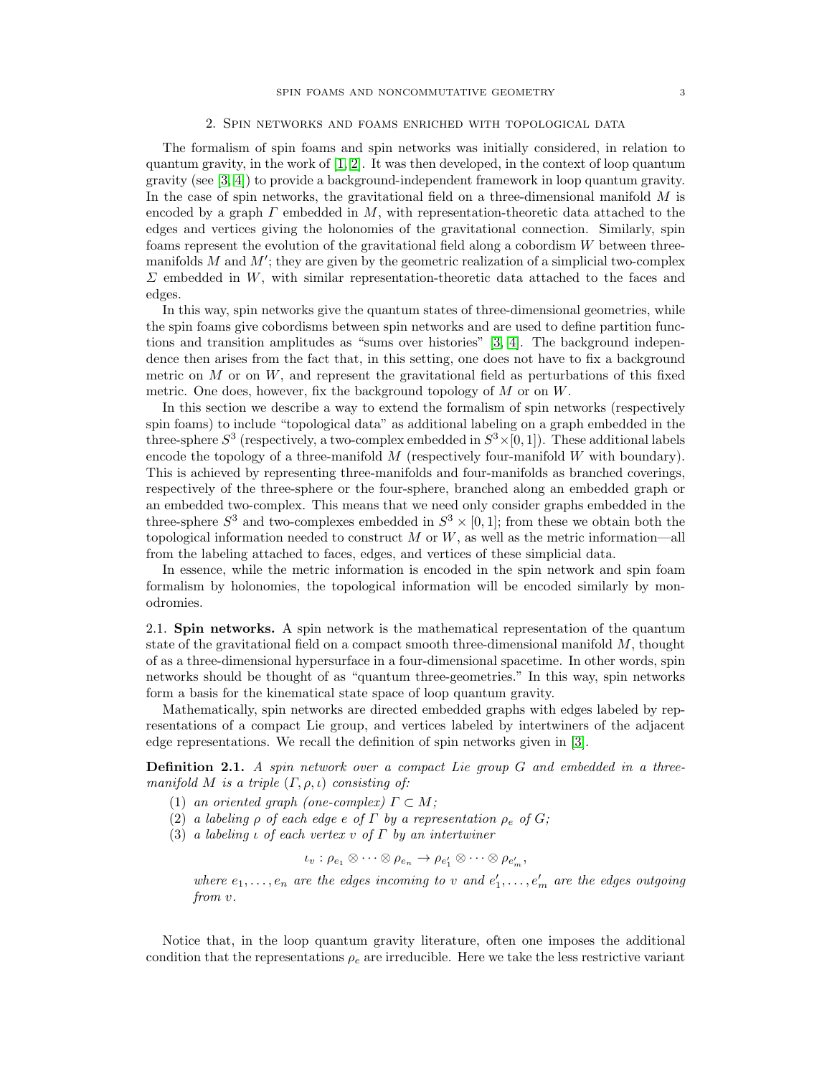#### 2. Spin networks and foams enriched with topological data

<span id="page-2-0"></span>The formalism of spin foams and spin networks was initially considered, in relation to quantum gravity, in the work of  $[1, 2]$  $[1, 2]$ . It was then developed, in the context of loop quantum gravity (see [\[3,](#page-47-3) [4\]](#page-47-4)) to provide a background-independent framework in loop quantum gravity. In the case of spin networks, the gravitational field on a three-dimensional manifold  $M$  is encoded by a graph  $\Gamma$  embedded in  $M$ , with representation-theoretic data attached to the edges and vertices giving the holonomies of the gravitational connection. Similarly, spin foams represent the evolution of the gravitational field along a cobordism W between threemanifolds  $M$  and  $M'$ ; they are given by the geometric realization of a simplicial two-complex  $\Sigma$  embedded in W, with similar representation-theoretic data attached to the faces and edges.

In this way, spin networks give the quantum states of three-dimensional geometries, while the spin foams give cobordisms between spin networks and are used to define partition functions and transition amplitudes as "sums over histories" [\[3,](#page-47-3) [4\]](#page-47-4). The background independence then arises from the fact that, in this setting, one does not have to fix a background metric on  $M$  or on  $W$ , and represent the gravitational field as perturbations of this fixed metric. One does, however, fix the background topology of  $M$  or on  $W$ .

In this section we describe a way to extend the formalism of spin networks (respectively spin foams) to include "topological data" as additional labeling on a graph embedded in the three-sphere  $S^3$  (respectively, a two-complex embedded in  $S^3 \times [0, 1]$ ). These additional labels encode the topology of a three-manifold  $M$  (respectively four-manifold  $W$  with boundary). This is achieved by representing three-manifolds and four-manifolds as branched coverings, respectively of the three-sphere or the four-sphere, branched along an embedded graph or an embedded two-complex. This means that we need only consider graphs embedded in the three-sphere  $S^3$  and two-complexes embedded in  $S^3 \times [0,1]$ ; from these we obtain both the topological information needed to construct  $M$  or  $W$ , as well as the metric information—all from the labeling attached to faces, edges, and vertices of these simplicial data.

In essence, while the metric information is encoded in the spin network and spin foam formalism by holonomies, the topological information will be encoded similarly by monodromies.

<span id="page-2-1"></span>2.1. Spin networks. A spin network is the mathematical representation of the quantum state of the gravitational field on a compact smooth three-dimensional manifold  $M$ , thought of as a three-dimensional hypersurface in a four-dimensional spacetime. In other words, spin networks should be thought of as "quantum three-geometries." In this way, spin networks form a basis for the kinematical state space of loop quantum gravity.

Mathematically, spin networks are directed embedded graphs with edges labeled by representations of a compact Lie group, and vertices labeled by intertwiners of the adjacent edge representations. We recall the definition of spin networks given in [\[3\]](#page-47-3).

<span id="page-2-2"></span>Definition 2.1. A spin network over a compact Lie group G and embedded in a threemanifold M is a triple  $(\Gamma, \rho, \iota)$  consisting of:

- (1) an oriented graph (one-complex)  $\Gamma \subset M$ ;
- (2) a labeling  $\rho$  of each edge e of  $\Gamma$  by a representation  $\rho_e$  of  $G$ ;
- (3) a labeling  $\iota$  of each vertex  $\iota$  of  $\Gamma$  by an intertwiner

 $\iota_v : \rho_{e_1} \otimes \cdots \otimes \rho_{e_n} \to \rho_{e'_1} \otimes \cdots \otimes \rho_{e'_m},$ 

where  $e_1, \ldots, e_n$  are the edges incoming to v and  $e'_1, \ldots, e'_m$  are the edges outgoing from v.

Notice that, in the loop quantum gravity literature, often one imposes the additional condition that the representations  $\rho_e$  are irreducible. Here we take the less restrictive variant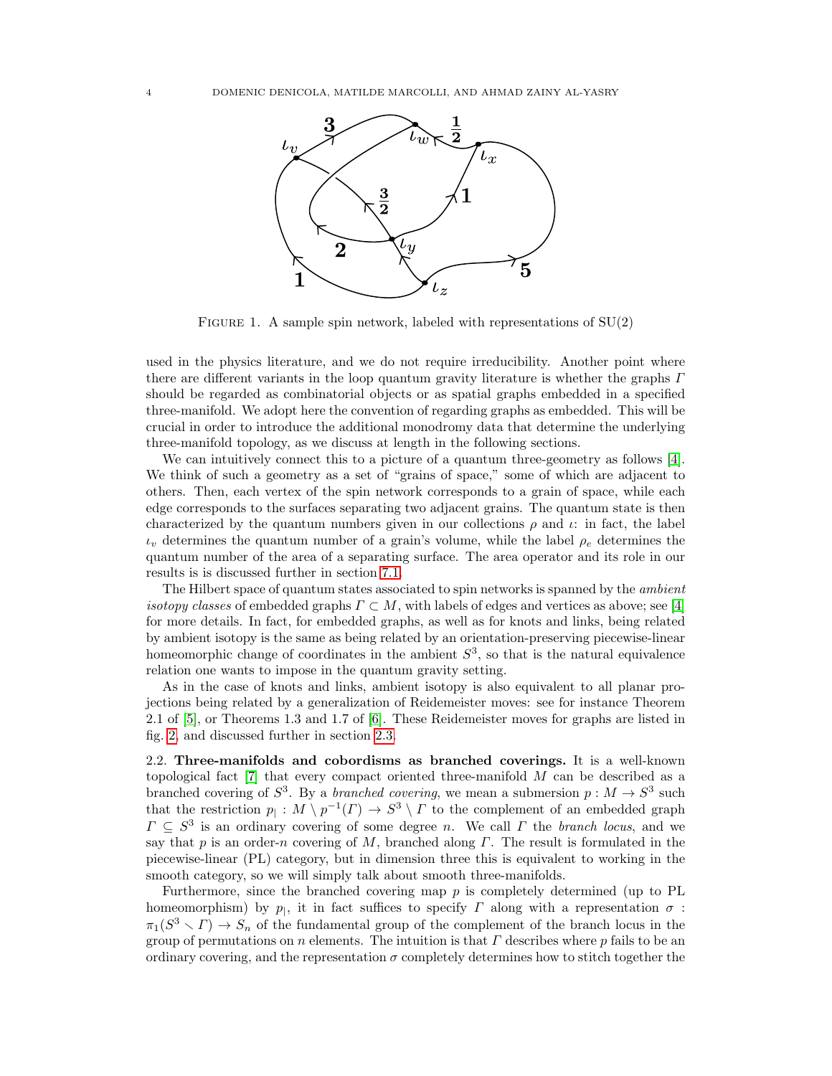

FIGURE 1. A sample spin network, labeled with representations of  $SU(2)$ 

used in the physics literature, and we do not require irreducibility. Another point where there are different variants in the loop quantum gravity literature is whether the graphs  $\Gamma$ should be regarded as combinatorial objects or as spatial graphs embedded in a specified three-manifold. We adopt here the convention of regarding graphs as embedded. This will be crucial in order to introduce the additional monodromy data that determine the underlying three-manifold topology, as we discuss at length in the following sections.

We can intuitively connect this to a picture of a quantum three-geometry as follows [\[4\]](#page-47-4). We think of such a geometry as a set of "grains of space," some of which are adjacent to others. Then, each vertex of the spin network corresponds to a grain of space, while each edge corresponds to the surfaces separating two adjacent grains. The quantum state is then characterized by the quantum numbers given in our collections  $\rho$  and  $\iota$ : in fact, the label  $\iota_v$  determines the quantum number of a grain's volume, while the label  $\rho_e$  determines the quantum number of the area of a separating surface. The area operator and its role in our results is is discussed further in section [7.1.](#page-36-0)

The Hilbert space of quantum states associated to spin networks is spanned by the *ambient isotopy classes* of embedded graphs  $\Gamma \subset M$ , with labels of edges and vertices as above; see [\[4\]](#page-47-4) for more details. In fact, for embedded graphs, as well as for knots and links, being related by ambient isotopy is the same as being related by an orientation-preserving piecewise-linear homeomorphic change of coordinates in the ambient  $S^3$ , so that is the natural equivalence relation one wants to impose in the quantum gravity setting.

As in the case of knots and links, ambient isotopy is also equivalent to all planar projections being related by a generalization of Reidemeister moves: see for instance Theorem 2.1 of [\[5\]](#page-47-5), or Theorems 1.3 and 1.7 of [\[6\]](#page-47-6). These Reidemeister moves for graphs are listed in fig. [2,](#page-4-0) and discussed further in section [2.3.](#page-5-0)

<span id="page-3-0"></span>2.2. Three-manifolds and cobordisms as branched coverings. It is a well-known topological fact  $[7]$  that every compact oriented three-manifold M can be described as a branched covering of  $S^3$ . By a *branched covering*, we mean a submersion  $p : M \to S^3$  such that the restriction  $p_1: M \setminus p^{-1}(\Gamma) \to S^3 \setminus \Gamma$  to the complement of an embedded graph  $\Gamma \subseteq S^3$  is an ordinary covering of some degree n. We call  $\Gamma$  the branch locus, and we say that p is an order-n covering of M, branched along  $\Gamma$ . The result is formulated in the piecewise-linear (PL) category, but in dimension three this is equivalent to working in the smooth category, so we will simply talk about smooth three-manifolds.

Furthermore, since the branched covering map  $p$  is completely determined (up to PL homeomorphism) by  $p_{\parallel}$ , it in fact suffices to specify  $\Gamma$  along with a representation  $\sigma$ :  $\pi_1(S^3 \setminus \Gamma) \to S_n$  of the fundamental group of the complement of the branch locus in the group of permutations on n elements. The intuition is that  $\Gamma$  describes where p fails to be an ordinary covering, and the representation  $\sigma$  completely determines how to stitch together the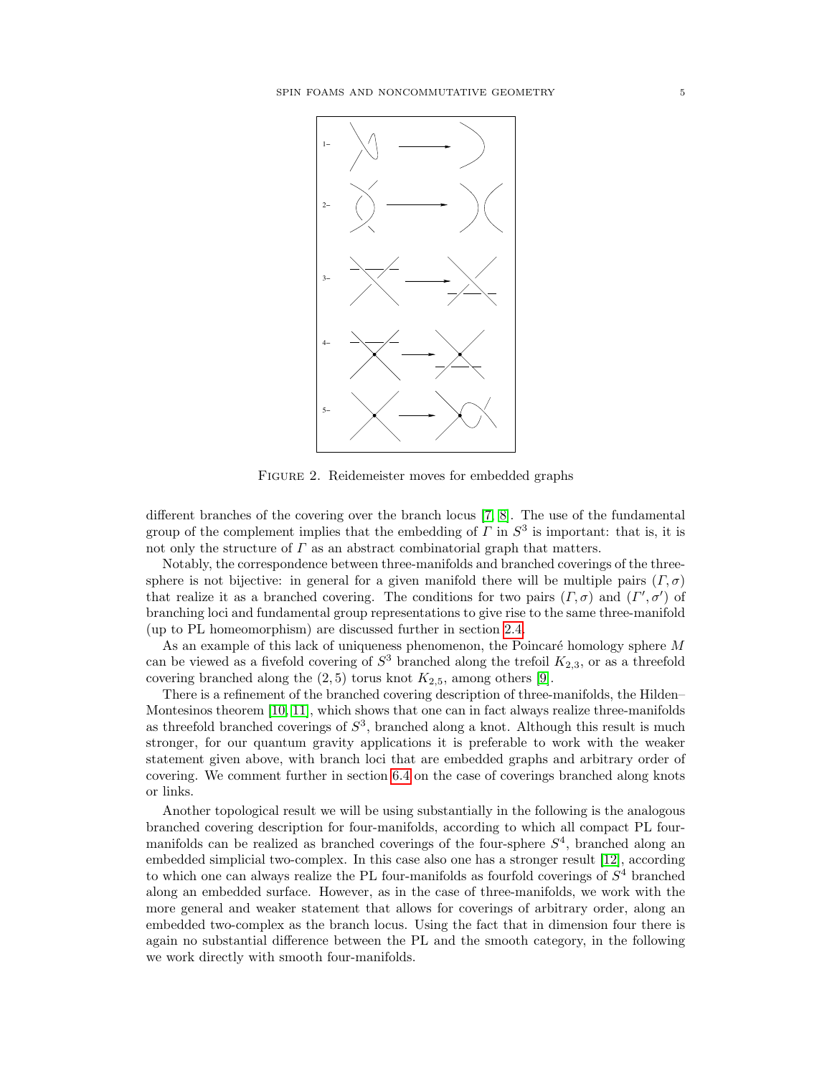<span id="page-4-0"></span>

FIGURE 2. Reidemeister moves for embedded graphs

different branches of the covering over the branch locus [\[7,](#page-47-7) [8\]](#page-47-8). The use of the fundamental group of the complement implies that the embedding of  $\Gamma$  in  $S^3$  is important: that is, it is not only the structure of  $\Gamma$  as an abstract combinatorial graph that matters.

sphere is not bijective: in general for a given manifold there will be multiple pairs  $(\Gamma, \sigma)$ branching loci and fundamental group representations to give rise to the same three-manifold Notably, the correspondence between three-manifolds and branched coverings of the threethat realize it as a branched covering. The conditions for two pairs  $(\Gamma, \sigma)$  and  $(\Gamma', \sigma')$  of (up to PL homeomorphism) are discussed further in section [2.4.](#page-6-0)

As an example of this lack of uniqueness phenomenon, the Poincaré homology sphere  $M$ can be viewed as a fivefold covering of  $S^3$  branched along the trefoil  $K_{2,3}$ , or as a threefold covering branched along the  $(2, 5)$  torus knot  $K_{2,5}$ , among others [\[9\]](#page-47-9).

There is a refinement of the branched covering description of three-manifolds, the Hilden– Montesinos theorem [\[10,](#page-47-10) [11\]](#page-47-11), which shows that one can in fact always realize three-manifolds as threefold branched coverings of  $S<sup>3</sup>$ , branched along a knot. Although this result is much stronger, for our quantum gravity applications it is preferable to work with the weaker statement given above, with branch loci that are embedded graphs and arbitrary order of covering. We comment further in section [6.4](#page-33-0) on the case of coverings branched along knots or links.

Another topological result we will be using substantially in the following is the analogous branched covering description for four-manifolds, according to which all compact PL fourmanifolds can be realized as branched coverings of the four-sphere  $S<sup>4</sup>$ , branched along an embedded simplicial two-complex. In this case also one has a stronger result [\[12\]](#page-47-12), according to which one can always realize the PL four-manifolds as fourfold coverings of  $S<sup>4</sup>$  branched along an embedded surface. However, as in the case of three-manifolds, we work with the more general and weaker statement that allows for coverings of arbitrary order, along an embedded two-complex as the branch locus. Using the fact that in dimension four there is again no substantial difference between the PL and the smooth category, in the following we work directly with smooth four-manifolds.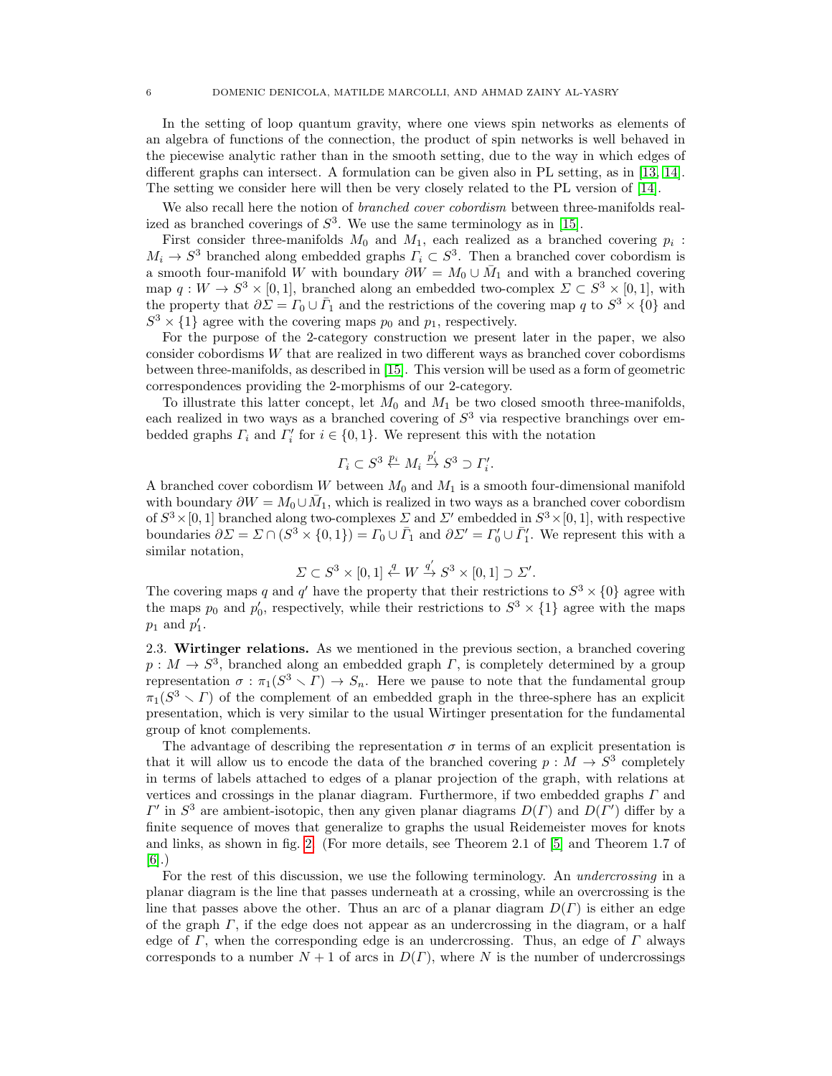In the setting of loop quantum gravity, where one views spin networks as elements of an algebra of functions of the connection, the product of spin networks is well behaved in the piecewise analytic rather than in the smooth setting, due to the way in which edges of different graphs can intersect. A formulation can be given also in PL setting, as in [\[13,](#page-47-13) [14\]](#page-47-14). The setting we consider here will then be very closely related to the PL version of [\[14\]](#page-47-14).

We also recall here the notion of *branched cover cobordism* between three-manifolds realized as branched coverings of  $S^3$ . We use the same terminology as in [\[15\]](#page-47-15).

First consider three-manifolds  $M_0$  and  $M_1$ , each realized as a branched covering  $p_i$ :  $M_i \to S^3$  branched along embedded graphs  $\Gamma_i \subset S^3$ . Then a branched cover cobordism is a smooth four-manifold W with boundary  $\partial W = M_0 \cup \overline{M}_1$  and with a branched covering map  $q: W \to S^3 \times [0,1]$ , branched along an embedded two-complex  $\Sigma \subset S^3 \times [0,1]$ , with the property that  $\partial \Sigma = \Gamma_0 \cup \overline{\Gamma}_1$  and the restrictions of the covering map q to  $S^3 \times \{0\}$  and  $S^3 \times \{1\}$  agree with the covering maps  $p_0$  and  $p_1$ , respectively.

For the purpose of the 2-category construction we present later in the paper, we also consider cobordisms W that are realized in two different ways as branched cover cobordisms between three-manifolds, as described in [\[15\]](#page-47-15). This version will be used as a form of geometric correspondences providing the 2-morphisms of our 2-category.

To illustrate this latter concept, let  $M_0$  and  $M_1$  be two closed smooth three-manifolds, each realized in two ways as a branched covering of  $S<sup>3</sup>$  via respective branchings over embedded graphs  $\Gamma_i$  and  $\Gamma'_i$  for  $i \in \{0,1\}$ . We represent this with the notation

$$
\Gamma_i \subset S^3 \stackrel{p_i}{\leftarrow} M_i \stackrel{p_i'}{\rightarrow} S^3 \supset \Gamma_i'.
$$

A branched cover cobordism W between  $M_0$  and  $M_1$  is a smooth four-dimensional manifold with boundary  $\partial W = M_0 \cup \bar{M}_1$ , which is realized in two ways as a branched cover cobordism of  $S^3 \times [0, 1]$  branched along two-complexes  $\sum$  and  $\sum'$  embedded in  $S^3 \times [0, 1]$ , with respective boundaries  $\partial \Sigma = \Sigma \cap (S^3 \times \{0,1\}) = \Gamma_0 \cup \overline{\Gamma}_1$  and  $\partial \Sigma' = \Gamma'_0 \cup \overline{\Gamma}'_1$ . We represent this with a similar notation,

$$
\Sigma \subset S^3 \times [0,1] \stackrel{q}{\leftarrow} W \stackrel{q'}{\rightarrow} S^3 \times [0,1] \supset \Sigma'.
$$

The covering maps q and q' have the property that their restrictions to  $S^3 \times \{0\}$  agree with the maps  $p_0$  and  $p'_0$ , respectively, while their restrictions to  $S^3 \times \{1\}$  agree with the maps  $p_1$  and  $p'_1$ .

<span id="page-5-0"></span>2.3. Wirtinger relations. As we mentioned in the previous section, a branched covering  $p: M \to S^3$ , branched along an embedded graph  $\Gamma$ , is completely determined by a group representation  $\sigma : \pi_1(S^3 \setminus \Gamma) \to S_n$ . Here we pause to note that the fundamental group  $\pi_1(S^3 \setminus \Gamma)$  of the complement of an embedded graph in the three-sphere has an explicit presentation, which is very similar to the usual Wirtinger presentation for the fundamental group of knot complements.

The advantage of describing the representation  $\sigma$  in terms of an explicit presentation is that it will allow us to encode the data of the branched covering  $p: M \to S^3$  completely in terms of labels attached to edges of a planar projection of the graph, with relations at vertices and crossings in the planar diagram. Furthermore, if two embedded graphs  $\Gamma$  and  $\Gamma'$  in  $S^3$  are ambient-isotopic, then any given planar diagrams  $D(\Gamma)$  and  $D(\Gamma')$  differ by a finite sequence of moves that generalize to graphs the usual Reidemeister moves for knots and links, as shown in fig. [2.](#page-4-0) (For more details, see Theorem 2.1 of [\[5\]](#page-47-5) and Theorem 1.7 of [\[6\]](#page-47-6).)

For the rest of this discussion, we use the following terminology. An *undercrossing* in a planar diagram is the line that passes underneath at a crossing, while an overcrossing is the line that passes above the other. Thus an arc of a planar diagram  $D(\Gamma)$  is either an edge of the graph  $\Gamma$ , if the edge does not appear as an undercrossing in the diagram, or a half edge of  $\Gamma$ , when the corresponding edge is an undercrossing. Thus, an edge of  $\Gamma$  always corresponds to a number  $N + 1$  of arcs in  $D(\Gamma)$ , where N is the number of undercrossings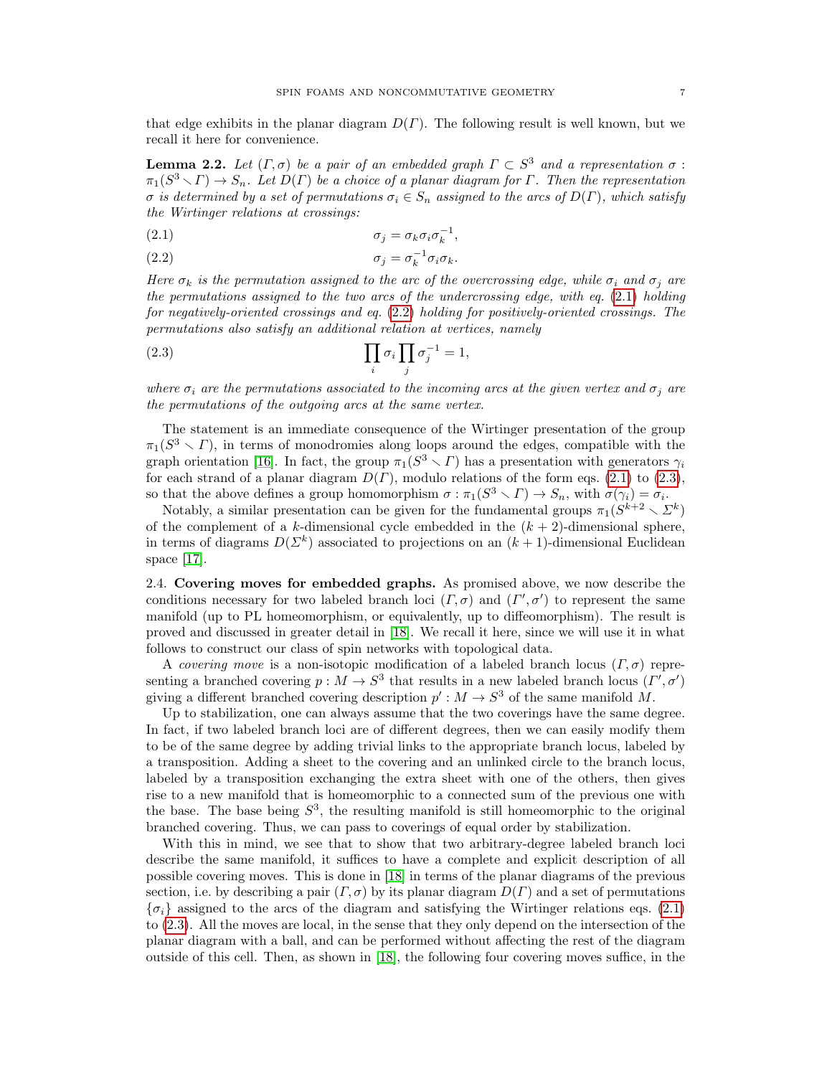that edge exhibits in the planar diagram  $D(\Gamma)$ . The following result is well known, but we recall it here for convenience.

**Lemma 2.2.** Let  $(\Gamma, \sigma)$  be a pair of an embedded graph  $\Gamma \subset S^3$  and a representation  $\sigma$ :  $\pi_1(S^3 \setminus \Gamma) \to S_n$ . Let  $D(\Gamma)$  be a choice of a planar diagram for  $\Gamma$ . Then the representation σ is determined by a set of permutations  $σ_i \in S_n$  assigned to the arcs of  $D(\Gamma)$ , which satisfy the Wirtinger relations at crossings:

<span id="page-6-1"></span>
$$
\sigma_j = \sigma_k \sigma_i \sigma_k^{-1},
$$

<span id="page-6-2"></span>
$$
\sigma_j = \sigma_k^{-1} \sigma_i \sigma_k.
$$

Here  $\sigma_k$  is the permutation assigned to the arc of the overcrossing edge, while  $\sigma_i$  and  $\sigma_j$  are the permutations assigned to the two arcs of the undercrossing edge, with eq. [\(2.1\)](#page-6-1) holding for negatively-oriented crossings and eq. [\(2.2\)](#page-6-2) holding for positively-oriented crossings. The permutations also satisfy an additional relation at vertices, namely

<span id="page-6-3"></span>(2.3) 
$$
\prod_i \sigma_i \prod_j \sigma_j^{-1} = 1,
$$

where  $\sigma_i$  are the permutations associated to the incoming arcs at the given vertex and  $\sigma_j$  are the permutations of the outgoing arcs at the same vertex.

The statement is an immediate consequence of the Wirtinger presentation of the group  $\pi_1(S^3 \setminus \Gamma)$ , in terms of monodromies along loops around the edges, compatible with the graph orientation [\[16\]](#page-47-16). In fact, the group  $\pi_1(S^3 \setminus \Gamma)$  has a presentation with generators  $\gamma_i$ for each strand of a planar diagram  $D(\Gamma)$ , modulo relations of the form eqs. [\(2.1\)](#page-6-1) to [\(2.3\)](#page-6-3), so that the above defines a group homomorphism  $\sigma : \pi_1(S^3 \setminus \Gamma) \to S_n$ , with  $\sigma(\gamma_i) = \sigma_i$ .

Notably, a similar presentation can be given for the fundamental groups  $\pi_1(S^{k+2} \setminus \mathbb{Z}^k)$ of the complement of a k-dimensional cycle embedded in the  $(k + 2)$ -dimensional sphere, in terms of diagrams  $D(\Sigma^k)$  associated to projections on an  $(k+1)$ -dimensional Euclidean space [\[17\]](#page-47-17).

<span id="page-6-0"></span>2.4. Covering moves for embedded graphs. As promised above, we now describe the conditions necessary for two labeled branch loci  $(\Gamma, \sigma)$  and  $(\Gamma', \sigma')$  to represent the same manifold (up to PL homeomorphism, or equivalently, up to diffeomorphism). The result is proved and discussed in greater detail in [\[18\]](#page-47-18). We recall it here, since we will use it in what follows to construct our class of spin networks with topological data.

A covering move is a non-isotopic modification of a labeled branch locus  $(\Gamma, \sigma)$  representing a branched covering  $p: M \to S^3$  that results in a new labeled branch locus  $(\Gamma', \sigma')$ giving a different branched covering description  $p': M \to S^3$  of the same manifold M.

Up to stabilization, one can always assume that the two coverings have the same degree. In fact, if two labeled branch loci are of different degrees, then we can easily modify them to be of the same degree by adding trivial links to the appropriate branch locus, labeled by a transposition. Adding a sheet to the covering and an unlinked circle to the branch locus, labeled by a transposition exchanging the extra sheet with one of the others, then gives rise to a new manifold that is homeomorphic to a connected sum of the previous one with the base. The base being  $S^3$ , the resulting manifold is still homeomorphic to the original branched covering. Thus, we can pass to coverings of equal order by stabilization.

With this in mind, we see that to show that two arbitrary-degree labeled branch loci describe the same manifold, it suffices to have a complete and explicit description of all possible covering moves. This is done in [\[18\]](#page-47-18) in terms of the planar diagrams of the previous section, i.e. by describing a pair  $(\Gamma, \sigma)$  by its planar diagram  $D(\Gamma)$  and a set of permutations  $\{\sigma_i\}$  assigned to the arcs of the diagram and satisfying the Wirtinger relations eqs. [\(2.1\)](#page-6-1) to [\(2.3\)](#page-6-3). All the moves are local, in the sense that they only depend on the intersection of the planar diagram with a ball, and can be performed without affecting the rest of the diagram outside of this cell. Then, as shown in [\[18\]](#page-47-18), the following four covering moves suffice, in the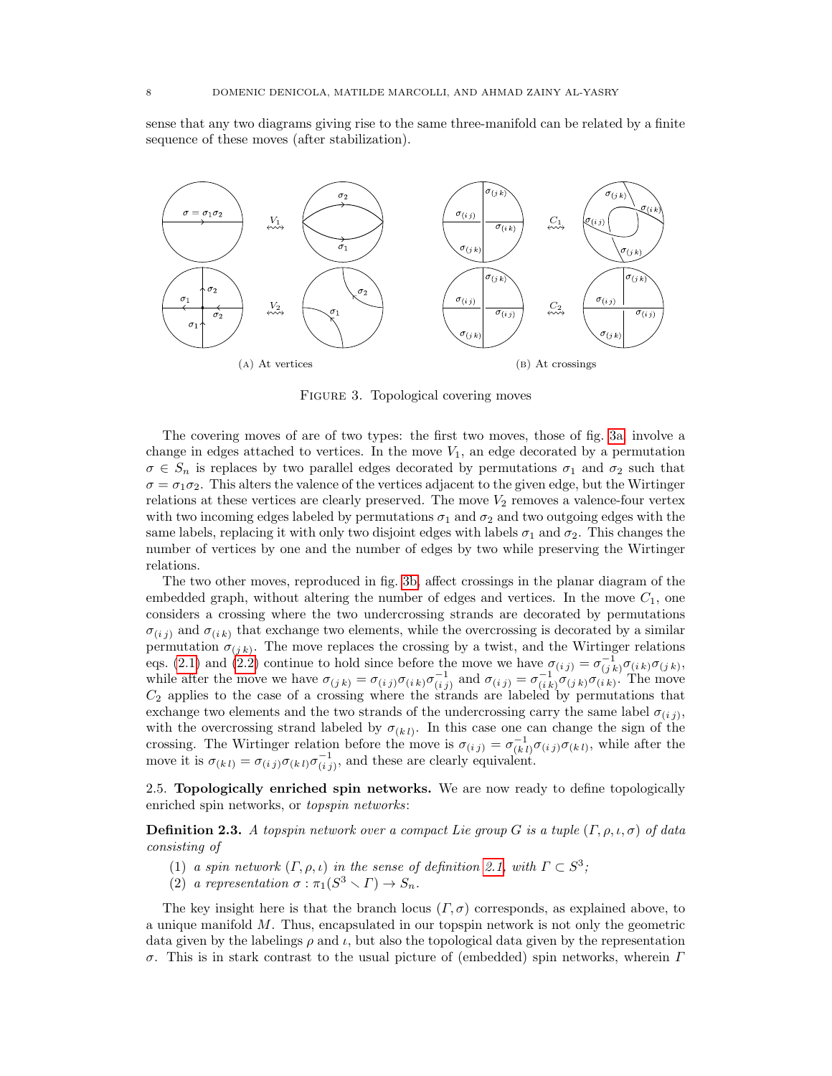sense that any two diagrams giving rise to the same three-manifold can be related by a finite sequence of these moves (after stabilization).

<span id="page-7-1"></span>

<span id="page-7-2"></span>FIGURE 3. Topological covering moves

The covering moves of are of two types: the first two moves, those of fig. [3a,](#page-7-1) involve a change in edges attached to vertices. In the move  $V_1$ , an edge decorated by a permutation  $\sigma \in S_n$  is replaces by two parallel edges decorated by permutations  $\sigma_1$  and  $\sigma_2$  such that  $\sigma = \sigma_1 \sigma_2$ . This alters the valence of the vertices adjacent to the given edge, but the Wirtinger relations at these vertices are clearly preserved. The move  $V_2$  removes a valence-four vertex with two incoming edges labeled by permutations  $\sigma_1$  and  $\sigma_2$  and two outgoing edges with the same labels, replacing it with only two disjoint edges with labels  $\sigma_1$  and  $\sigma_2$ . This changes the number of vertices by one and the number of edges by two while preserving the Wirtinger relations.

The two other moves, reproduced in fig. [3b,](#page-7-2) affect crossings in the planar diagram of the embedded graph, without altering the number of edges and vertices. In the move  $C_1$ , one considers a crossing where the two undercrossing strands are decorated by permutations  $\sigma_{(i,i)}$  and  $\sigma_{(i,k)}$  that exchange two elements, while the overcrossing is decorated by a similar permutation  $\sigma_{(j,k)}$ . The move replaces the crossing by a twist, and the Wirtinger relations eqs. [\(2.1\)](#page-6-1) and [\(2.2\)](#page-6-2) continue to hold since before the move we have  $\sigma_{(i,j)} = \sigma_{(j,k)}^{-1} \sigma_{(i,k)} \sigma_{(j,k)}$ , while after the move we have  $\sigma_{(j,k)} = \sigma_{(i,j)} \sigma_{(i,k)} \sigma_{(i,j)}^{-1}$  and  $\sigma_{(i,j)} = \sigma_{(i,k)}^{-1} \sigma_{(j,k)} \sigma_{(i,k)}$ . The move  $C_2$  applies to the case of a crossing where the strands are labeled by permutations that exchange two elements and the two strands of the undercrossing carry the same label  $\sigma_{(ij)}$ , with the overcrossing strand labeled by  $\sigma_{(kl)}$ . In this case one can change the sign of the crossing. The Wirtinger relation before the move is  $\sigma_{(i,j)} = \sigma_{(k,l)}^{-1} \sigma_{(i,j)} \sigma_{(k,l)}$ , while after the move it is  $\sigma_{(k\,l)} = \sigma_{(i\,j)}\sigma_{(k\,l)}\sigma_{(i\,j)}^{-1}$ , and these are clearly equivalent.

<span id="page-7-0"></span>2.5. Topologically enriched spin networks. We are now ready to define topologically enriched spin networks, or topspin networks:

<span id="page-7-3"></span>**Definition 2.3.** A topspin network over a compact Lie group G is a tuple  $(\Gamma, \rho, \iota, \sigma)$  of data consisting of

- (1) a spin network  $(\Gamma, \rho, \iota)$  in the sense of definition [2.1,](#page-2-2) with  $\Gamma \subset S^3$ ;
- (2) a representation  $\sigma : \pi_1(S^3 \setminus \Gamma) \to S_n$ .

The key insight here is that the branch locus  $(\Gamma, \sigma)$  corresponds, as explained above, to a unique manifold M. Thus, encapsulated in our topspin network is not only the geometric data given by the labelings  $\rho$  and  $\iota$ , but also the topological data given by the representation σ. This is in stark contrast to the usual picture of (embedded) spin networks, wherein Γ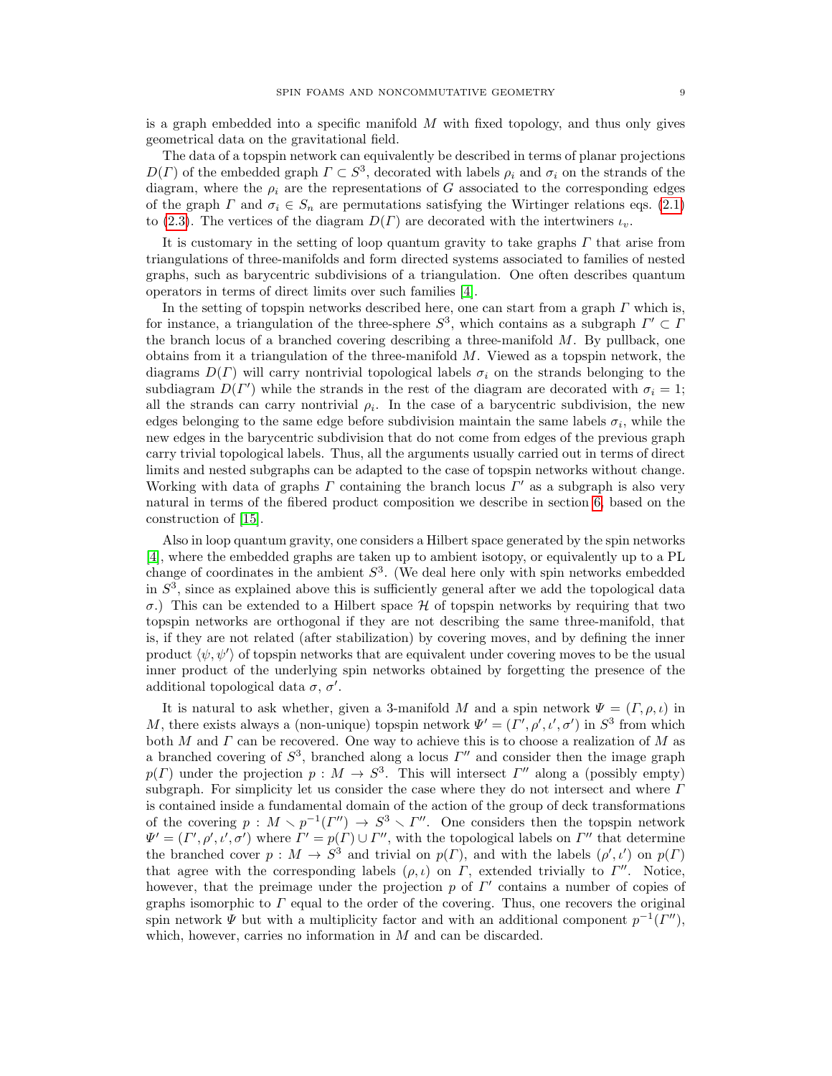is a graph embedded into a specific manifold  $M$  with fixed topology, and thus only gives geometrical data on the gravitational field.

The data of a topspin network can equivalently be described in terms of planar projections  $D(\Gamma)$  of the embedded graph  $\Gamma \subset S^3$ , decorated with labels  $\rho_i$  and  $\sigma_i$  on the strands of the diagram, where the  $\rho_i$  are the representations of G associated to the corresponding edges of the graph  $\Gamma$  and  $\sigma_i \in S_n$  are permutations satisfying the Wirtinger relations eqs. [\(2.1\)](#page-6-1) to [\(2.3\)](#page-6-3). The vertices of the diagram  $D(\Gamma)$  are decorated with the intertwiners  $\iota_n$ .

It is customary in the setting of loop quantum gravity to take graphs  $\Gamma$  that arise from triangulations of three-manifolds and form directed systems associated to families of nested graphs, such as barycentric subdivisions of a triangulation. One often describes quantum operators in terms of direct limits over such families [\[4\]](#page-47-4).

In the setting of topspin networks described here, one can start from a graph  $\Gamma$  which is, for instance, a triangulation of the three-sphere  $S^3$ , which contains as a subgraph  $\Gamma' \subset \Gamma$ the branch locus of a branched covering describing a three-manifold  $M$ . By pullback, one obtains from it a triangulation of the three-manifold  $M$ . Viewed as a topspin network, the diagrams  $D(\Gamma)$  will carry nontrivial topological labels  $\sigma_i$  on the strands belonging to the subdiagram  $D(\Gamma')$  while the strands in the rest of the diagram are decorated with  $\sigma_i = 1$ ; all the strands can carry nontrivial  $\rho_i$ . In the case of a barycentric subdivision, the new edges belonging to the same edge before subdivision maintain the same labels  $\sigma_i$ , while the new edges in the barycentric subdivision that do not come from edges of the previous graph carry trivial topological labels. Thus, all the arguments usually carried out in terms of direct limits and nested subgraphs can be adapted to the case of topspin networks without change. Working with data of graphs  $\Gamma$  containing the branch locus  $\Gamma'$  as a subgraph is also very natural in terms of the fibered product composition we describe in section [6,](#page-29-0) based on the construction of [\[15\]](#page-47-15).

Also in loop quantum gravity, one considers a Hilbert space generated by the spin networks [\[4\]](#page-47-4), where the embedded graphs are taken up to ambient isotopy, or equivalently up to a PL change of coordinates in the ambient  $S<sup>3</sup>$ . (We deal here only with spin networks embedded in  $S<sup>3</sup>$ , since as explained above this is sufficiently general after we add the topological data σ.) This can be extended to a Hilbert space H of topspin networks by requiring that two topspin networks are orthogonal if they are not describing the same three-manifold, that is, if they are not related (after stabilization) by covering moves, and by defining the inner product  $\langle \psi, \psi' \rangle$  of topspin networks that are equivalent under covering moves to be the usual inner product of the underlying spin networks obtained by forgetting the presence of the additional topological data  $\sigma$ ,  $\sigma'$ .

<span id="page-8-0"></span>It is natural to ask whether, given a 3-manifold M and a spin network  $\Psi = (\Gamma, \rho, \iota)$  in M, there exists always a (non-unique) topspin network  $\Psi' = (\Gamma', \rho', \iota', \sigma')$  in  $S^3$  from which both M and  $\Gamma$  can be recovered. One way to achieve this is to choose a realization of M as a branched covering of  $S^3$ , branched along a locus  $\Gamma''$  and consider then the image graph  $p(\Gamma)$  under the projection  $p: M \to S^3$ . This will intersect  $\Gamma''$  along a (possibly empty) subgraph. For simplicity let us consider the case where they do not intersect and where  $\Gamma$ is contained inside a fundamental domain of the action of the group of deck transformations of the covering  $p : M \setminus p^{-1}(\Gamma'') \to S^3 \setminus \Gamma''$ . One considers then the topspin network  $\Psi' = (\Gamma', \rho', \iota', \sigma')$  where  $\Gamma' = p(\Gamma) \cup \Gamma''$ , with the topological labels on  $\Gamma''$  that determine the branched cover  $p: M \to S^3$  and trivial on  $p(\Gamma)$ , and with the labels  $(\rho', \iota')$  on  $p(\Gamma)$ that agree with the corresponding labels  $(\rho, \iota)$  on  $\Gamma$ , extended trivially to  $\Gamma''$ . Notice, however, that the preimage under the projection  $p$  of  $\Gamma'$  contains a number of copies of graphs isomorphic to  $\Gamma$  equal to the order of the covering. Thus, one recovers the original spin network  $\Psi$  but with a multiplicity factor and with an additional component  $p^{-1}(I'')$ , which, however, carries no information in M and can be discarded.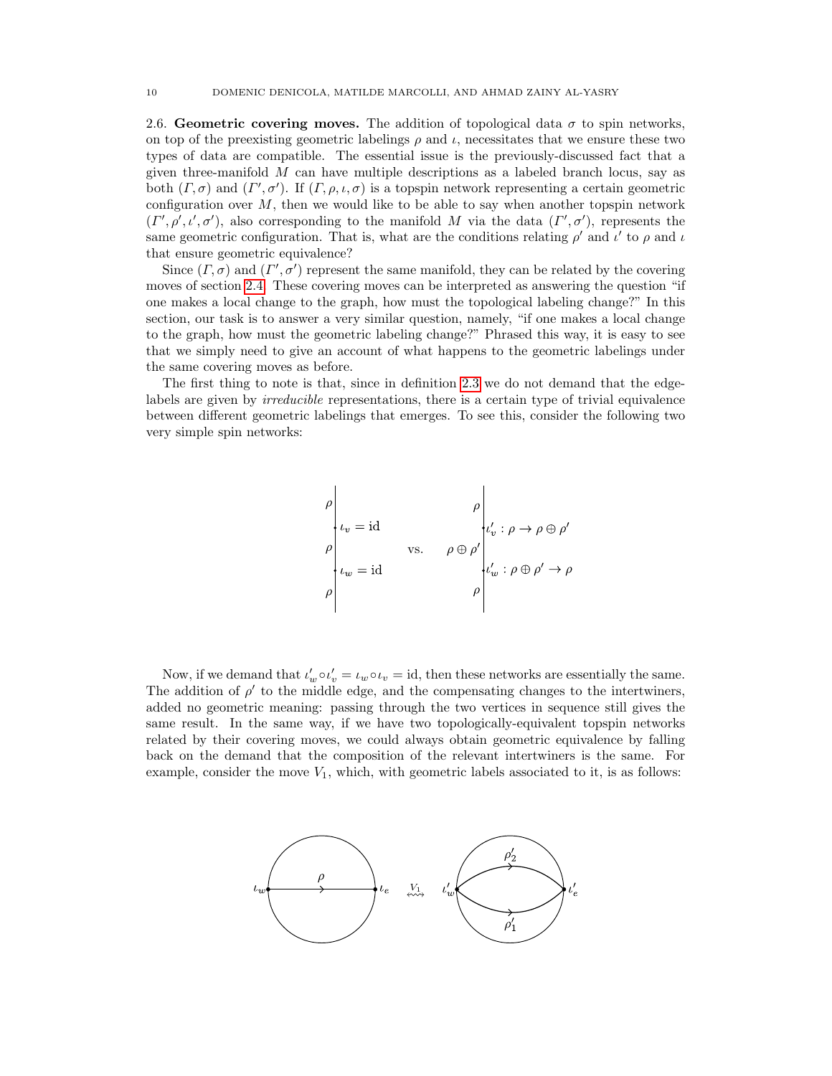2.6. Geometric covering moves. The addition of topological data  $\sigma$  to spin networks, on top of the preexisting geometric labelings  $\rho$  and  $\iota$ , necessitates that we ensure these two types of data are compatible. The essential issue is the previously-discussed fact that a given three-manifold  $M$  can have multiple descriptions as a labeled branch locus, say as both  $(\Gamma, \sigma)$  and  $(\Gamma', \sigma')$ . If  $(\Gamma, \rho, \iota, \sigma)$  is a topspin network representing a certain geometric configuration over  $M$ , then we would like to be able to say when another topspin network  $(\Gamma', \rho', \iota', \sigma')$ , also corresponding to the manifold M via the data  $(\Gamma', \sigma')$ , represents the same geometric configuration. That is, what are the conditions relating  $\rho'$  and  $\iota'$  to  $\rho$  and  $\iota$ that ensure geometric equivalence?

Since  $(\Gamma, \sigma)$  and  $(\Gamma', \sigma')$  represent the same manifold, they can be related by the covering moves of section [2.4.](#page-6-0) These covering moves can be interpreted as answering the question "if one makes a local change to the graph, how must the topological labeling change?" In this section, our task is to answer a very similar question, namely, "if one makes a local change to the graph, how must the geometric labeling change?" Phrased this way, it is easy to see that we simply need to give an account of what happens to the geometric labelings under the same covering moves as before.

The first thing to note is that, since in definition [2.3](#page-7-3) we do not demand that the edgelabels are given by *irreducible* representations, there is a certain type of trivial equivalence between different geometric labelings that emerges. To see this, consider the following two very simple spin networks:

$$
\rho \Bigg|_{t_v = id}
$$
\n
$$
\rho \Bigg|_{t_w = id}
$$
\n
$$
\varphi \Bigg|_{t_w = id}
$$
\n
$$
\varphi \Bigg|_{t_w : \rho \oplus \rho' \to \rho}
$$
\n
$$
\varphi \Bigg|_{t_w : \rho \oplus \rho' \to \rho}
$$

Now, if we demand that  $\iota'_w \circ \iota'_v = \iota_w \circ \iota_v = id$ , then these networks are essentially the same. The addition of  $\rho'$  to the middle edge, and the compensating changes to the intertwiners, added no geometric meaning: passing through the two vertices in sequence still gives the same result. In the same way, if we have two topologically-equivalent topspin networks related by their covering moves, we could always obtain geometric equivalence by falling back on the demand that the composition of the relevant intertwiners is the same. For example, consider the move  $V_1$ , which, with geometric labels associated to it, is as follows:

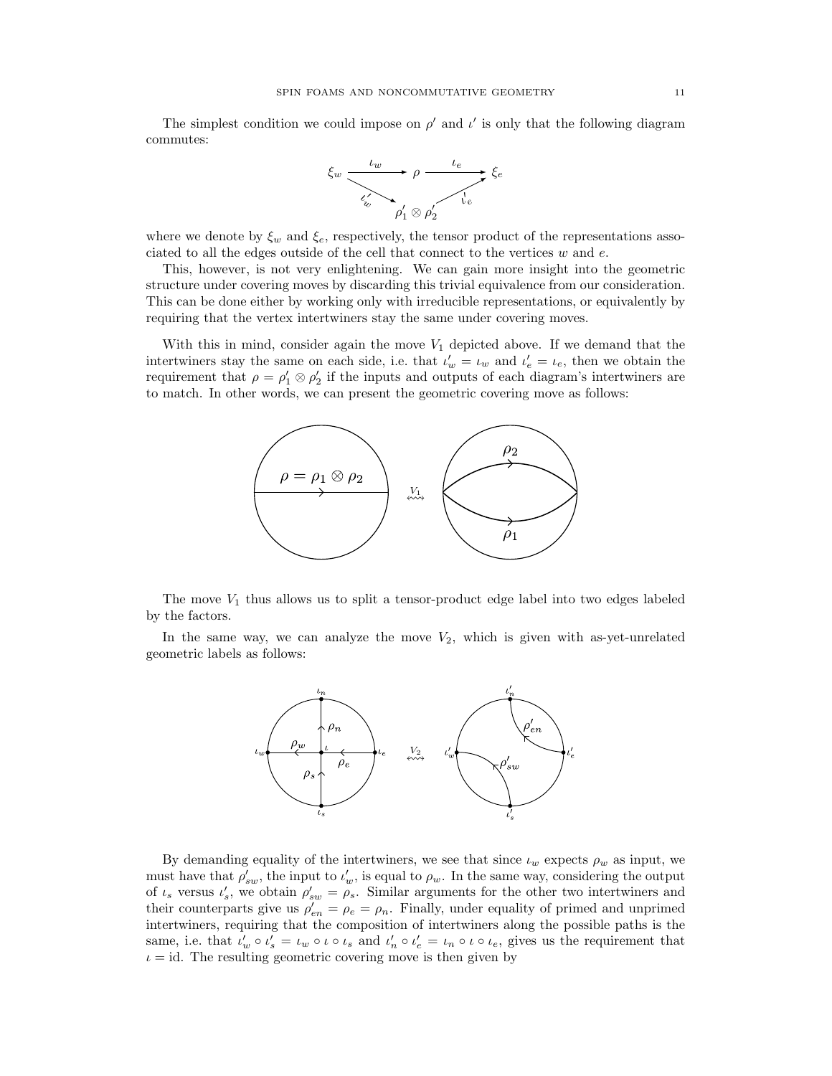The simplest condition we could impose on  $\rho'$  and  $\iota'$  is only that the following diagram commutes:



where we denote by  $\xi_w$  and  $\xi_e$ , respectively, the tensor product of the representations associated to all the edges outside of the cell that connect to the vertices  $w$  and  $e$ .

This, however, is not very enlightening. We can gain more insight into the geometric structure under covering moves by discarding this trivial equivalence from our consideration. This can be done either by working only with irreducible representations, or equivalently by requiring that the vertex intertwiners stay the same under covering moves.

With this in mind, consider again the move  $V_1$  depicted above. If we demand that the intertwiners stay the same on each side, i.e. that  $\iota'_w = \iota_w$  and  $\iota'_e = \iota_e$ , then we obtain the requirement that  $\rho = \rho'_1 \otimes \rho'_2$  if the inputs and outputs of each diagram's intertwiners are to match. In other words, we can present the geometric covering move as follows:



The move  $V_1$  thus allows us to split a tensor-product edge label into two edges labeled by the factors.

In the same way, we can analyze the move  $V_2$ , which is given with as-yet-unrelated geometric labels as follows:



By demanding equality of the intertwiners, we see that since  $\iota_w$  expects  $\rho_w$  as input, we must have that  $\rho'_{sw}$ , the input to  $\iota'_{w}$ , is equal to  $\rho_{w}$ . In the same way, considering the output of  $\iota_s$  versus  $\iota'_s$ , we obtain  $\rho'_{sw} = \rho_s$ . Similar arguments for the other two intertwiners and their counterparts give us  $\rho'_{en} = \rho_e = \rho_n$ . Finally, under equality of primed and unprimed intertwiners, requiring that the composition of intertwiners along the possible paths is the same, i.e. that  $\iota_w' \circ \iota_s' = \iota_w \circ \iota \circ \iota_s$  and  $\iota'_n \circ \iota'_e = \iota_n \circ \iota \circ \iota_e$ , gives us the requirement that  $\iota = id$ . The resulting geometric covering move is then given by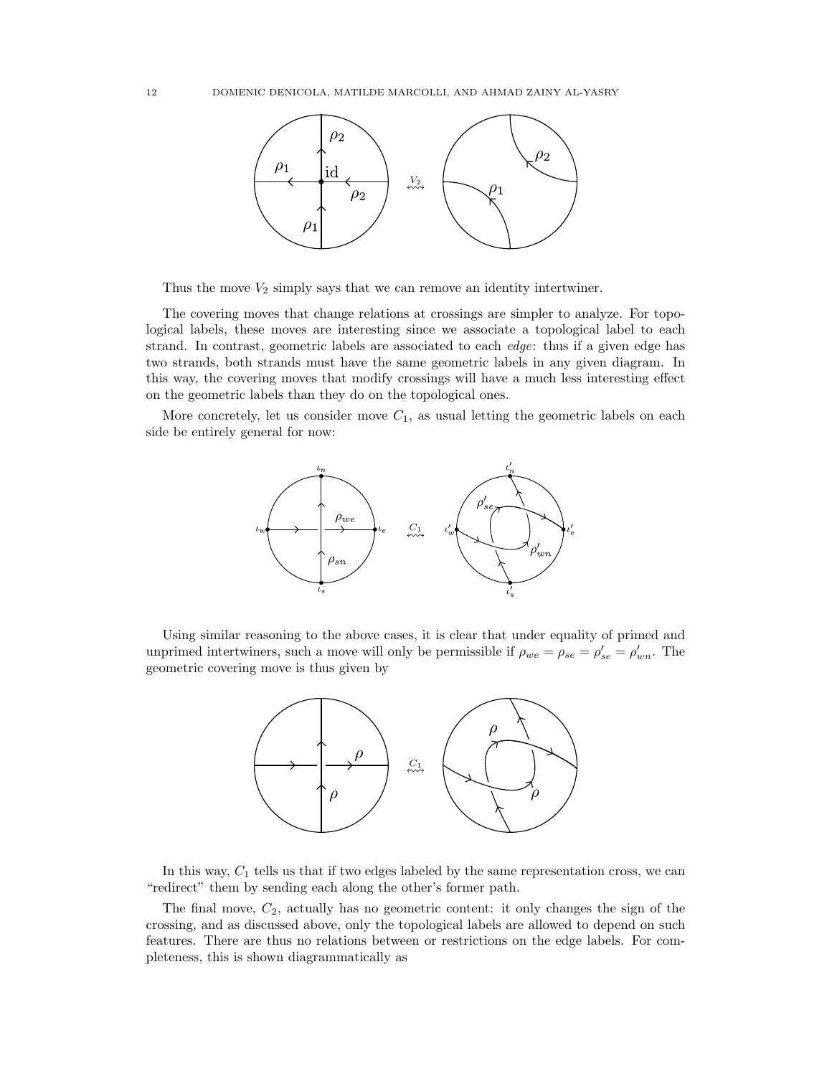

Thus the move  $V_2$  simply says that we can remove an identity intertwiner.

The covering moves that change relations at crossings are simpler to analyze. For topological labels, these moves are interesting since we associate a topological label to each strand. In contrast, geometric labels are associated to each edge: thus if a given edge has two strands, both strands must have the same geometric labels in any given diagram. In this way, the covering moves that modify crossings will have a much less interesting effect on the geometric labels than they do on the topological ones.

More concretely, let us consider move  $C_1$ , as usual letting the geometric labels on each side be entirely general for now:



Using similar reasoning to the above cases, it is clear that under equality of primed and unprimed intertwiners, such a move will only be permissible if  $\rho_{we} = \rho_{se} = \rho'_{se} = \rho'_{wn}$ . The geometric covering move is thus given by



In this way,  $C_1$  tells us that if two edges labeled by the same representation cross, we can "redirect" them by sending each along the other's former path.

The final move,  $C_2$ , actually has no geometric content: it only changes the sign of the crossing, and as discussed above, only the topological labels are allowed to depend on such features. There are thus no relations between or restrictions on the edge labels. For completeness, this is shown diagrammatically as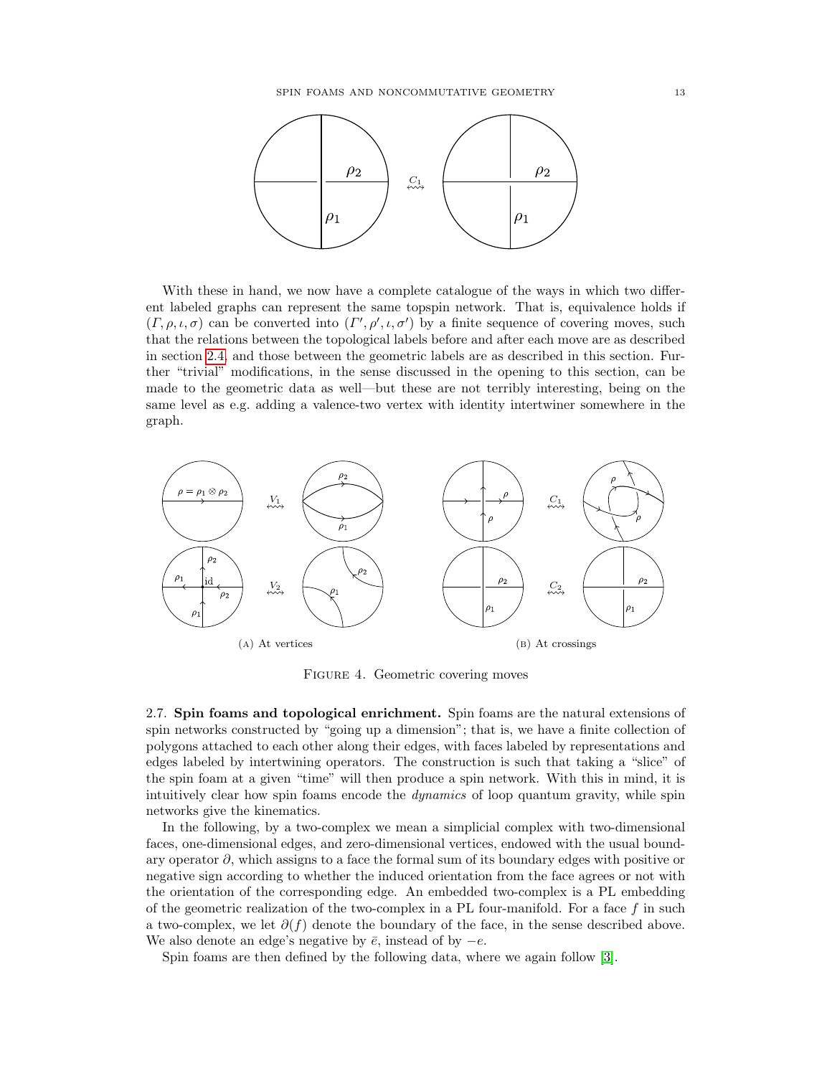

With these in hand, we now have a complete catalogue of the ways in which two different labeled graphs can represent the same topspin network. That is, equivalence holds if  $(\Gamma, \rho, \iota, \sigma)$  can be converted into  $(\Gamma', \rho', \iota, \sigma')$  by a finite sequence of covering moves, such that the relations between the topological labels before and after each move are as described in section [2.4,](#page-6-0) and those between the geometric labels are as described in this section. Further "trivial" modifications, in the sense discussed in the opening to this section, can be made to the geometric data as well—but these are not terribly interesting, being on the same level as e.g. adding a valence-two vertex with identity intertwiner somewhere in the graph.



Figure 4. Geometric covering moves

<span id="page-12-0"></span>2.7. Spin foams and topological enrichment. Spin foams are the natural extensions of spin networks constructed by "going up a dimension"; that is, we have a finite collection of polygons attached to each other along their edges, with faces labeled by representations and edges labeled by intertwining operators. The construction is such that taking a "slice" of the spin foam at a given "time" will then produce a spin network. With this in mind, it is intuitively clear how spin foams encode the *dynamics* of loop quantum gravity, while spin networks give the kinematics.

In the following, by a two-complex we mean a simplicial complex with two-dimensional faces, one-dimensional edges, and zero-dimensional vertices, endowed with the usual boundary operator  $\partial$ , which assigns to a face the formal sum of its boundary edges with positive or negative sign according to whether the induced orientation from the face agrees or not with the orientation of the corresponding edge. An embedded two-complex is a PL embedding of the geometric realization of the two-complex in a PL four-manifold. For a face  $f$  in such a two-complex, we let  $\partial(f)$  denote the boundary of the face, in the sense described above. We also denote an edge's negative by  $\bar{e}$ , instead of by  $-e$ .

Spin foams are then defined by the following data, where we again follow [\[3\]](#page-47-3).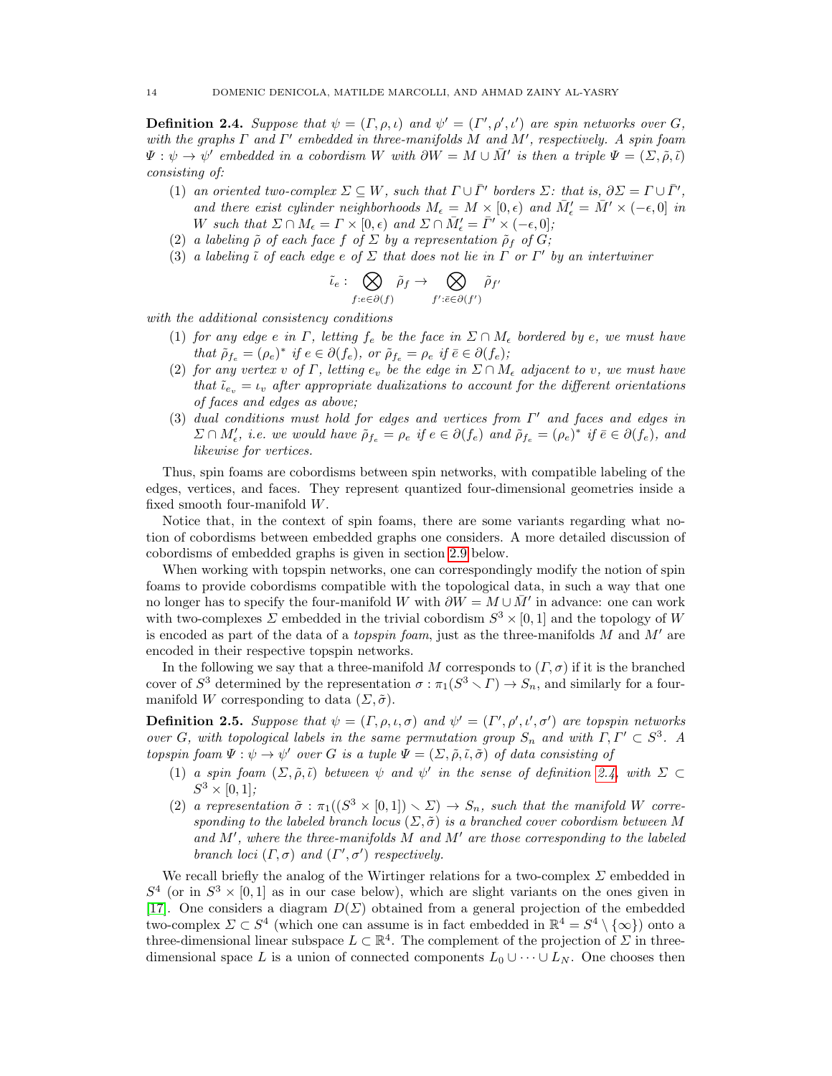<span id="page-13-0"></span>**Definition 2.4.** Suppose that  $\psi = (\Gamma, \rho, \iota)$  and  $\psi' = (\Gamma', \rho', \iota')$  are spin networks over G, with the graphs  $\Gamma$  and  $\Gamma'$  embedded in three-manifolds M and M', respectively. A spin foam  $\Psi: \psi \to \psi'$  embedded in a cobordism W with  $\partial W = M \cup \overline{M}'$  is then a triple  $\Psi = (\Sigma, \tilde{\rho}, \tilde{\iota})$ consisting of:

- (1) an oriented two-complex  $\Sigma \subseteq W$ , such that  $\Gamma \cup \overline{\Gamma}'$  borders  $\Sigma$ : that is,  $\partial \Sigma = \Gamma \cup \overline{\Gamma}'$ , and there exist cylinder neighborhoods  $M_{\epsilon} = M \times [0, \epsilon)$  and  $\overline{M}_{\epsilon}' = \overline{M}' \times (-\epsilon, 0]$  in W such that  $\Sigma \cap M_{\epsilon} = \Gamma \times [0, \epsilon)$  and  $\Sigma \cap \bar{M}'_{\epsilon} = \bar{\Gamma}' \times (-\epsilon, 0];$
- (2) a labeling  $\tilde{\rho}$  of each face f of  $\Sigma$  by a representation  $\tilde{\rho}_f$  of  $G$ ;
- (3) a labeling  $\tilde{\iota}$  of each edge e of  $\Sigma$  that does not lie in  $\Gamma$  or  $\Gamma'$  by an intertwiner

$$
\tilde{\iota}_e: \bigotimes_{f:e \in \partial(f)} \tilde{\rho}_f \to \bigotimes_{f': \bar{e} \in \partial(f')} \tilde{\rho}_{f'}
$$

with the additional consistency conditions

- (1) for any edge e in Γ, letting  $f_e$  be the face in  $\Sigma \cap M_e$  bordered by e, we must have that  $\tilde{\rho}_{f_e} = (\rho_e)^*$  if  $e \in \partial(f_e)$ , or  $\tilde{\rho}_{f_e} = \rho_e$  if  $\bar{e} \in \partial(f_e)$ ;
- (2) for any vertex v of Γ, letting  $e_v$  be the edge in  $\Sigma \cap M_{\epsilon}$  adjacent to v, we must have that  $\tilde{\iota}_{e_v} = \iota_v$  after appropriate dualizations to account for the different orientations of faces and edges as above;
- (3) dual conditions must hold for edges and vertices from  $\Gamma'$  and faces and edges in  $\Sigma \cap M'_{\epsilon}$ , i.e. we would have  $\tilde{\rho}_{f_e} = \rho_e$  if  $e \in \partial(f_e)$  and  $\tilde{\rho}_{f_e} = (\rho_e)^*$  if  $\bar{e} \in \partial(f_e)$ , and likewise for vertices.

Thus, spin foams are cobordisms between spin networks, with compatible labeling of the edges, vertices, and faces. They represent quantized four-dimensional geometries inside a fixed smooth four-manifold W.

Notice that, in the context of spin foams, there are some variants regarding what notion of cobordisms between embedded graphs one considers. A more detailed discussion of cobordisms of embedded graphs is given in section [2.9](#page-16-0) below.

When working with topspin networks, one can correspondingly modify the notion of spin foams to provide cobordisms compatible with the topological data, in such a way that one no longer has to specify the four-manifold W with  $\partial W = M \cup \bar{M}'$  in advance: one can work with two-complexes  $\Sigma$  embedded in the trivial cobordism  $S^3 \times [0,1]$  and the topology of W is encoded as part of the data of a *topspin foam*, just as the three-manifolds  $M$  and  $M'$  are encoded in their respective topspin networks.

In the following we say that a three-manifold M corresponds to  $(\Gamma, \sigma)$  if it is the branched cover of  $S^3$  determined by the representation  $\sigma : \pi_1(S^3 \setminus \Gamma) \to S_n$ , and similarly for a fourmanifold W corresponding to data  $(\Sigma, \tilde{\sigma})$ .

<span id="page-13-1"></span>**Definition 2.5.** Suppose that  $\psi = (\Gamma, \rho, \iota, \sigma)$  and  $\psi' = (\Gamma', \rho', \iota', \sigma')$  are topspin networks over G, with topological labels in the same permutation group  $S_n$  and with  $\Gamma, \Gamma' \subset S^3$ . A topspin foam  $\Psi : \psi \to \psi'$  over G is a tuple  $\Psi = (\Sigma, \tilde{\rho}, \tilde{\iota}, \tilde{\sigma})$  of data consisting of

- (1) a spin foam  $(\Sigma, \tilde{\rho}, \tilde{\iota})$  between  $\psi$  and  $\psi'$  in the sense of definition [2.4,](#page-13-0) with  $\Sigma \subset$  $S^3 \times [0,1]$ ;
- (2) a representation  $\tilde{\sigma}$ :  $\pi_1((S^3 \times [0,1]) \setminus \Sigma) \to S_n$ , such that the manifold W corresponding to the labeled branch locus  $(\Sigma, \tilde{\sigma})$  is a branched cover cobordism between M and  $M'$ , where the three-manifolds  $M$  and  $M'$  are those corresponding to the labeled branch loci  $(\Gamma, \sigma)$  and  $(\Gamma', \sigma')$  respectively.

We recall briefly the analog of the Wirtinger relations for a two-complex  $\Sigma$  embedded in  $S^4$  (or in  $S^3 \times [0,1]$  as in our case below), which are slight variants on the ones given in [\[17\]](#page-47-17). One considers a diagram  $D(\Sigma)$  obtained from a general projection of the embedded two-complex  $\Sigma \subset S^4$  (which one can assume is in fact embedded in  $\mathbb{R}^4 = S^4 \setminus \{ \infty \}$ ) onto a three-dimensional linear subspace  $L \subset \mathbb{R}^4$ . The complement of the projection of  $\Sigma$  in threedimensional space L is a union of connected components  $L_0 \cup \cdots \cup L_N$ . One chooses then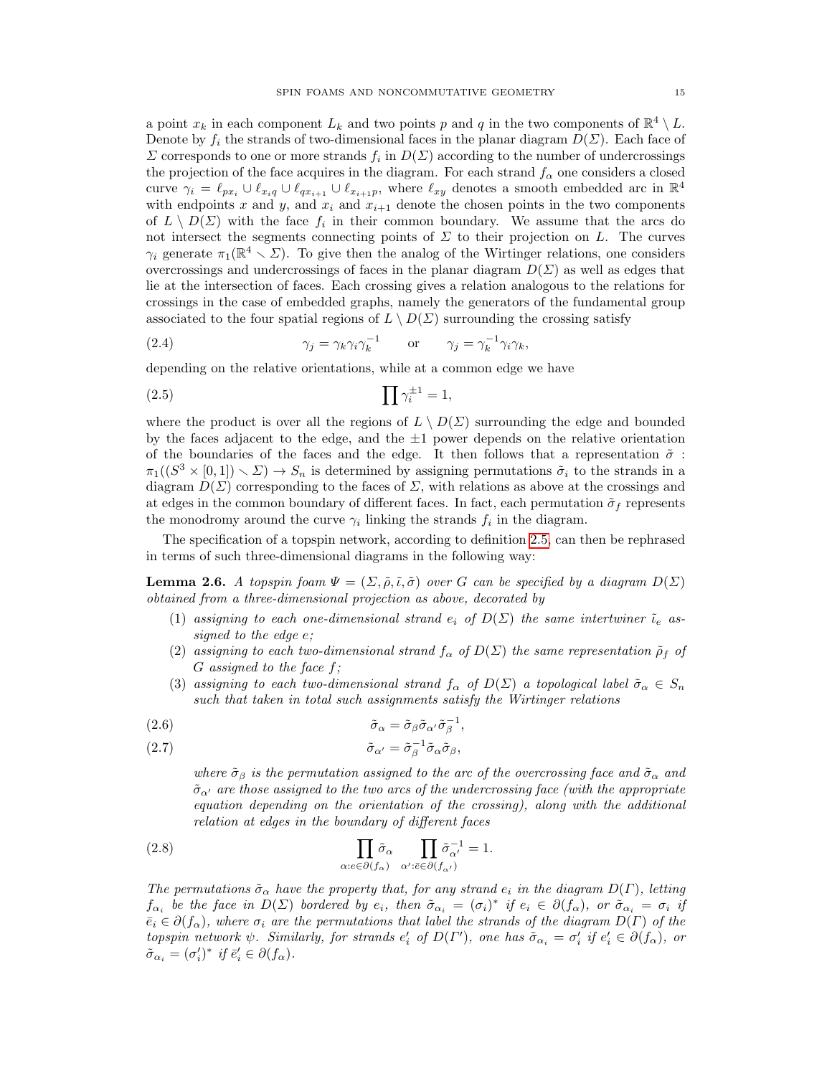a point  $x_k$  in each component  $L_k$  and two points p and q in the two components of  $\mathbb{R}^4 \setminus L$ . Denote by  $f_i$  the strands of two-dimensional faces in the planar diagram  $D(\Sigma)$ . Each face of  $\Sigma$  corresponds to one or more strands  $f_i$  in  $D(\Sigma)$  according to the number of undercrossings the projection of the face acquires in the diagram. For each strand  $f_{\alpha}$  one considers a closed curve  $\gamma_i = \ell_{px_i} \cup \ell_{x_i} \cup \ell_{qx_{i+1}} \cup \ell_{x_{i+1}p}$ , where  $\ell_{xy}$  denotes a smooth embedded arc in  $\mathbb{R}^4$ with endpoints x and y, and  $x_i$  and  $x_{i+1}$  denote the chosen points in the two components of  $L \setminus D(\Sigma)$  with the face  $f_i$  in their common boundary. We assume that the arcs do not intersect the segments connecting points of  $\Sigma$  to their projection on L. The curves  $\gamma_i$  generate  $\pi_1(\mathbb{R}^4 \setminus \Sigma)$ . To give then the analog of the Wirtinger relations, one considers overcrossings and undercrossings of faces in the planar diagram  $D(\Sigma)$  as well as edges that lie at the intersection of faces. Each crossing gives a relation analogous to the relations for crossings in the case of embedded graphs, namely the generators of the fundamental group associated to the four spatial regions of  $L \setminus D(\Sigma)$  surrounding the crossing satisfy

(2.4) 
$$
\gamma_j = \gamma_k \gamma_i \gamma_k^{-1} \quad \text{or} \quad \gamma_j = \gamma_k^{-1} \gamma_i \gamma_k,
$$

depending on the relative orientations, while at a common edge we have

$$
(2.5) \qquad \prod \gamma_i^{\pm 1} = 1,
$$

where the product is over all the regions of  $L \setminus D(\Sigma)$  surrounding the edge and bounded by the faces adjacent to the edge, and the  $\pm 1$  power depends on the relative orientation of the boundaries of the faces and the edge. It then follows that a representation  $\tilde{\sigma}$ :  $\pi_1((S^3 \times [0,1]) \setminus \Sigma) \to S_n$  is determined by assigning permutations  $\tilde{\sigma}_i$  to the strands in a diagram  $D(\Sigma)$  corresponding to the faces of  $\Sigma$ , with relations as above at the crossings and at edges in the common boundary of different faces. In fact, each permutation  $\tilde{\sigma}_f$  represents the monodromy around the curve  $\gamma_i$  linking the strands  $f_i$  in the diagram.

The specification of a topspin network, according to definition [2.5,](#page-13-1) can then be rephrased in terms of such three-dimensional diagrams in the following way:

**Lemma 2.6.** A topspin foam  $\Psi = (\Sigma, \tilde{\rho}, \tilde{\iota}, \tilde{\sigma})$  over G can be specified by a diagram  $D(\Sigma)$ obtained from a three-dimensional projection as above, decorated by

- (1) assigning to each one-dimensional strand  $e_i$  of  $D(\Sigma)$  the same intertwiner  $\tilde{\iota}_e$  assigned to the edge e;
- (2) assigning to each two-dimensional strand  $f_{\alpha}$  of  $D(\Sigma)$  the same representation  $\tilde{\rho}_f$  of G assigned to the face f;
- (3) assigning to each two-dimensional strand  $f_{\alpha}$  of  $D(\Sigma)$  a topological label  $\tilde{\sigma}_{\alpha} \in S_n$ such that taken in total such assignments satisfy the Wirtinger relations

(2.6) 
$$
\tilde{\sigma}_{\alpha} = \tilde{\sigma}_{\beta} \tilde{\sigma}_{\alpha'} \tilde{\sigma}_{\beta}^{-1},
$$

(2.7) 
$$
\tilde{\sigma}_{\alpha'} = \tilde{\sigma}_{\beta}^{-1} \tilde{\sigma}_{\alpha} \tilde{\sigma}_{\beta},
$$

where  $\tilde{\sigma}_{\beta}$  is the permutation assigned to the arc of the overcrossing face and  $\tilde{\sigma}_{\alpha}$  and  $\tilde{\sigma}_{\alpha'}$  are those assigned to the two arcs of the undercrossing face (with the appropriate equation depending on the orientation of the crossing), along with the additional relation at edges in the boundary of different faces

(2.8) 
$$
\prod_{\alpha: e \in \partial(f_{\alpha})} \tilde{\sigma}_{\alpha} \prod_{\alpha': \bar{e} \in \partial(f_{\alpha'})} \tilde{\sigma}_{\alpha'}^{-1} = 1.
$$

The permutations  $\tilde{\sigma}_{\alpha}$  have the property that, for any strand  $e_i$  in the diagram  $D(\Gamma)$ , letting  $f_{\alpha_i}$  be the face in  $D(\Sigma)$  bordered by  $e_i$ , then  $\tilde{\sigma}_{\alpha_i} = (\sigma_i)^*$  if  $e_i \in \partial(f_\alpha)$ , or  $\tilde{\sigma}_{\alpha_i} = \sigma_i$  if  $\bar{e}_i \in \partial(f_\alpha)$ , where  $\sigma_i$  are the permutations that label the strands of the diagram  $D(\Gamma)$  of the topspin network  $\psi$ . Similarly, for strands  $e'_i$  of  $D(\Gamma')$ , one has  $\tilde{\sigma}_{\alpha_i} = \sigma'_i$  if  $e'_i \in \partial(f_\alpha)$ , or  $\tilde{\sigma}_{\alpha_i} = (\sigma'_i)^*$  if  $\bar{e}'_i \in \partial(f_\alpha)$ .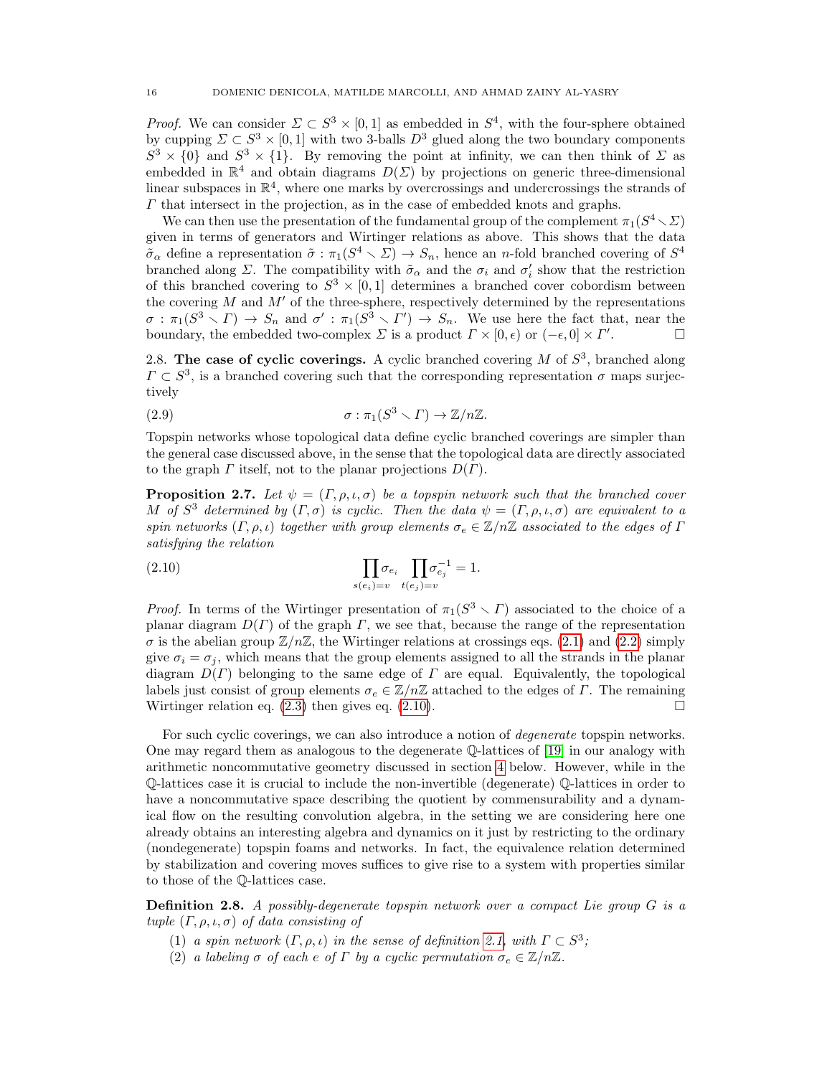*Proof.* We can consider  $\Sigma \subset S^3 \times [0,1]$  as embedded in  $S^4$ , with the four-sphere obtained by cupping  $\Sigma \subset S^3 \times [0,1]$  with two 3-balls  $D^3$  glued along the two boundary components  $S^3 \times \{0\}$  and  $S^3 \times \{1\}$ . By removing the point at infinity, we can then think of  $\Sigma$  as embedded in  $\mathbb{R}^4$  and obtain diagrams  $D(\Sigma)$  by projections on generic three-dimensional linear subspaces in  $\mathbb{R}^4$ , where one marks by overcrossings and undercrossings the strands of  $\Gamma$  that intersect in the projection, as in the case of embedded knots and graphs.

We can then use the presentation of the fundamental group of the complement  $\pi_1(S^4\diagdown \Sigma)$ given in terms of generators and Wirtinger relations as above. This shows that the data  $\tilde{\sigma}_{\alpha}$  define a representation  $\tilde{\sigma} : \pi_1(S^4 \setminus \Sigma) \to S_n$ , hence an n-fold branched covering of  $S^4$ branched along  $\Sigma$ . The compatibility with  $\tilde{\sigma}_{\alpha}$  and the  $\sigma_i$  and  $\sigma'_i$  show that the restriction of this branched covering to  $S^3 \times [0,1]$  determines a branched cover cobordism between the covering  $M$  and  $M'$  of the three-sphere, respectively determined by the representations  $\sigma : \pi_1(S^3 \setminus \Gamma) \to S_n$  and  $\sigma' : \pi_1(S^3 \setminus \Gamma') \to S_n$ . We use here the fact that, near the boundary, the embedded two-complex  $\Sigma$  is a product  $\Gamma \times [0, \epsilon)$  or  $(-\epsilon, 0] \times \Gamma'$ . — П

<span id="page-15-0"></span>2.8. The case of cyclic coverings. A cyclic branched covering  $M$  of  $S^3$ , branched along  $\Gamma \subset S^3$ , is a branched covering such that the corresponding representation  $\sigma$  maps surjectively

(2.9) 
$$
\sigma : \pi_1(S^3 \smallsetminus \Gamma) \to \mathbb{Z}/n\mathbb{Z}.
$$

Topspin networks whose topological data define cyclic branched coverings are simpler than the general case discussed above, in the sense that the topological data are directly associated to the graph  $\Gamma$  itself, not to the planar projections  $D(\Gamma)$ .

**Proposition 2.7.** Let  $\psi = (\Gamma, \rho, \iota, \sigma)$  be a topspin network such that the branched cover M of  $S^3$  determined by  $(\Gamma, \sigma)$  is cyclic. Then the data  $\psi = (\Gamma, \rho, \iota, \sigma)$  are equivalent to a spin networks  $(\Gamma, \rho, \iota)$  together with group elements  $\sigma_e \in \mathbb{Z}/n\mathbb{Z}$  associated to the edges of  $\Gamma$ satisfying the relation

<span id="page-15-1"></span>(2.10) 
$$
\prod_{s(e_i)=v} \sigma_{e_i} \prod_{t(e_j)=v} \sigma_{e_j}^{-1} = 1.
$$

*Proof.* In terms of the Wirtinger presentation of  $\pi_1(S^3 \setminus \Gamma)$  associated to the choice of a planar diagram  $D(\Gamma)$  of the graph  $\Gamma$ , we see that, because the range of the representation  $\sigma$  is the abelian group  $\mathbb{Z}/n\mathbb{Z}$ , the Wirtinger relations at crossings eqs. [\(2.1\)](#page-6-1) and [\(2.2\)](#page-6-2) simply give  $\sigma_i = \sigma_j$ , which means that the group elements assigned to all the strands in the planar diagram  $D(\Gamma)$  belonging to the same edge of  $\Gamma$  are equal. Equivalently, the topological labels just consist of group elements  $\sigma_e \in \mathbb{Z}/n\mathbb{Z}$  attached to the edges of  $\Gamma$ . The remaining Wirtinger relation eq. [\(2.3\)](#page-6-3) then gives eq. [\(2.10\)](#page-15-1).

For such cyclic coverings, we can also introduce a notion of *degenerate* topspin networks. One may regard them as analogous to the degenerate Q-lattices of [\[19\]](#page-47-19) in our analogy with arithmetic noncommutative geometry discussed in section [4](#page-21-0) below. However, while in the Q-lattices case it is crucial to include the non-invertible (degenerate) Q-lattices in order to have a noncommutative space describing the quotient by commensurability and a dynamical flow on the resulting convolution algebra, in the setting we are considering here one already obtains an interesting algebra and dynamics on it just by restricting to the ordinary (nondegenerate) topspin foams and networks. In fact, the equivalence relation determined by stabilization and covering moves suffices to give rise to a system with properties similar to those of the Q-lattices case.

<span id="page-15-2"></span>Definition 2.8. A possibly-degenerate topspin network over a compact Lie group G is a tuple  $(\Gamma, \rho, \iota, \sigma)$  of data consisting of

- (1) a spin network  $(\Gamma, \rho, \iota)$  in the sense of definition [2.1,](#page-2-2) with  $\Gamma \subset S^3$ ;
- (2) a labeling  $\sigma$  of each e of  $\Gamma$  by a cyclic permutation  $\sigma_e \in \mathbb{Z}/n\mathbb{Z}$ .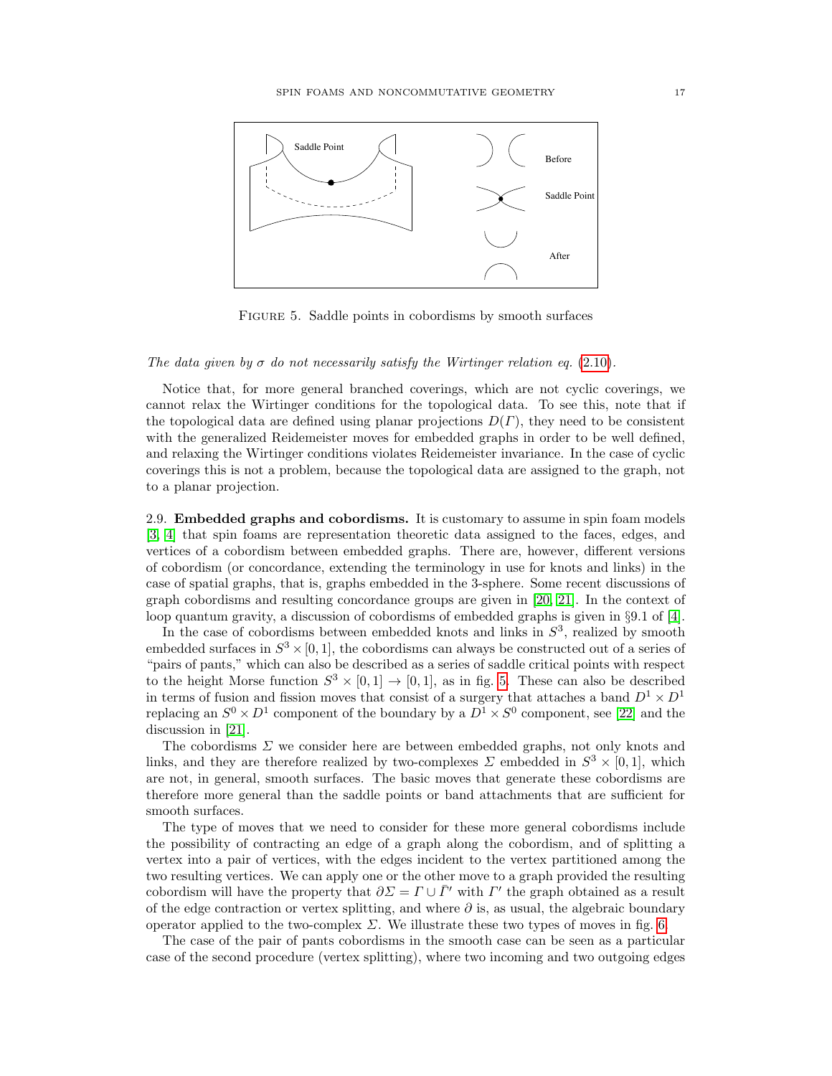<span id="page-16-1"></span>

FIGURE 5. Saddle points in cobordisms by smooth surfaces

# $t$  on  $t$  on  $t$  on  $t$  on  $t$  saddle point between the two cross sections and if the number of components defined  $t$ The data given by  $\sigma$  do not necessarily satisfy the Wirtinger relation eq. [\(2.10\)](#page-15-1).

Notice that, for more general branched coverings, which are not cyclic coverings, we cannot relax the Wirtinger conditions for the topological data. To see this, note that if<br>the topological data are defined using planar projections  $D(F)$ , they need to be consistent the topological data are defined using planar projections  $D(\Gamma)$ , they need to be consistent<br>with the generalized Beidemeister moves for embodded graphs in order to be well defined and relaxing the Wirtinger conditions violates Reidemeister invariance. In the case of cyclic coverings this is not a problem, because the topological data are assigned to the graph, not **Lemma 2.2.** [6] *Two knots are called knot cobordic if and only if they are related by a sequence of* with the generalized Reidemeister moves for embedded graphs in order to be well defined, to a planar projection.

<span id="page-16-0"></span>2.9. **Embedded graphs and cobordisms.** It is customary to assume in spin foam models [3, 4] that spin foams are representation theoretic data assigned to the faces, edges, and vertices of a cobordism between embedded graphs. There are, however, different versions of cobordism (or concordance, extending the terminology in use for knots and links) in the case of spatial graphs, that is, graphs embedded in the 3-sphere. Some recent discussions of graph cobordisms and resulting concordance groups are given in [\[20,](#page-47-20) [21\]](#page-47-21). In the context of loop quantum gravity, a discussion of cobordisms of embedded graphs is given in §9.1 of [\[4\]](#page-47-4).

In the case of cobordisms between embedded knots and links in  $S^3$ , realized by smooth embedded surfaces in  $S^3 \times [0, 1]$ , the cobordisms can always be constructed out of a series of "pairs of pants," which can also be described as a series of saddle critical points with respect to the height Morse function  $S^3 \times [0,1] \to [0,1]$ , as in fig. [5.](#page-16-1) These can also be described<br>in terms of fusion and fession morse that consist of a summary that attacked a hand  $D \times D$ in terms of fusion and fission moves that consist of a surgery that attaches a band  $D^2 \times D^1$ <br>replacing an  $S^0 \times D^1$  component of the boundary by a  $D^1 \times S^0$  component, see [\[22\]](#page-47-22) and the discussion in [\[21\]](#page-47-21). in terms of fusion and fission moves that consist of a surgery that attaches a band  $D^1 \times D^1$ 

The cobordisms Σ we consider here are between embedded graphs, not only knots and links, and they are therefore realized by two-complexes  $\Sigma$  embedded in  $S^3 \times [0,1]$ , which commutative semigroup. **L1** is a link represented by the unit represented by the unit representative the two lines of the unit of the the the the the two links or band attachments that are sufficient for therefore more general than the saddle points or band attachments that are sufficient for are not, in general, smooth surfaces. The basic moves that generate these cobordisms are smooth surfaces.

the type of moves that we need to consider for these more general cobordisms include the *li* are chosen representative model in the *liquid* consider the *liquid* the possibility of contracting an edge of a graph along the cobordism, and of splitting a ence possibility of contracting an edge of a graph along the cobordism, and of spinting a vertex into a pair of vertices, with the edges incident to the vertex partitioned among the two resulting vertices. We can apply one or the other move to a graph provided the resulting the two resulting vertices. cobordism will have the property that  $\partial \Sigma = \Gamma \cup \overline{\Gamma}'$  with  $\Gamma'$  the graph obtained as a result of the edge contraction or vertex splitting, and where  $\partial$  is, as usual, the algebraic boundary of the edge contraction of vertex splitting, and where  $\sigma$  is, as usual, the algebraic boundary<br>operator applied to the two-complex  $\Sigma$ . We illustrate these two types of moves in fig. [6.](#page-17-1)

The case of the pair of pants cobordisms in the smooth case can be seen as a particular case of the second procedure (vertex splitting), where two incoming and two outgoing edges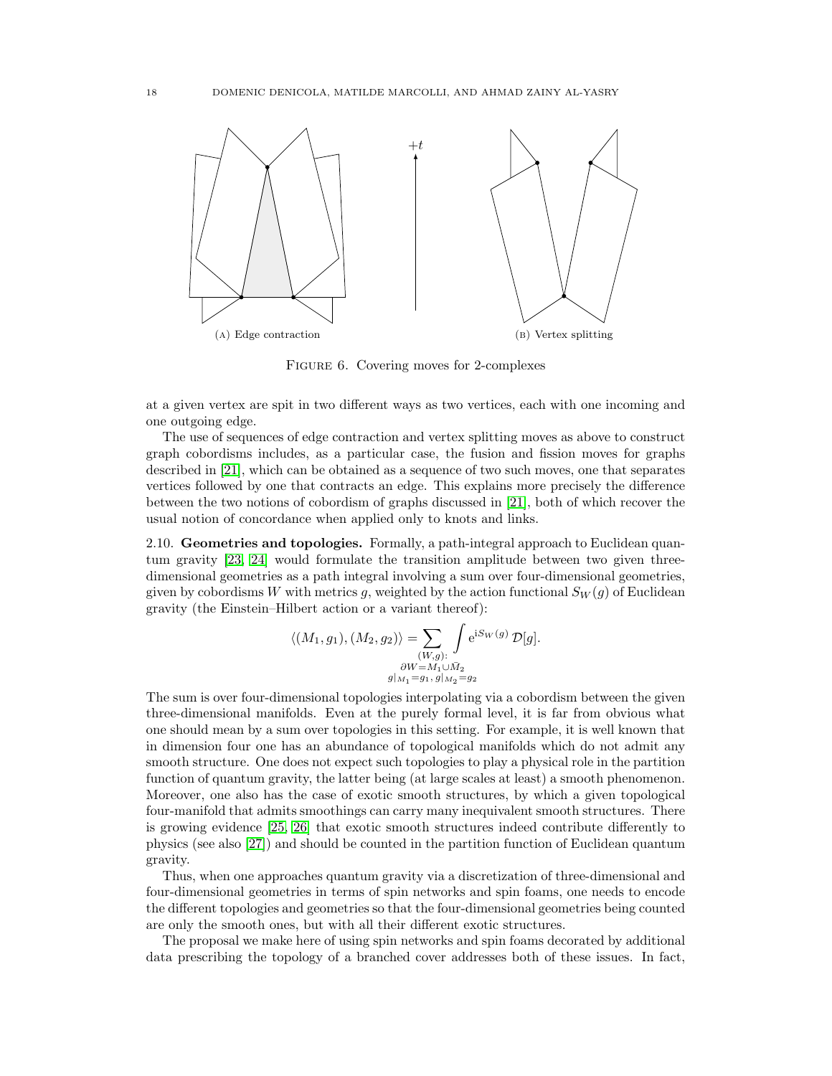<span id="page-17-1"></span>

Figure 6. Covering moves for 2-complexes

at a given vertex are spit in two different ways as two vertices, each with one incoming and one outgoing edge.

The use of sequences of edge contraction and vertex splitting moves as above to construct graph cobordisms includes, as a particular case, the fusion and fission moves for graphs described in [\[21\]](#page-47-21), which can be obtained as a sequence of two such moves, one that separates vertices followed by one that contracts an edge. This explains more precisely the difference between the two notions of cobordism of graphs discussed in [\[21\]](#page-47-21), both of which recover the usual notion of concordance when applied only to knots and links.

<span id="page-17-0"></span>2.10. Geometries and topologies. Formally, a path-integral approach to Euclidean quantum gravity [\[23,](#page-47-23) [24\]](#page-47-24) would formulate the transition amplitude between two given threedimensional geometries as a path integral involving a sum over four-dimensional geometries, given by cobordisms W with metrics g, weighted by the action functional  $S_W(g)$  of Euclidean gravity (the Einstein–Hilbert action or a variant thereof):

$$
\langle (M_1, g_1), (M_2, g_2) \rangle = \sum_{\substack{(W,g):\\ \partial W = M_1 \cup \bar{M}_2}} \int e^{i S_W(g)} \mathcal{D}[g].
$$
  

$$
g|_{M_1} = g_1, g|_{M_2} = g_2
$$

The sum is over four-dimensional topologies interpolating via a cobordism between the given three-dimensional manifolds. Even at the purely formal level, it is far from obvious what one should mean by a sum over topologies in this setting. For example, it is well known that in dimension four one has an abundance of topological manifolds which do not admit any smooth structure. One does not expect such topologies to play a physical role in the partition function of quantum gravity, the latter being (at large scales at least) a smooth phenomenon. Moreover, one also has the case of exotic smooth structures, by which a given topological four-manifold that admits smoothings can carry many inequivalent smooth structures. There is growing evidence [\[25,](#page-47-25) [26\]](#page-47-26) that exotic smooth structures indeed contribute differently to physics (see also [\[27\]](#page-47-27)) and should be counted in the partition function of Euclidean quantum gravity.

Thus, when one approaches quantum gravity via a discretization of three-dimensional and four-dimensional geometries in terms of spin networks and spin foams, one needs to encode the different topologies and geometries so that the four-dimensional geometries being counted are only the smooth ones, but with all their different exotic structures.

The proposal we make here of using spin networks and spin foams decorated by additional data prescribing the topology of a branched cover addresses both of these issues. In fact,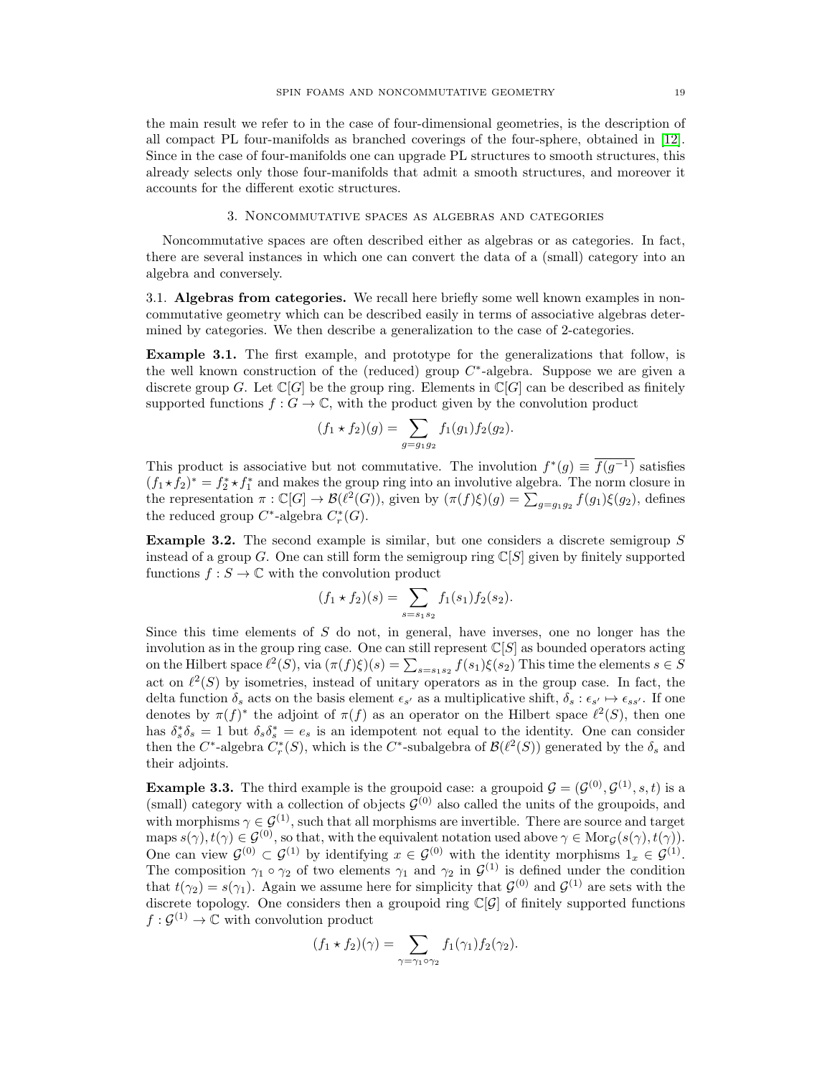the main result we refer to in the case of four-dimensional geometries, is the description of all compact PL four-manifolds as branched coverings of the four-sphere, obtained in [\[12\]](#page-47-12). Since in the case of four-manifolds one can upgrade PL structures to smooth structures, this already selects only those four-manifolds that admit a smooth structures, and moreover it accounts for the different exotic structures.

## 3. Noncommutative spaces as algebras and categories

<span id="page-18-0"></span>Noncommutative spaces are often described either as algebras or as categories. In fact, there are several instances in which one can convert the data of a (small) category into an algebra and conversely.

<span id="page-18-1"></span>3.1. Algebras from categories. We recall here briefly some well known examples in noncommutative geometry which can be described easily in terms of associative algebras determined by categories. We then describe a generalization to the case of 2-categories.

Example 3.1. The first example, and prototype for the generalizations that follow, is the well known construction of the (reduced) group  $C^*$ -algebra. Suppose we are given a discrete group G. Let  $\mathbb{C}[G]$  be the group ring. Elements in  $\mathbb{C}[G]$  can be described as finitely supported functions  $f: G \to \mathbb{C}$ , with the product given by the convolution product

$$
(f_1 * f_2)(g) = \sum_{g=g_1g_2} f_1(g_1) f_2(g_2).
$$

This product is associative but not commutative. The involution  $f^*(g) \equiv \overline{f(g^{-1})}$  satisfies  $(f_1 \star f_2)^* = f_2^* \star f_1^*$  and makes the group ring into an involutive algebra. The norm closure in the representation  $\pi : \mathbb{C}[G] \to \mathcal{B}(\ell^2(G))$ , given by  $(\pi(f)\xi)(g) = \sum_{g=g_1g_2} f(g_1)\xi(g_2)$ , defines the reduced group  $C^*$ -algebra  $C_r^*(G)$ .

Example 3.2. The second example is similar, but one considers a discrete semigroup S instead of a group G. One can still form the semigroup ring  $\mathbb{C}[S]$  given by finitely supported functions  $f : S \to \mathbb{C}$  with the convolution product

$$
(f_1 * f_2)(s) = \sum_{s=s_1s_2} f_1(s_1) f_2(s_2).
$$

Since this time elements of  $S$  do not, in general, have inverses, one no longer has the involution as in the group ring case. One can still represent  $\mathbb{C}[S]$  as bounded operators acting on the Hilbert space  $\ell^2(S)$ , via  $(\pi(f)\xi)(s) = \sum_{s=s_1s_2} f(s_1)\xi(s_2)$  This time the elements  $s \in S$ act on  $\ell^2(S)$  by isometries, instead of unitary operators as in the group case. In fact, the delta function  $\delta_s$  acts on the basis element  $\epsilon_{s'}$  as a multiplicative shift,  $\delta_s : \epsilon_{s'} \mapsto \epsilon_{ss'}$ . If one denotes by  $\pi(f)^*$  the adjoint of  $\pi(f)$  as an operator on the Hilbert space  $\ell^2(S)$ , then one has  $\delta_s^* \delta_s = 1$  but  $\delta_s \delta_s^* = e_s$  is an idempotent not equal to the identity. One can consider then the  $C^*$ -algebra  $C^*_r(S)$ , which is the  $C^*$ -subalgebra of  $\mathcal{B}(\ell^2(S))$  generated by the  $\delta_s$  and their adjoints.

**Example 3.3.** The third example is the groupoid case: a groupoid  $\mathcal{G} = (\mathcal{G}^{(0)}, \mathcal{G}^{(1)}, s, t)$  is a (small) category with a collection of objects  $\mathcal{G}^{(0)}$  also called the units of the groupoids, and with morphisms  $\gamma \in \mathcal{G}^{(1)}$ , such that all morphisms are invertible. There are source and target maps  $s(\gamma)$ ,  $t(\gamma) \in \mathcal{G}^{(0)}$ , so that, with the equivalent notation used above  $\gamma \in \text{Mor}_{\mathcal{G}}(s(\gamma), t(\gamma))$ . One can view  $\mathcal{G}^{(0)} \subset \mathcal{G}^{(1)}$  by identifying  $x \in \mathcal{G}^{(0)}$  with the identity morphisms  $1_x \in \mathcal{G}^{(1)}$ . The composition  $\gamma_1 \circ \gamma_2$  of two elements  $\gamma_1$  and  $\gamma_2$  in  $\mathcal{G}^{(1)}$  is defined under the condition that  $t(\gamma_2) = s(\gamma_1)$ . Again we assume here for simplicity that  $\mathcal{G}^{(0)}$  and  $\mathcal{G}^{(1)}$  are sets with the discrete topology. One considers then a groupoid ring  $\mathbb{C}[\mathcal{G}]$  of finitely supported functions  $f: \mathcal{G}^{(1)} \to \mathbb{C}$  with convolution product

$$
(f_1 * f_2)(\gamma) = \sum_{\gamma = \gamma_1 \circ \gamma_2} f_1(\gamma_1) f_2(\gamma_2).
$$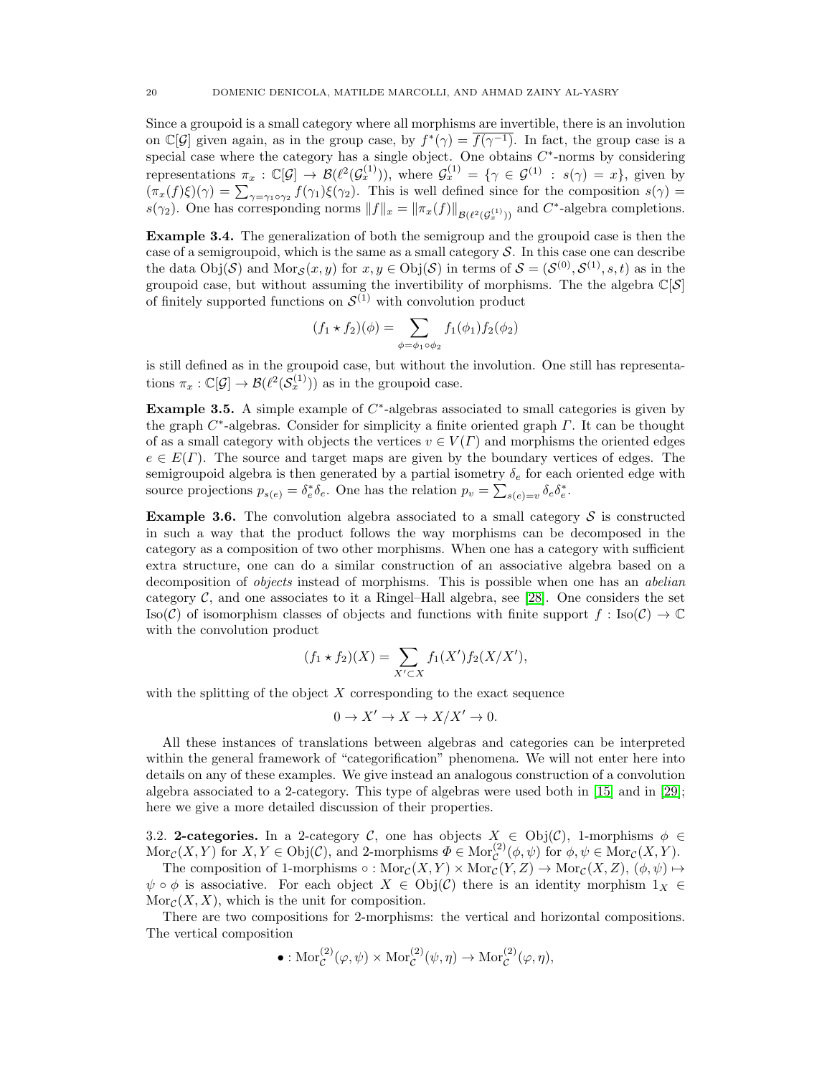Since a groupoid is a small category where all morphisms are invertible, there is an involution on  $\mathbb{C}[\mathcal{G}]$  given again, as in the group case, by  $f^*(\gamma) = \overline{f(\gamma^{-1})}$ . In fact, the group case is a special case where the category has a single object. One obtains  $C^*$ -norms by considering representations  $\pi_x : \mathbb{C}[\mathcal{G}] \to \mathcal{B}(\ell^2(\mathcal{G}_x^{(1)}))$ , where  $\mathcal{G}_x^{(1)} = \{ \gamma \in \mathcal{G}^{(1)} : s(\gamma) = x \}$ , given by  $(\pi_x(f)\xi)(\gamma) = \sum_{\gamma=\gamma_1\circ\gamma_2} f(\gamma_1)\xi(\gamma_2)$ . This is well defined since for the composition  $s(\gamma)$  $s(\gamma_2)$ . One has corresponding norms  $||f||_x = ||\pi_x(f)||_{\mathcal{B}(\ell^2(\mathcal{G}_x^{(1)}))}$  and  $C^*$ -algebra completions.

Example 3.4. The generalization of both the semigroup and the groupoid case is then the case of a semigroupoid, which is the same as a small category  $S$ . In this case one can describe the data  $Obj(\mathcal{S})$  and  $Mor_{\mathcal{S}}(x, y)$  for  $x, y \in Obj(\mathcal{S})$  in terms of  $\mathcal{S} = (\mathcal{S}^{(0)}, \mathcal{S}^{(1)}, s, t)$  as in the groupoid case, but without assuming the invertibility of morphisms. The the algebra  $\mathbb{C}[\mathcal{S}]$ of finitely supported functions on  $\mathcal{S}^{(1)}$  with convolution product

$$
(f_1 * f_2)(\phi) = \sum_{\phi = \phi_1 \circ \phi_2} f_1(\phi_1) f_2(\phi_2)
$$

is still defined as in the groupoid case, but without the involution. One still has representations  $\pi_x : \mathbb{C}[\mathcal{G}] \to \mathcal{B}(\ell^2(\mathcal{S}_x^{(1)}))$  as in the groupoid case.

Example 3.5. A simple example of  $C^*$ -algebras associated to small categories is given by the graph  $C^*$ -algebras. Consider for simplicity a finite oriented graph  $\Gamma$ . It can be thought of as a small category with objects the vertices  $v \in V(\Gamma)$  and morphisms the oriented edges  $e \in E(\Gamma)$ . The source and target maps are given by the boundary vertices of edges. The semigroupoid algebra is then generated by a partial isometry  $\delta_e$  for each oriented edge with source projections  $p_{s(e)} = \delta_e^* \delta_e$ . One has the relation  $p_v = \sum_{s(e)=v} \delta_e \delta_e^*$ .

**Example 3.6.** The convolution algebra associated to a small category  $S$  is constructed in such a way that the product follows the way morphisms can be decomposed in the category as a composition of two other morphisms. When one has a category with sufficient extra structure, one can do a similar construction of an associative algebra based on a decomposition of *objects* instead of morphisms. This is possible when one has an *abelian* category  $\mathcal{C}$ , and one associates to it a Ringel–Hall algebra, see [\[28\]](#page-47-28). One considers the set  $\text{Iso}(\mathcal{C})$  of isomorphism classes of objects and functions with finite support  $f : \text{Iso}(\mathcal{C}) \to \mathbb{C}$ with the convolution product

$$
(f_1 * f_2)(X) = \sum_{X' \subset X} f_1(X') f_2(X/X'),
$$

with the splitting of the object  $X$  corresponding to the exact sequence

$$
0 \to X' \to X \to X/X' \to 0.
$$

All these instances of translations between algebras and categories can be interpreted within the general framework of "categorification" phenomena. We will not enter here into details on any of these examples. We give instead an analogous construction of a convolution algebra associated to a 2-category. This type of algebras were used both in [\[15\]](#page-47-15) and in [\[29\]](#page-47-29); here we give a more detailed discussion of their properties.

<span id="page-19-0"></span>3.2. 2-categories. In a 2-category C, one has objects  $X_{\infty} \in \text{Obj}(\mathcal{C})$ , 1-morphisms  $\phi \in$  $\text{Mor}_{\mathcal{C}}(X, Y)$  for  $X, Y \in \text{Obj}(\mathcal{C})$ , and 2-morphisms  $\Phi \in \text{Mor}_{\mathcal{C}}^{(2)}(\phi, \psi)$  for  $\phi, \psi \in \text{Mor}_{\mathcal{C}}(X, Y)$ .

The composition of 1-morphisms  $\circ: \text{Mor}_{\mathcal{C}}(X, Y) \times \text{Mor}_{\mathcal{C}}(Y, Z) \to \text{Mor}_{\mathcal{C}}(X, Z), (\phi, \psi) \mapsto$  $\psi \circ \phi$  is associative. For each object  $X \in \mathrm{Obj}(\mathcal{C})$  there is an identity morphism  $1_X \in$  $Mor_{\mathcal{C}}(X, X)$ , which is the unit for composition.

There are two compositions for 2-morphisms: the vertical and horizontal compositions. The vertical composition

• : 
$$
\text{Mor}_{\mathcal{C}}^{(2)}(\varphi, \psi) \times \text{Mor}_{\mathcal{C}}^{(2)}(\psi, \eta) \to \text{Mor}_{\mathcal{C}}^{(2)}(\varphi, \eta),
$$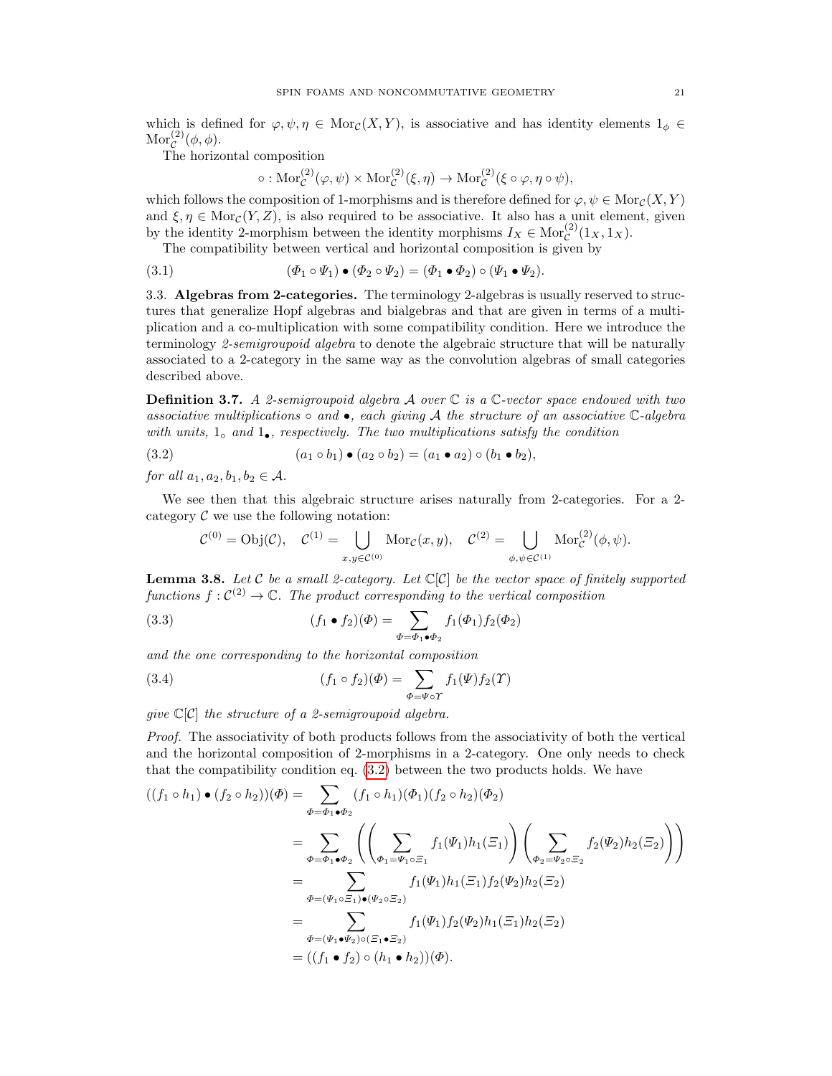which is defined for  $\varphi, \psi, \eta \in \text{Mor}_{\mathcal{C}}(X, Y)$ , is associative and has identity elements  $1_{\phi} \in$  $\mathrm{Mor}_{\mathcal{C}}^{(2)}(\phi,\phi).$ 

The horizontal composition

<span id="page-20-2"></span>
$$
\circ: \mathrm{Mor}_{\mathcal{C}}^{(2)}(\varphi, \psi) \times \mathrm{Mor}_{\mathcal{C}}^{(2)}(\xi, \eta) \to \mathrm{Mor}_{\mathcal{C}}^{(2)}(\xi \circ \varphi, \eta \circ \psi),
$$

which follows the composition of 1-morphisms and is therefore defined for  $\varphi, \psi \in \text{Mor}_{\mathcal{C}}(X, Y)$ and  $\xi, \eta \in \text{Mor}_{\mathcal{C}}(Y, Z)$ , is also required to be associative. It also has a unit element, given by the identity 2-morphism between the identity morphisms  $I_X \in \text{Mor}^{(2)}_{\mathcal{C}}(1_X, 1_X)$ .

The compatibility between vertical and horizontal composition is given by

(3.1) 
$$
(\Phi_1 \circ \Psi_1) \bullet (\Phi_2 \circ \Psi_2) = (\Phi_1 \bullet \Phi_2) \circ (\Psi_1 \bullet \Psi_2).
$$

<span id="page-20-0"></span>3.3. Algebras from 2-categories. The terminology 2-algebras is usually reserved to structures that generalize Hopf algebras and bialgebras and that are given in terms of a multiplication and a co-multiplication with some compatibility condition. Here we introduce the terminology 2-semigroupoid algebra to denote the algebraic structure that will be naturally associated to a 2-category in the same way as the convolution algebras of small categories described above.

<span id="page-20-3"></span>**Definition 3.7.** A 2-semigroupoid algebra A over  $\mathbb C$  is a  $\mathbb C$ -vector space endowed with two associative multiplications  $\circ$  and  $\bullet$ , each giving A the structure of an associative C-algebra with units,  $1<sub>°</sub>$  and  $1<sub>•</sub>$ , respectively. The two multiplications satisfy the condition

$$
(3.2) \qquad (a_1 \circ b_1) \bullet (a_2 \circ b_2) = (a_1 \bullet a_2) \circ (b_1 \bullet b_2),
$$

for all  $a_1, a_2, b_1, b_2 \in \mathcal{A}$ .

We see then that this algebraic structure arises naturally from 2-categories. For a 2 category  $\mathcal C$  we use the following notation:

<span id="page-20-1"></span>
$$
\mathcal{C}^{(0)} = \text{Obj}(\mathcal{C}), \quad \mathcal{C}^{(1)} = \bigcup_{x,y \in \mathcal{C}^{(0)}} \text{Mor}_{\mathcal{C}}(x,y), \quad \mathcal{C}^{(2)} = \bigcup_{\phi,\psi \in \mathcal{C}^{(1)}} \text{Mor}_{\mathcal{C}}^{(2)}(\phi,\psi).
$$

**Lemma 3.8.** Let  $C$  be a small 2-category. Let  $C[C]$  be the vector space of finitely supported functions  $f: C^{(2)} \to \mathbb{C}$ . The product corresponding to the vertical composition

(3.3) 
$$
(f_1 \bullet f_2)(\Phi) = \sum_{\Phi = \Phi_1 \bullet \Phi_2} f_1(\Phi_1) f_2(\Phi_2)
$$

and the one corresponding to the horizontal composition

(3.4) 
$$
(f_1 \circ f_2)(\Phi) = \sum_{\Phi = \Psi \circ \Upsilon} f_1(\Psi) f_2(\Upsilon)
$$

give  $\mathbb{C}[\mathcal{C}]$  the structure of a 2-semigroupoid algebra.

Proof. The associativity of both products follows from the associativity of both the vertical and the horizontal composition of 2-morphisms in a 2-category. One only needs to check that the compatibility condition eq. [\(3.2\)](#page-20-1) between the two products holds. We have

$$
((f_1 \circ h_1) \bullet (f_2 \circ h_2))(\Phi) = \sum_{\Phi = \Phi_1 \bullet \Phi_2} (f_1 \circ h_1)(\Phi_1)(f_2 \circ h_2)(\Phi_2)
$$
  
\n
$$
= \sum_{\Phi = \Phi_1 \bullet \Phi_2} \left( \left( \sum_{\Phi_1 = \Psi_1 \circ \Xi_1} f_1(\Psi_1) h_1(\Xi_1) \right) \left( \sum_{\Phi_2 = \Psi_2 \circ \Xi_2} f_2(\Psi_2) h_2(\Xi_2) \right) \right)
$$
  
\n
$$
= \sum_{\Phi = (\Psi_1 \circ \Xi_1) \bullet (\Psi_2 \circ \Xi_2)} f_1(\Psi_1) h_1(\Xi_1) f_2(\Psi_2) h_2(\Xi_2)
$$
  
\n
$$
= \sum_{\Phi = (\Psi_1 \bullet \Psi_2) \circ (\Xi_1 \bullet \Xi_2)} f_1(\Psi_1) f_2(\Psi_2) h_1(\Xi_1) h_2(\Xi_2)
$$
  
\n
$$
= ((f_1 \bullet f_2) \circ (h_1 \bullet h_2))(\Phi).
$$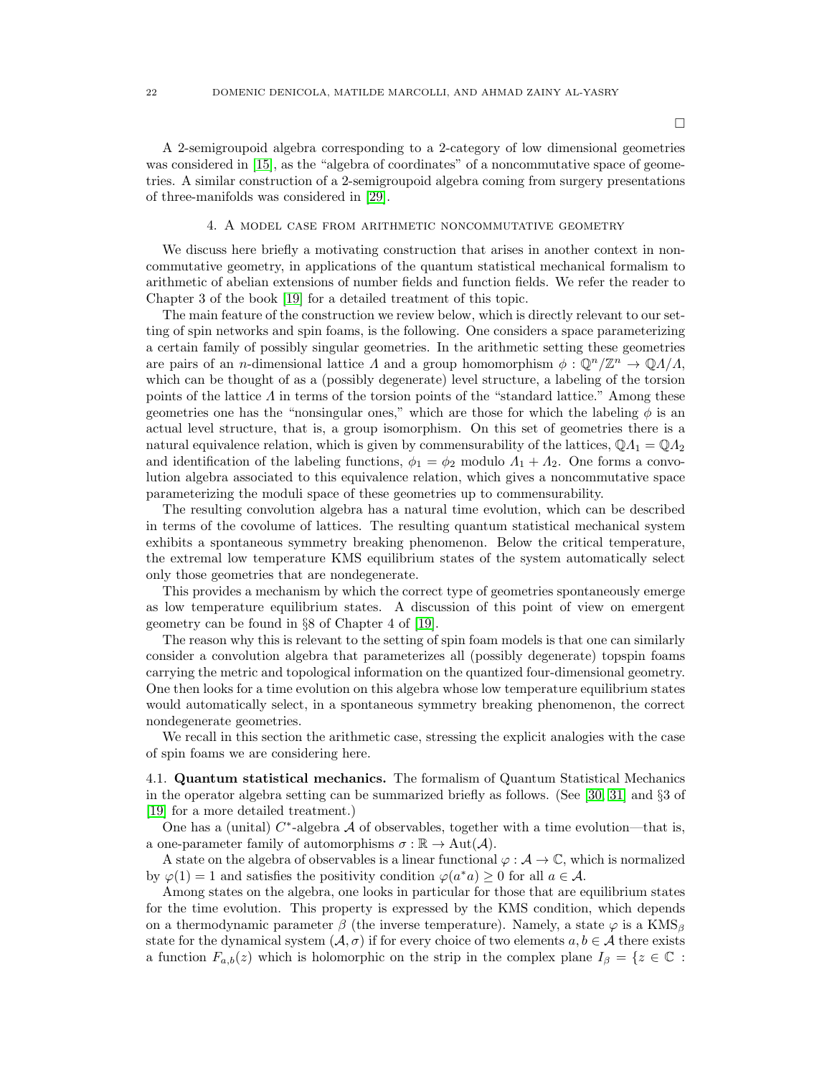$\Box$ 

A 2-semigroupoid algebra corresponding to a 2-category of low dimensional geometries was considered in [\[15\]](#page-47-15), as the "algebra of coordinates" of a noncommutative space of geometries. A similar construction of a 2-semigroupoid algebra coming from surgery presentations of three-manifolds was considered in [\[29\]](#page-47-29).

## 4. A model case from arithmetic noncommutative geometry

<span id="page-21-0"></span>We discuss here briefly a motivating construction that arises in another context in noncommutative geometry, in applications of the quantum statistical mechanical formalism to arithmetic of abelian extensions of number fields and function fields. We refer the reader to Chapter 3 of the book [\[19\]](#page-47-19) for a detailed treatment of this topic.

The main feature of the construction we review below, which is directly relevant to our setting of spin networks and spin foams, is the following. One considers a space parameterizing a certain family of possibly singular geometries. In the arithmetic setting these geometries are pairs of an *n*-dimensional lattice  $\Lambda$  and a group homomorphism  $\phi : \mathbb{Q}^n/\mathbb{Z}^n \to \mathbb{Q}\Lambda/\Lambda$ , which can be thought of as a (possibly degenerate) level structure, a labeling of the torsion points of the lattice  $\Lambda$  in terms of the torsion points of the "standard lattice." Among these geometries one has the "nonsingular ones," which are those for which the labeling  $\phi$  is an actual level structure, that is, a group isomorphism. On this set of geometries there is a natural equivalence relation, which is given by commensurability of the lattices,  $\mathbb{Q}A_1 = \mathbb{Q}A_2$ and identification of the labeling functions,  $\phi_1 = \phi_2$  modulo  $\Lambda_1 + \Lambda_2$ . One forms a convolution algebra associated to this equivalence relation, which gives a noncommutative space parameterizing the moduli space of these geometries up to commensurability.

The resulting convolution algebra has a natural time evolution, which can be described in terms of the covolume of lattices. The resulting quantum statistical mechanical system exhibits a spontaneous symmetry breaking phenomenon. Below the critical temperature, the extremal low temperature KMS equilibrium states of the system automatically select only those geometries that are nondegenerate.

This provides a mechanism by which the correct type of geometries spontaneously emerge as low temperature equilibrium states. A discussion of this point of view on emergent geometry can be found in §8 of Chapter 4 of [\[19\]](#page-47-19).

The reason why this is relevant to the setting of spin foam models is that one can similarly consider a convolution algebra that parameterizes all (possibly degenerate) topspin foams carrying the metric and topological information on the quantized four-dimensional geometry. One then looks for a time evolution on this algebra whose low temperature equilibrium states would automatically select, in a spontaneous symmetry breaking phenomenon, the correct nondegenerate geometries.

We recall in this section the arithmetic case, stressing the explicit analogies with the case of spin foams we are considering here.

<span id="page-21-1"></span>4.1. Quantum statistical mechanics. The formalism of Quantum Statistical Mechanics in the operator algebra setting can be summarized briefly as follows. (See [\[30,](#page-47-30) [31\]](#page-47-31) and §3 of [\[19\]](#page-47-19) for a more detailed treatment.)

One has a (unital)  $C^*$ -algebra A of observables, together with a time evolution—that is, a one-parameter family of automorphisms  $\sigma : \mathbb{R} \to \text{Aut}(\mathcal{A})$ .

A state on the algebra of observables is a linear functional  $\varphi : \mathcal{A} \to \mathbb{C}$ , which is normalized by  $\varphi(1) = 1$  and satisfies the positivity condition  $\varphi(a^*a) \ge 0$  for all  $a \in \mathcal{A}$ .

Among states on the algebra, one looks in particular for those that are equilibrium states for the time evolution. This property is expressed by the KMS condition, which depends on a thermodynamic parameter  $\beta$  (the inverse temperature). Namely, a state  $\varphi$  is a KMS<sub>β</sub> state for the dynamical system  $(A, \sigma)$  if for every choice of two elements  $a, b \in A$  there exists a function  $F_{a,b}(z)$  which is holomorphic on the strip in the complex plane  $I_{\beta} = \{z \in \mathbb{C} :$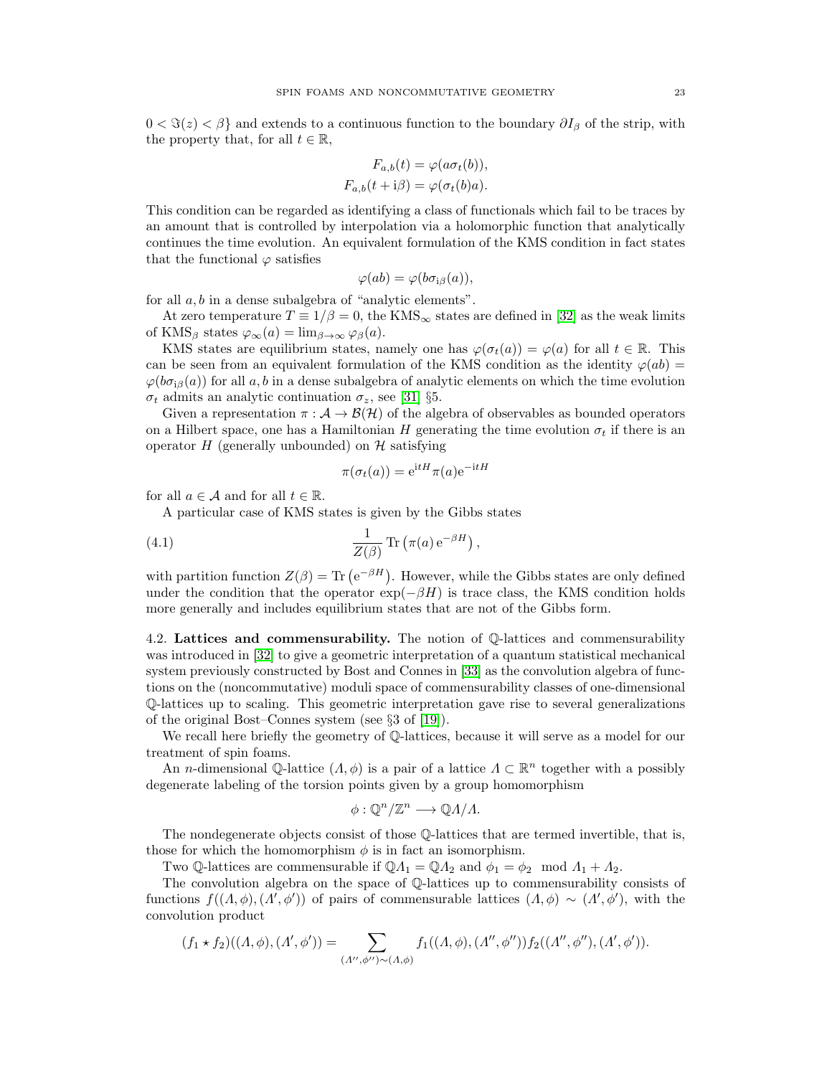$0 < \Im(z) < \beta$  and extends to a continuous function to the boundary  $\partial I_\beta$  of the strip, with the property that, for all  $t \in \mathbb{R}$ ,

$$
F_{a,b}(t) = \varphi(a\sigma_t(b)),
$$
  
\n
$$
F_{a,b}(t + i\beta) = \varphi(\sigma_t(b)a).
$$

This condition can be regarded as identifying a class of functionals which fail to be traces by an amount that is controlled by interpolation via a holomorphic function that analytically continues the time evolution. An equivalent formulation of the KMS condition in fact states that the functional  $\varphi$  satisfies

$$
\varphi(ab)=\varphi(b\sigma_{i\beta}(a)),
$$

for all a, b in a dense subalgebra of "analytic elements".

At zero temperature  $T \equiv 1/\beta = 0$ , the KMS<sub>∞</sub> states are defined in [\[32\]](#page-47-32) as the weak limits of KMS<sub>β</sub> states  $\varphi_{\infty}(a) = \lim_{\beta \to \infty} \varphi_{\beta}(a)$ .

KMS states are equilibrium states, namely one has  $\varphi(\sigma_t(a)) = \varphi(a)$  for all  $t \in \mathbb{R}$ . This can be seen from an equivalent formulation of the KMS condition as the identity  $\varphi(ab)$  $\varphi(b\sigma_{i\beta}(a))$  for all a, b in a dense subalgebra of analytic elements on which the time evolution  $\sigma_t$  admits an analytic continuation  $\sigma_z$ , see [\[31\]](#page-47-31) §5.

Given a representation  $\pi : \mathcal{A} \to \mathcal{B}(\mathcal{H})$  of the algebra of observables as bounded operators on a Hilbert space, one has a Hamiltonian H generating the time evolution  $\sigma_t$  if there is an operator  $H$  (generally unbounded) on  $H$  satisfying

$$
\pi(\sigma_t(a)) = e^{itH}\pi(a)e^{-itH}
$$

for all  $a \in \mathcal{A}$  and for all  $t \in \mathbb{R}$ .

A particular case of KMS states is given by the Gibbs states

(4.1) 
$$
\frac{1}{Z(\beta)} \operatorname{Tr} \left( \pi(a) e^{-\beta H} \right),
$$

with partition function  $Z(\beta) = \text{Tr} (e^{-\beta H})$ . However, while the Gibbs states are only defined under the condition that the operator  $\exp(-\beta H)$  is trace class, the KMS condition holds more generally and includes equilibrium states that are not of the Gibbs form.

<span id="page-22-0"></span>4.2. Lattices and commensurability. The notion of Q-lattices and commensurability was introduced in [\[32\]](#page-47-32) to give a geometric interpretation of a quantum statistical mechanical system previously constructed by Bost and Connes in [\[33\]](#page-47-33) as the convolution algebra of functions on the (noncommutative) moduli space of commensurability classes of one-dimensional Q-lattices up to scaling. This geometric interpretation gave rise to several generalizations of the original Bost–Connes system (see §3 of [\[19\]](#page-47-19)).

We recall here briefly the geometry of Q-lattices, because it will serve as a model for our treatment of spin foams.

An *n*-dimensional Q-lattice  $(\Lambda, \phi)$  is a pair of a lattice  $\Lambda \subset \mathbb{R}^n$  together with a possibly degenerate labeling of the torsion points given by a group homomorphism

$$
\phi: \mathbb{Q}^n/\mathbb{Z}^n \longrightarrow \mathbb{Q}A/A.
$$

The nondegenerate objects consist of those Q-lattices that are termed invertible, that is, those for which the homomorphism  $\phi$  is in fact an isomorphism.

Two Q-lattices are commensurable if  $\mathbb{Q}A_1 = \mathbb{Q}A_2$  and  $\phi_1 = \phi_2 \mod A_1 + A_2$ .

The convolution algebra on the space of Q-lattices up to commensurability consists of functions  $f((\Lambda, \phi), (\Lambda', \phi'))$  of pairs of commensurable lattices  $(\Lambda, \phi) \sim (\Lambda', \phi')$ , with the convolution product

$$
(f_1 * f_2)((\Lambda, \phi), (\Lambda', \phi')) = \sum_{(\Lambda'', \phi'') \sim (\Lambda, \phi)} f_1((\Lambda, \phi), (\Lambda'', \phi'')) f_2((\Lambda'', \phi''), (\Lambda', \phi')).
$$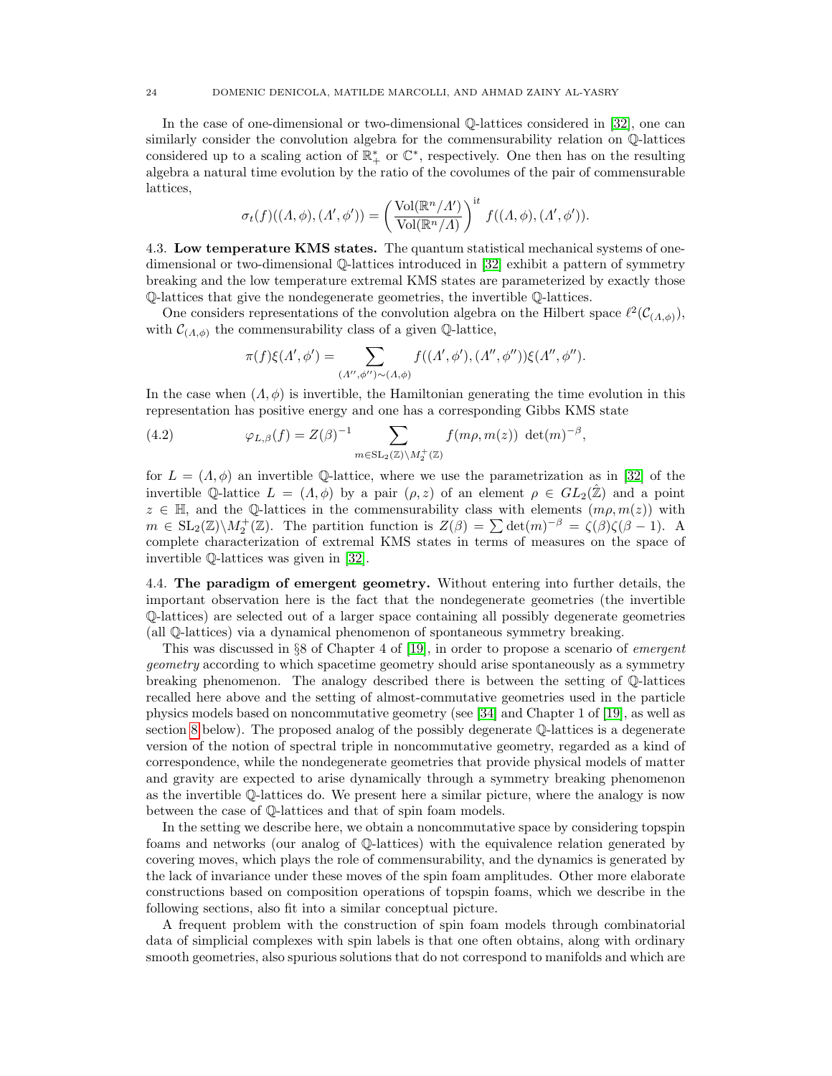In the case of one-dimensional or two-dimensional Q-lattices considered in [\[32\]](#page-47-32), one can similarly consider the convolution algebra for the commensurability relation on Q-lattices considered up to a scaling action of  $\mathbb{R}^*_+$  or  $\mathbb{C}^*$ , respectively. One then has on the resulting algebra a natural time evolution by the ratio of the covolumes of the pair of commensurable lattices,

$$
\sigma_t(f)((\Lambda,\phi),(\Lambda',\phi')) = \left(\frac{\text{Vol}(\mathbb{R}^n/\Lambda')}{\text{Vol}(\mathbb{R}^n/\Lambda)}\right)^{\text{it}} f((\Lambda,\phi),(\Lambda',\phi')).
$$

<span id="page-23-0"></span>4.3. Low temperature KMS states. The quantum statistical mechanical systems of onedimensional or two-dimensional Q-lattices introduced in [\[32\]](#page-47-32) exhibit a pattern of symmetry breaking and the low temperature extremal KMS states are parameterized by exactly those Q-lattices that give the nondegenerate geometries, the invertible Q-lattices.

One considers representations of the convolution algebra on the Hilbert space  $\ell^2(\mathcal{C}_{(A,\phi)}),$ with  $\mathcal{C}_{(A,\phi)}$  the commensurability class of a given Q-lattice,

$$
\pi(f)\xi(\Lambda',\phi') = \sum_{(\Lambda'',\phi'')\sim(\Lambda,\phi)} f((\Lambda',\phi'),(\Lambda'',\phi''))\xi(\Lambda'',\phi'').
$$

In the case when  $(A, \phi)$  is invertible, the Hamiltonian generating the time evolution in this representation has positive energy and one has a corresponding Gibbs KMS state

(4.2) 
$$
\varphi_{L,\beta}(f) = Z(\beta)^{-1} \sum_{m \in \text{SL}_2(\mathbb{Z}) \backslash M_2^+(\mathbb{Z})} f(m\rho, m(z)) \det(m)^{-\beta},
$$

for  $L = (\Lambda, \phi)$  an invertible Q-lattice, where we use the parametrization as in [\[32\]](#page-47-32) of the invertible Q-lattice  $L = (\Lambda, \phi)$  by a pair  $(\rho, z)$  of an element  $\rho \in GL_2(\hat{\mathbb{Z}})$  and a point  $z \in \mathbb{H}$ , and the Q-lattices in the commensurability class with elements  $(m\rho, m(z))$  with  $m \in SL_2(\mathbb{Z}) \backslash M_2^+(\mathbb{Z})$ . The partition function is  $Z(\beta) = \sum \det(m)^{-\beta} = \zeta(\beta)\zeta(\beta-1)$ . A complete characterization of extremal KMS states in terms of measures on the space of invertible Q-lattices was given in [\[32\]](#page-47-32).

<span id="page-23-1"></span>4.4. The paradigm of emergent geometry. Without entering into further details, the important observation here is the fact that the nondegenerate geometries (the invertible Q-lattices) are selected out of a larger space containing all possibly degenerate geometries (all Q-lattices) via a dynamical phenomenon of spontaneous symmetry breaking.

This was discussed in §8 of Chapter 4 of [\[19\]](#page-47-19), in order to propose a scenario of emergent geometry according to which spacetime geometry should arise spontaneously as a symmetry breaking phenomenon. The analogy described there is between the setting of Q-lattices recalled here above and the setting of almost-commutative geometries used in the particle physics models based on noncommutative geometry (see [\[34\]](#page-48-0) and Chapter 1 of [\[19\]](#page-47-19), as well as section [8](#page-42-0) below). The proposed analog of the possibly degenerate Q-lattices is a degenerate version of the notion of spectral triple in noncommutative geometry, regarded as a kind of correspondence, while the nondegenerate geometries that provide physical models of matter and gravity are expected to arise dynamically through a symmetry breaking phenomenon as the invertible Q-lattices do. We present here a similar picture, where the analogy is now between the case of Q-lattices and that of spin foam models.

In the setting we describe here, we obtain a noncommutative space by considering topspin foams and networks (our analog of Q-lattices) with the equivalence relation generated by covering moves, which plays the role of commensurability, and the dynamics is generated by the lack of invariance under these moves of the spin foam amplitudes. Other more elaborate constructions based on composition operations of topspin foams, which we describe in the following sections, also fit into a similar conceptual picture.

A frequent problem with the construction of spin foam models through combinatorial data of simplicial complexes with spin labels is that one often obtains, along with ordinary smooth geometries, also spurious solutions that do not correspond to manifolds and which are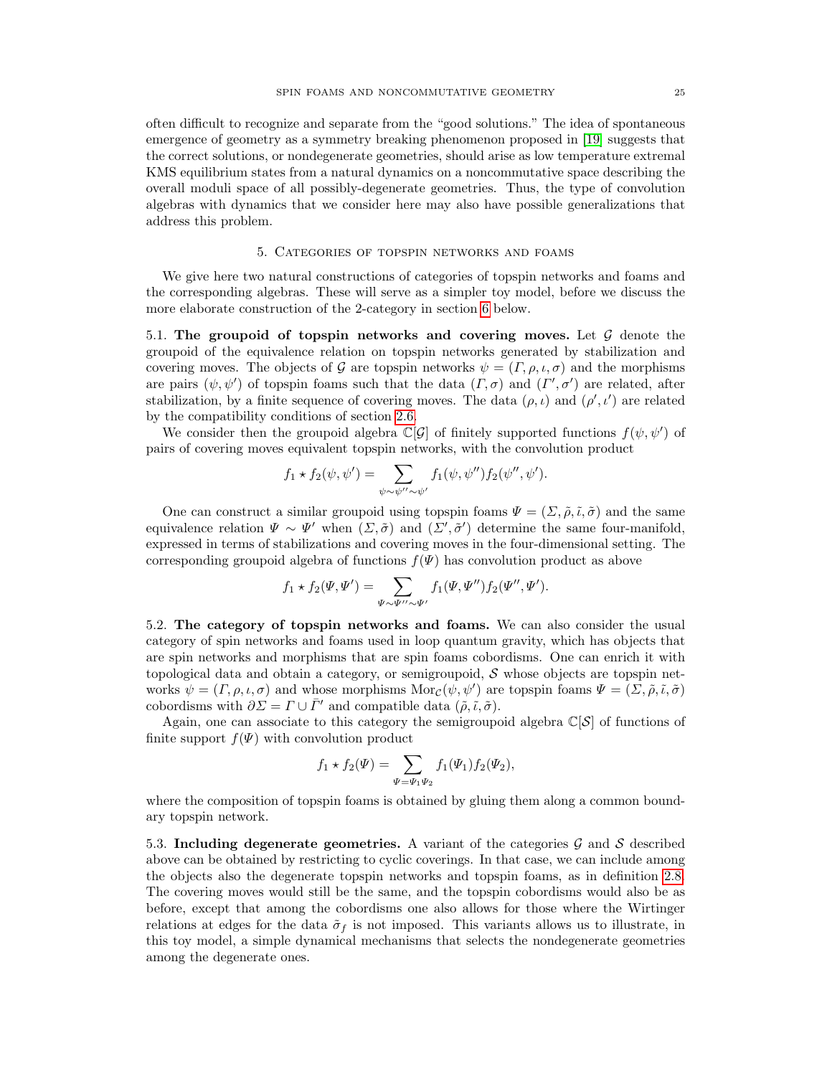often difficult to recognize and separate from the "good solutions." The idea of spontaneous emergence of geometry as a symmetry breaking phenomenon proposed in [\[19\]](#page-47-19) suggests that the correct solutions, or nondegenerate geometries, should arise as low temperature extremal KMS equilibrium states from a natural dynamics on a noncommutative space describing the overall moduli space of all possibly-degenerate geometries. Thus, the type of convolution algebras with dynamics that we consider here may also have possible generalizations that address this problem.

## 5. Categories of topspin networks and foams

<span id="page-24-0"></span>We give here two natural constructions of categories of topspin networks and foams and the corresponding algebras. These will serve as a simpler toy model, before we discuss the more elaborate construction of the 2-category in section [6](#page-29-0) below.

<span id="page-24-1"></span>5.1. The groupoid of topspin networks and covering moves. Let  $\mathcal G$  denote the groupoid of the equivalence relation on topspin networks generated by stabilization and covering moves. The objects of G are topspin networks  $\psi = (\Gamma, \rho, \iota, \sigma)$  and the morphisms are pairs  $(\psi, \psi')$  of topspin foams such that the data  $(\Gamma, \sigma)$  and  $(\Gamma', \sigma')$  are related, after stabilization, by a finite sequence of covering moves. The data  $(\rho, \iota)$  and  $(\rho', \iota')$  are related by the compatibility conditions of section [2.6.](#page-8-0)

We consider then the groupoid algebra  $\mathbb{C}[\mathcal{G}]$  of finitely supported functions  $f(\psi, \psi')$  of pairs of covering moves equivalent topspin networks, with the convolution product

$$
f_1 \star f_2(\psi, \psi') = \sum_{\psi \sim \psi'' \sim \psi'} f_1(\psi, \psi'') f_2(\psi'', \psi').
$$

One can construct a similar groupoid using topspin foams  $\Psi = (\Sigma, \tilde{\rho}, \tilde{\iota}, \tilde{\sigma})$  and the same equivalence relation  $\Psi \sim \Psi'$  when  $(\Sigma, \tilde{\sigma})$  and  $(\Sigma', \tilde{\sigma}')$  determine the same four-manifold, expressed in terms of stabilizations and covering moves in the four-dimensional setting. The corresponding groupoid algebra of functions  $f(\Psi)$  has convolution product as above

$$
f_1 \star f_2(\Psi, \Psi') = \sum_{\Psi \sim \Psi'' \sim \Psi'} f_1(\Psi, \Psi'') f_2(\Psi'', \Psi').
$$

<span id="page-24-2"></span>5.2. The category of topspin networks and foams. We can also consider the usual category of spin networks and foams used in loop quantum gravity, which has objects that are spin networks and morphisms that are spin foams cobordisms. One can enrich it with topological data and obtain a category, or semigroupoid,  $\mathcal S$  whose objects are topspin networks  $\psi = (\Gamma, \rho, \iota, \sigma)$  and whose morphisms  $\text{Mor}_{\mathcal{C}}(\psi, \psi')$  are topspin foams  $\Psi = (\Sigma, \tilde{\rho}, \tilde{\iota}, \tilde{\sigma})$ cobordisms with  $\partial \Sigma = \Gamma \cup \overline{\Gamma}'$  and compatible data  $(\tilde{\rho}, \tilde{\iota}, \tilde{\sigma})$ .

Again, one can associate to this category the semigroupoid algebra  $\mathbb{C}[\mathcal{S}]$  of functions of finite support  $f(\Psi)$  with convolution product

$$
f_1 * f_2(\Psi) = \sum_{\Psi = \Psi_1 \Psi_2} f_1(\Psi_1) f_2(\Psi_2),
$$

where the composition of topspin foams is obtained by gluing them along a common boundary topspin network.

<span id="page-24-3"></span>5.3. Including degenerate geometries. A variant of the categories  $\mathcal G$  and  $\mathcal S$  described above can be obtained by restricting to cyclic coverings. In that case, we can include among the objects also the degenerate topspin networks and topspin foams, as in definition [2.8.](#page-15-2) The covering moves would still be the same, and the topspin cobordisms would also be as before, except that among the cobordisms one also allows for those where the Wirtinger relations at edges for the data  $\tilde{\sigma}_f$  is not imposed. This variants allows us to illustrate, in this toy model, a simple dynamical mechanisms that selects the nondegenerate geometries among the degenerate ones.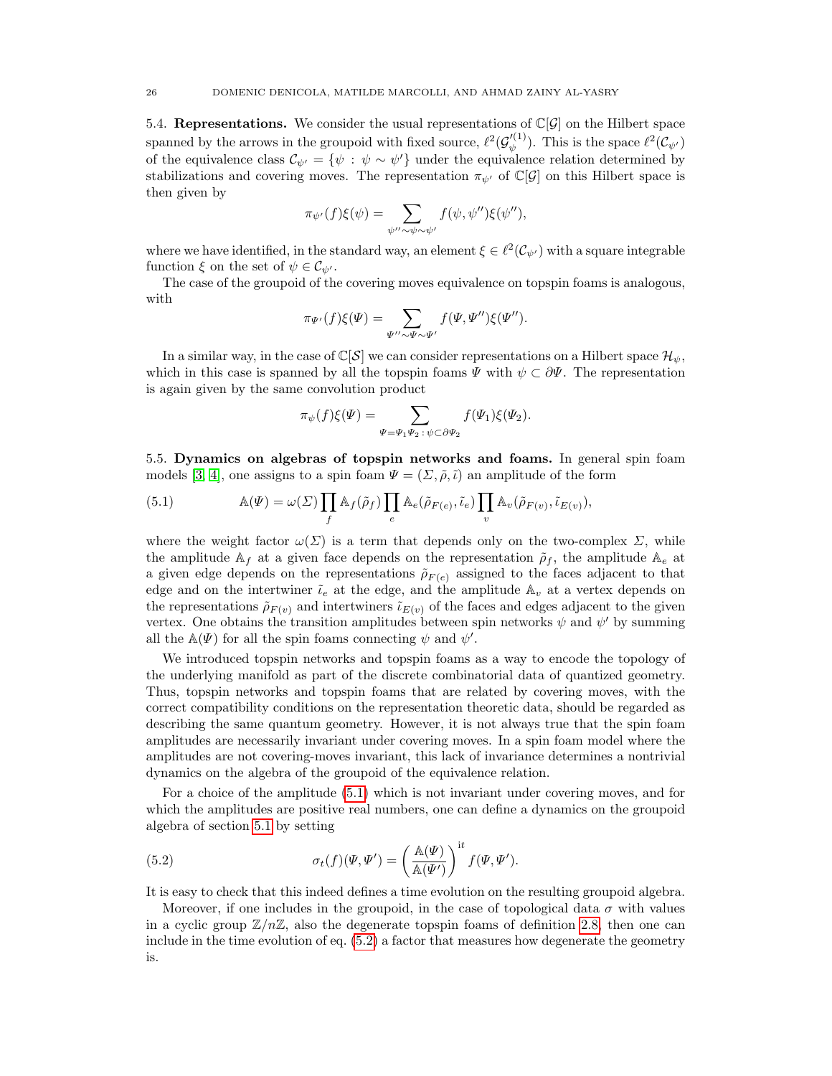<span id="page-25-0"></span>5.4. Representations. We consider the usual representations of  $\mathbb{C}[\mathcal{G}]$  on the Hilbert space spanned by the arrows in the groupoid with fixed source,  $\ell^2(\mathcal{G}'^{(1)}_{\psi}$  $\psi^{(1)}$ ). This is the space  $\ell^2(\mathcal{C}_{\psi'})$ of the equivalence class  $\mathcal{C}_{\psi'} = {\psi : \psi \sim \psi'}$  under the equivalence relation determined by stabilizations and covering moves. The representation  $\pi_{\psi}$  of  $\mathbb{C}[G]$  on this Hilbert space is then given by

$$
\pi_{\psi'}(f)\xi(\psi) = \sum_{\psi'' \sim \psi \sim \psi'} f(\psi, \psi'')\xi(\psi''),
$$

where we have identified, in the standard way, an element  $\xi \in \ell^2(\mathcal{C}_{\psi'})$  with a square integrable function  $\xi$  on the set of  $\psi \in \mathcal{C}_{\psi'}$ .

The case of the groupoid of the covering moves equivalence on topspin foams is analogous, with

$$
\pi_{\Psi'}(f)\xi(\Psi) = \sum_{\Psi''\sim\Psi\sim\Psi'} f(\Psi,\Psi'')\xi(\Psi'').
$$

In a similar way, in the case of  $\mathbb{C}[\mathcal{S}]$  we can consider representations on a Hilbert space  $\mathcal{H}_{\psi}$ , which in this case is spanned by all the topspin foams  $\Psi$  with  $\psi \subset \partial \Psi$ . The representation is again given by the same convolution product

$$
\pi_{\psi}(f)\xi(\Psi) = \sum_{\Psi = \Psi_1\Psi_2\,:\,\psi \subset \partial\Psi_2} f(\Psi_1)\xi(\Psi_2).
$$

<span id="page-25-1"></span>5.5. Dynamics on algebras of topspin networks and foams. In general spin foam models [\[3,](#page-47-3) [4\]](#page-47-4), one assigns to a spin foam  $\Psi = (\Sigma, \tilde{\rho}, \tilde{\iota})$  an amplitude of the form

<span id="page-25-2"></span>(5.1) 
$$
\mathbb{A}(\Psi) = \omega(\Sigma) \prod_{f} \mathbb{A}_{f}(\tilde{\rho}_{f}) \prod_{e} \mathbb{A}_{e}(\tilde{\rho}_{F(e)}, \tilde{\iota}_{e}) \prod_{v} \mathbb{A}_{v}(\tilde{\rho}_{F(v)}, \tilde{\iota}_{E(v)}),
$$

where the weight factor  $\omega(\Sigma)$  is a term that depends only on the two-complex  $\Sigma$ , while the amplitude  $A_f$  at a given face depends on the representation  $\tilde{\rho}_f$ , the amplitude  $A_e$  at a given edge depends on the representations  $\tilde{\rho}_{F(e)}$  assigned to the faces adjacent to that edge and on the intertwiner  $\tilde{\iota}_e$  at the edge, and the amplitude  $\mathbb{A}_v$  at a vertex depends on the representations  $\tilde{\rho}_{F(v)}$  and intertwiners  $\tilde{\iota}_{E(v)}$  of the faces and edges adjacent to the given vertex. One obtains the transition amplitudes between spin networks  $\psi$  and  $\psi'$  by summing all the  $\mathbb{A}(\Psi)$  for all the spin foams connecting  $\psi$  and  $\psi'$ .

We introduced topspin networks and topspin foams as a way to encode the topology of the underlying manifold as part of the discrete combinatorial data of quantized geometry. Thus, topspin networks and topspin foams that are related by covering moves, with the correct compatibility conditions on the representation theoretic data, should be regarded as describing the same quantum geometry. However, it is not always true that the spin foam amplitudes are necessarily invariant under covering moves. In a spin foam model where the amplitudes are not covering-moves invariant, this lack of invariance determines a nontrivial dynamics on the algebra of the groupoid of the equivalence relation.

For a choice of the amplitude [\(5.1\)](#page-25-2) which is not invariant under covering moves, and for which the amplitudes are positive real numbers, one can define a dynamics on the groupoid algebra of section [5.1](#page-24-1) by setting

<span id="page-25-3"></span>(5.2) 
$$
\sigma_t(f)(\Psi, \Psi') = \left(\frac{\mathbb{A}(\Psi)}{\mathbb{A}(\Psi')}\right)^{\mathrm{i}t} f(\Psi, \Psi').
$$

It is easy to check that this indeed defines a time evolution on the resulting groupoid algebra.

Moreover, if one includes in the groupoid, in the case of topological data  $\sigma$  with values in a cyclic group  $\mathbb{Z}/n\mathbb{Z}$ , also the degenerate topspin foams of definition [2.8,](#page-15-2) then one can include in the time evolution of eq. [\(5.2\)](#page-25-3) a factor that measures how degenerate the geometry is.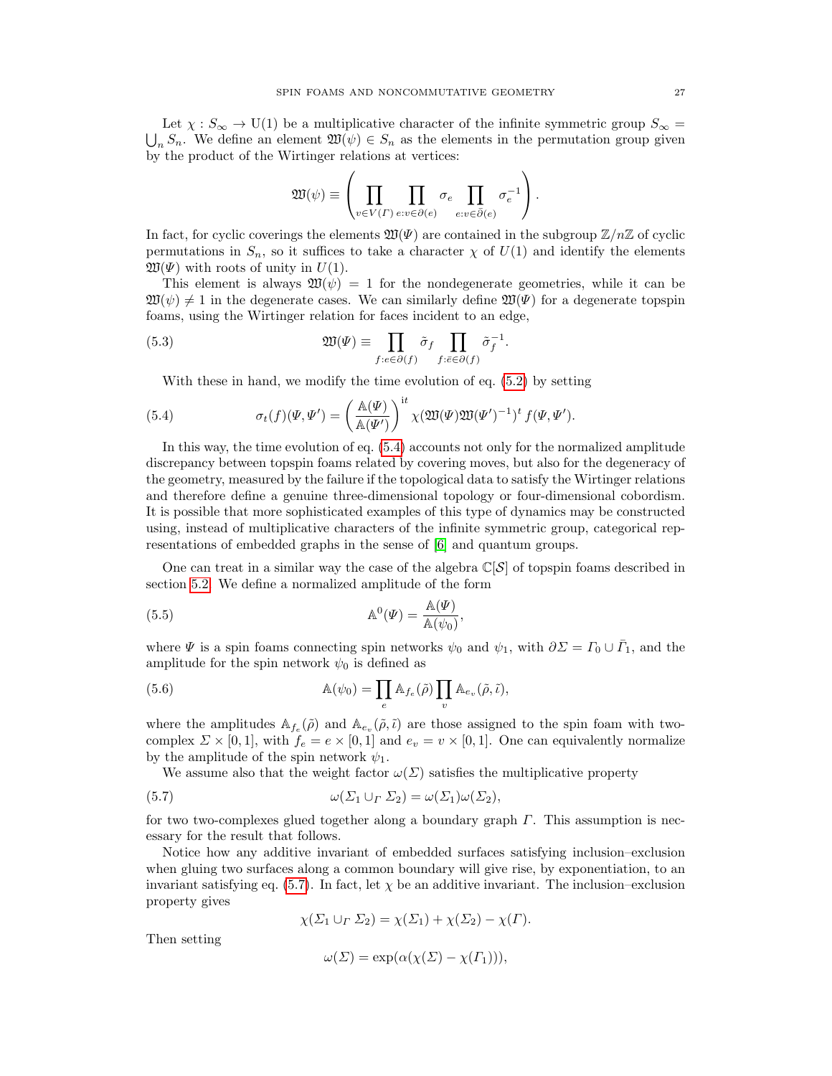Let  $\chi : S_{\infty} \to U(1)$  be a multiplicative character of the infinite symmetric group  $S_{\infty} = \bigcup_n S_n$ . We define an element  $\mathfrak{W}(\psi) \in S_n$  as the elements in the permutation group given by the product of the Wirtinger relations at vertices:

<span id="page-26-3"></span>
$$
\mathfrak{W}(\psi) \equiv \left(\prod_{v \in V(\varGamma) \ e:v \in \partial(e)} \sigma_e \prod_{e:v \in \bar{\partial}(e)} \sigma_e^{-1}\right).
$$

In fact, for cyclic coverings the elements  $\mathfrak{W}(\Psi)$  are contained in the subgroup  $\mathbb{Z}/n\mathbb{Z}$  of cyclic permutations in  $S_n$ , so it suffices to take a character  $\chi$  of  $U(1)$  and identify the elements  $\mathfrak{W}(\Psi)$  with roots of unity in  $U(1)$ .

This element is always  $\mathfrak{W}(\psi) = 1$  for the nondegenerate geometries, while it can be  $\mathfrak{W}(\psi) \neq 1$  in the degenerate cases. We can similarly define  $\mathfrak{W}(\Psi)$  for a degenerate topspin foams, using the Wirtinger relation for faces incident to an edge,

(5.3) 
$$
\mathfrak{W}(\Psi) \equiv \prod_{f:e \in \partial(f)} \tilde{\sigma}_f \prod_{f:\bar{e} \in \partial(f)} \tilde{\sigma}_f^{-1}.
$$

<span id="page-26-0"></span>With these in hand, we modify the time evolution of eq. [\(5.2\)](#page-25-3) by setting

(5.4) 
$$
\sigma_t(f)(\Psi, \Psi') = \left(\frac{\mathbb{A}(\Psi)}{\mathbb{A}(\Psi')}\right)^{\mathrm{i}t} \chi(\mathfrak{W}(\Psi)\mathfrak{W}(\Psi')^{-1})^t f(\Psi, \Psi').
$$

In this way, the time evolution of eq. [\(5.4\)](#page-26-0) accounts not only for the normalized amplitude discrepancy between topspin foams related by covering moves, but also for the degeneracy of the geometry, measured by the failure if the topological data to satisfy the Wirtinger relations and therefore define a genuine three-dimensional topology or four-dimensional cobordism. It is possible that more sophisticated examples of this type of dynamics may be constructed using, instead of multiplicative characters of the infinite symmetric group, categorical representations of embedded graphs in the sense of [\[6\]](#page-47-6) and quantum groups.

One can treat in a similar way the case of the algebra  $\mathbb{C}[\mathcal{S}]$  of topspin foams described in section [5.2.](#page-24-2) We define a normalized amplitude of the form

<span id="page-26-2"></span>(5.5) 
$$
\mathbb{A}^0(\Psi) = \frac{\mathbb{A}(\Psi)}{\mathbb{A}(\psi_0)},
$$

where  $\Psi$  is a spin foams connecting spin networks  $\psi_0$  and  $\psi_1$ , with  $\partial \Sigma = \Gamma_0 \cup \overline{\Gamma}_1$ , and the amplitude for the spin network  $\psi_0$  is defined as

(5.6) 
$$
\mathbb{A}(\psi_0) = \prod_e \mathbb{A}_{f_e}(\tilde{\rho}) \prod_v \mathbb{A}_{e_v}(\tilde{\rho}, \tilde{\iota}),
$$

where the amplitudes  $\mathbb{A}_{f_e}(\tilde{\rho})$  and  $\mathbb{A}_{e_v}(\tilde{\rho}, \tilde{\iota})$  are those assigned to the spin foam with twocomplex  $\Sigma \times [0,1]$ , with  $f_e = e \times [0,1]$  and  $e_v = v \times [0,1]$ . One can equivalently normalize by the amplitude of the spin network  $\psi_1$ .

We assume also that the weight factor  $\omega(\Sigma)$  satisfies the multiplicative property

(5.7) 
$$
\omega(\Sigma_1 \cup_{\Gamma} \Sigma_2) = \omega(\Sigma_1)\omega(\Sigma_2),
$$

for two two-complexes glued together along a boundary graph  $\Gamma$ . This assumption is necessary for the result that follows.

Notice how any additive invariant of embedded surfaces satisfying inclusion–exclusion when gluing two surfaces along a common boundary will give rise, by exponentiation, to an invariant satisfying eq. [\(5.7\)](#page-26-1). In fact, let  $\chi$  be an additive invariant. The inclusion–exclusion property gives

<span id="page-26-1"></span>
$$
\chi(\Sigma_1 \cup_{\Gamma} \Sigma_2) = \chi(\Sigma_1) + \chi(\Sigma_2) - \chi(\Gamma).
$$

Then setting

$$
\omega(\Sigma) = \exp(\alpha(\chi(\Sigma) - \chi(\Gamma_1))),
$$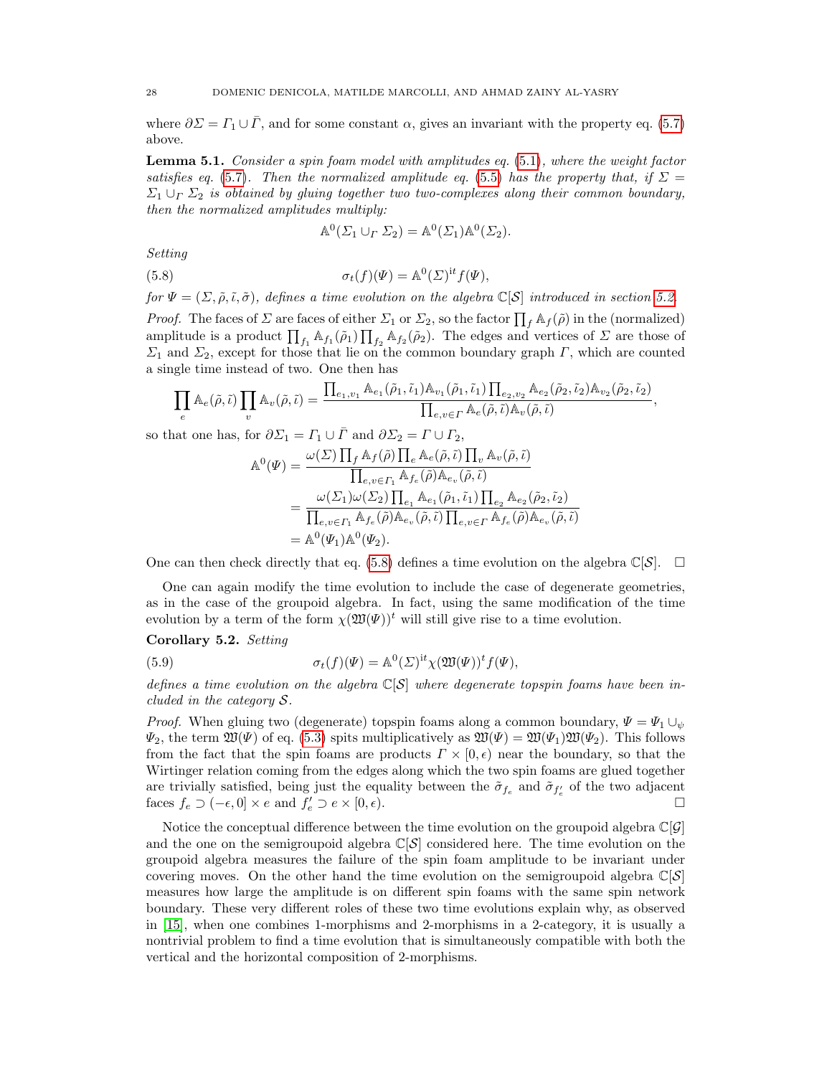where  $\partial \Sigma = \Gamma_1 \cup \overline{\Gamma}$ , and for some constant  $\alpha$ , gives an invariant with the property eq. [\(5.7\)](#page-26-1) above.

<span id="page-27-1"></span>**Lemma 5.1.** Consider a spin foam model with amplitudes eq.  $(5.1)$ , where the weight factor satisfies eq. [\(5.7\)](#page-26-1). Then the normalized amplitude eq. [\(5.5\)](#page-26-2) has the property that, if  $\Sigma =$  $\Sigma_1 \cup_{\Gamma} \Sigma_2$  is obtained by gluing together two two-complexes along their common boundary, then the normalized amplitudes multiply:

<span id="page-27-0"></span>
$$
\mathbb{A}^0(\Sigma_1 \cup_{\Gamma} \Sigma_2) = \mathbb{A}^0(\Sigma_1)\mathbb{A}^0(\Sigma_2).
$$

Setting

(5.8) 
$$
\sigma_t(f)(\Psi) = \mathbb{A}^0(\Sigma)^{it} f(\Psi),
$$

for  $\Psi = (\Sigma, \tilde{\rho}, \tilde{\iota}, \tilde{\sigma})$ , defines a time evolution on the algebra  $\mathbb{C}[\mathcal{S}]$  introduced in section [5.2.](#page-24-2)

*Proof.* The faces of  $\Sigma$  are faces of either  $\Sigma_1$  or  $\Sigma_2$ , so the factor  $\prod_f \mathbb{A}_f(\tilde{\rho})$  in the (normalized) amplitude is a product  $\prod_{f_1} A_{f_1}(\tilde{\rho}_1) \prod_{f_2} A_{f_2}(\tilde{\rho}_2)$ . The edges and vertices of  $\Sigma$  are those of  $\Sigma_1$  and  $\Sigma_2$ , except for those that lie on the common boundary graph  $\Gamma$ , which are counted a single time instead of two. One then has

$$
\prod_e A_e(\tilde{\rho}, \tilde{\iota}) \prod_v A_v(\tilde{\rho}, \tilde{\iota}) = \frac{\prod_{e_1, v_1} A_{e_1}(\tilde{\rho}_1, \tilde{\iota}_1) A_{v_1}(\tilde{\rho}_1, \tilde{\iota}_1) \prod_{e_2, v_2} A_{e_2}(\tilde{\rho}_2, \tilde{\iota}_2) A_{v_2}(\tilde{\rho}_2, \tilde{\iota}_2)}{\prod_{e, v \in \Gamma} A_e(\tilde{\rho}, \tilde{\iota}) A_v(\tilde{\rho}, \tilde{\iota})},
$$

so that one has, for  $\partial \Sigma_1 = \Gamma_1 \cup \overline{\Gamma}$  and  $\partial \Sigma_2 = \Gamma \cup \Gamma_2$ ,

$$
\begin{split} \mathbb{A}^{0}(\varPsi) &= \frac{\omega(\varSigma) \prod_{f} \mathbb{A}_{f}(\tilde{\rho}) \prod_{e} \mathbb{A}_{e}(\tilde{\rho}, \tilde{\iota}) \prod_{v} \mathbb{A}_{v}(\tilde{\rho}, \tilde{\iota})}{\prod_{e,v \in \varGamma_{1}} \mathbb{A}_{f_{e}}(\tilde{\rho}) \mathbb{A}_{e_{v}}(\tilde{\rho}, \tilde{\iota})} \\ &= \frac{\omega(\varSigma_{1}) \omega(\varSigma_{2}) \prod_{e_{1}} \mathbb{A}_{e_{1}}(\tilde{\rho}_{1}, \tilde{\iota}_{1}) \prod_{e_{2}} \mathbb{A}_{e_{2}}(\tilde{\rho}_{2}, \tilde{\iota}_{2})}{\prod_{e,v \in \varGamma_{1}} \mathbb{A}_{f_{e}}(\tilde{\rho}) \mathbb{A}_{e_{v}}(\tilde{\rho}, \tilde{\iota}) \prod_{e,v \in \varGamma} \mathbb{A}_{f_{e}}(\tilde{\rho}) \mathbb{A}_{e_{v}}(\tilde{\rho}, \tilde{\iota})} \\ &= \mathbb{A}^{0}(\varPsi_{1}) \mathbb{A}^{0}(\varPsi_{2}). \end{split}
$$

One can then check directly that eq. [\(5.8\)](#page-27-0) defines a time evolution on the algebra  $\mathbb{C}[S]$ .  $\square$ 

One can again modify the time evolution to include the case of degenerate geometries, as in the case of the groupoid algebra. In fact, using the same modification of the time evolution by a term of the form  $\chi(\mathfrak{W}(\Psi))^t$  will still give rise to a time evolution.

Corollary 5.2. Setting

(5.9) 
$$
\sigma_t(f)(\Psi) = \mathbb{A}^0(\Sigma)^{\mathrm{i}t} \chi(\mathfrak{W}(\Psi))^t f(\Psi),
$$

defines a time evolution on the algebra  $\mathbb{C}[S]$  where degenerate topspin foams have been included in the category S.

*Proof.* When gluing two (degenerate) topspin foams along a common boundary,  $\Psi = \Psi_1 \cup_{\psi}$  $\Psi_2$ , the term  $\mathfrak{W}(\Psi)$  of eq. [\(5.3\)](#page-26-3) spits multiplicatively as  $\mathfrak{W}(\Psi) = \mathfrak{W}(\Psi_1)\mathfrak{W}(\Psi_2)$ . This follows from the fact that the spin foams are products  $\Gamma \times [0, \epsilon)$  near the boundary, so that the Wirtinger relation coming from the edges along which the two spin foams are glued together are trivially satisfied, being just the equality between the  $\tilde{\sigma}_{f_e}$  and  $\tilde{\sigma}_{f'_e}$  of the two adjacent faces  $f_e \supset (-\epsilon, 0] \times e$  and  $f'_e \supset e \times [0, \epsilon)$ .

Notice the conceptual difference between the time evolution on the groupoid algebra  $\mathbb{C}[\mathcal{G}]$ and the one on the semigroupoid algebra  $\mathbb{C}[\mathcal{S}]$  considered here. The time evolution on the groupoid algebra measures the failure of the spin foam amplitude to be invariant under covering moves. On the other hand the time evolution on the semigroupoid algebra  $\mathbb{C}[\mathcal{S}]$ measures how large the amplitude is on different spin foams with the same spin network boundary. These very different roles of these two time evolutions explain why, as observed in [\[15\]](#page-47-15), when one combines 1-morphisms and 2-morphisms in a 2-category, it is usually a nontrivial problem to find a time evolution that is simultaneously compatible with both the vertical and the horizontal composition of 2-morphisms.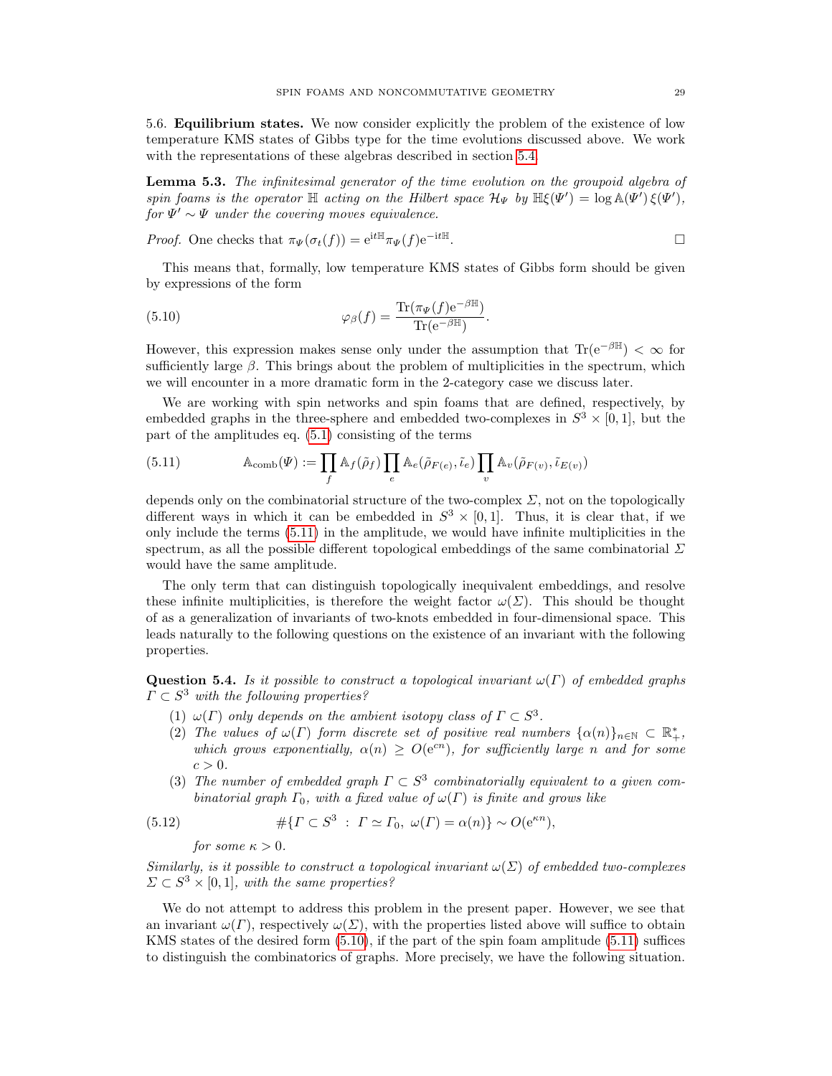<span id="page-28-0"></span>5.6. Equilibrium states. We now consider explicitly the problem of the existence of low temperature KMS states of Gibbs type for the time evolutions discussed above. We work with the representations of these algebras described in section [5.4.](#page-25-0)

Lemma 5.3. The infinitesimal generator of the time evolution on the groupoid algebra of spin foams is the operator  $\mathbb H$  acting on the Hilbert space  $\mathcal H_\Psi$  by  $\mathbb H \xi(\Psi') = \log \mathbb A(\Psi') \xi(\Psi')$ ,  $for \Psi' \sim \Psi$  under the covering moves equivalence.

*Proof.* One checks that  $\pi_{\Psi}(\sigma_t(f)) = e^{itH} \pi_{\Psi}(f) e^{-itH}$ .

This means that, formally, low temperature KMS states of Gibbs form should be given by expressions of the form

<span id="page-28-2"></span>(5.10) 
$$
\varphi_{\beta}(f) = \frac{\text{Tr}(\pi_{\Psi}(f) e^{-\beta \mathbb{H}})}{\text{Tr}(e^{-\beta \mathbb{H}})}.
$$

However, this expression makes sense only under the assumption that  $\text{Tr}(e^{-\beta \mathbb{H}}) < \infty$  for sufficiently large  $\beta$ . This brings about the problem of multiplicities in the spectrum, which we will encounter in a more dramatic form in the 2-category case we discuss later.

We are working with spin networks and spin foams that are defined, respectively, by embedded graphs in the three-sphere and embedded two-complexes in  $S^3 \times [0,1]$ , but the part of the amplitudes eq. [\(5.1\)](#page-25-2) consisting of the terms

<span id="page-28-1"></span>(5.11) 
$$
\mathbb{A}_{\text{comb}}(\Psi) := \prod_f \mathbb{A}_f(\tilde{\rho}_f) \prod_e \mathbb{A}_e(\tilde{\rho}_{F(e)}, \tilde{\iota}_e) \prod_v \mathbb{A}_v(\tilde{\rho}_{F(v)}, \tilde{\iota}_{E(v)})
$$

depends only on the combinatorial structure of the two-complex  $\Sigma$ , not on the topologically different ways in which it can be embedded in  $S^3 \times [0,1]$ . Thus, it is clear that, if we only include the terms [\(5.11\)](#page-28-1) in the amplitude, we would have infinite multiplicities in the spectrum, as all the possible different topological embeddings of the same combinatorial  $\Sigma$ would have the same amplitude.

The only term that can distinguish topologically inequivalent embeddings, and resolve these infinite multiplicities, is therefore the weight factor  $\omega(\Sigma)$ . This should be thought of as a generalization of invariants of two-knots embedded in four-dimensional space. This leads naturally to the following questions on the existence of an invariant with the following properties.

<span id="page-28-3"></span>**Question 5.4.** Is it possible to construct a topological invariant  $\omega(\Gamma)$  of embedded graphs  $\Gamma \subset S^3$  with the following properties?

- (1)  $\omega(\Gamma)$  only depends on the ambient isotopy class of  $\Gamma \subset S^3$ .
- (2) The values of  $\omega(\Gamma)$  form discrete set of positive real numbers  $\{\alpha(n)\}_{n\in\mathbb{N}}\subset\mathbb{R}_+^*$ , which grows exponentially,  $\alpha(n) > O(e^{cn})$ , for sufficiently large n and for some  $c > 0$ .
- (3) The number of embedded graph  $\Gamma \subset S^3$  combinatorially equivalent to a given combinatorial graph  $\Gamma_0$ , with a fixed value of  $\omega(\Gamma)$  is finite and grows like

(5.12) 
$$
\# \{ \Gamma \subset S^3 \; : \; \Gamma \simeq \Gamma_0, \; \omega(\Gamma) = \alpha(n) \} \sim O(e^{\kappa n}),
$$

for some  $\kappa > 0$ .

Similarly, is it possible to construct a topological invariant  $\omega(\Sigma)$  of embedded two-complexes  $\Sigma \subset S^3 \times [0,1],$  with the same properties?

We do not attempt to address this problem in the present paper. However, we see that an invariant  $\omega(\Gamma)$ , respectively  $\omega(\Sigma)$ , with the properties listed above will suffice to obtain KMS states of the desired form [\(5.10\)](#page-28-2), if the part of the spin foam amplitude [\(5.11\)](#page-28-1) suffices to distinguish the combinatorics of graphs. More precisely, we have the following situation.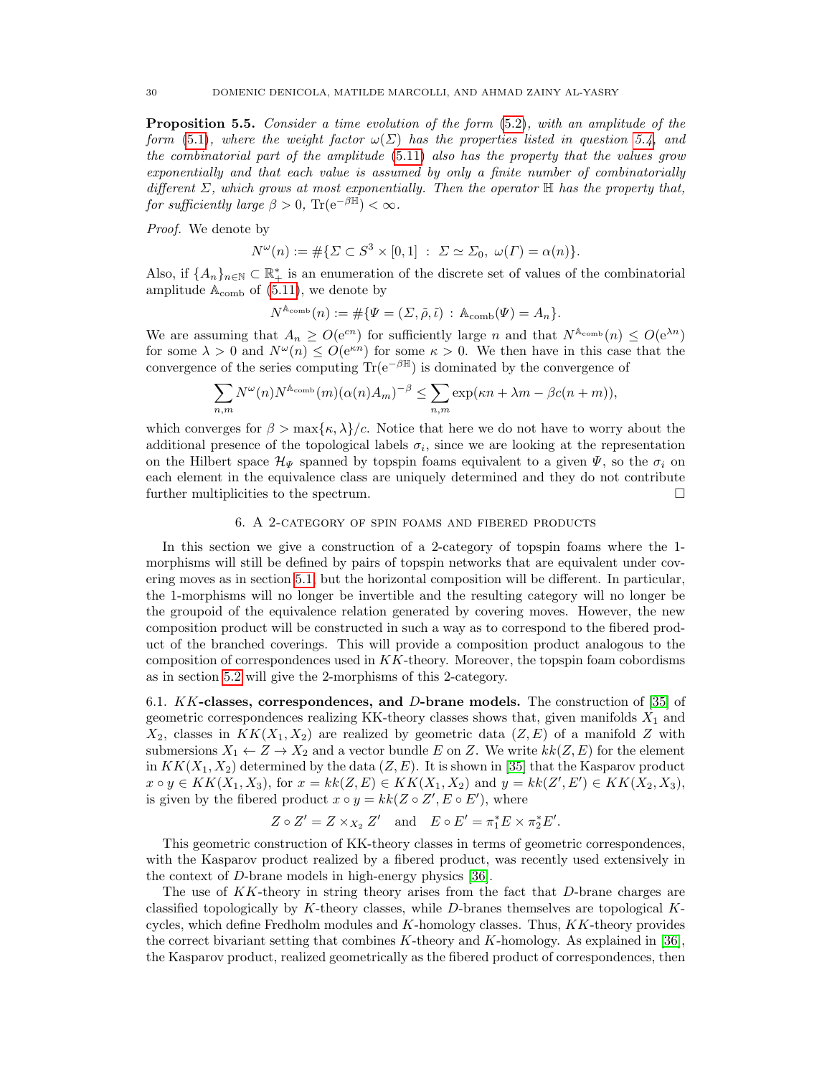**Proposition 5.5.** Consider a time evolution of the form  $(5.2)$ , with an amplitude of the form [\(5.1\)](#page-25-2), where the weight factor  $\omega(\Sigma)$  has the properties listed in question [5.4,](#page-28-3) and the combinatorial part of the amplitude [\(5.11\)](#page-28-1) also has the property that the values grow exponentially and that each value is assumed by only a finite number of combinatorially different  $\Sigma$ , which grows at most exponentially. Then the operator  $\mathbb H$  has the property that, for sufficiently large  $\beta > 0$ , Tr(e<sup>-βH</sup>) <  $\infty$ .

Proof. We denote by

$$
N^{\omega}(n) := \# \{ \Sigma \subset S^3 \times [0,1] \ : \ \Sigma \simeq \Sigma_0, \ \omega(\Gamma) = \alpha(n) \}.
$$

Also, if  $\{A_n\}_{n\in\mathbb{N}}\subset\mathbb{R}_+^*$  is an enumeration of the discrete set of values of the combinatorial amplitude  $A_{\text{comb}}$  of [\(5.11\)](#page-28-1), we denote by

$$
N^{\mathbb{A}_{\text{comb}}}(n) := \# \{ \Psi = (\Sigma, \tilde{\rho}, \tilde{\iota}) \, : \, \mathbb{A}_{\text{comb}}(\Psi) = A_n \}.
$$

We are assuming that  $A_n \geq O(e^{cn})$  for sufficiently large n and that  $N^{\mathbb{A}_{\text{comb}}}(n) \leq O(e^{\lambda n})$ for some  $\lambda > 0$  and  $N^{\omega}(n) \leq O(e^{\kappa n})$  for some  $\kappa > 0$ . We then have in this case that the convergence of the series computing  $\text{Tr}(e^{-\beta \mathbb{H}})$  is dominated by the convergence of

$$
\sum_{n,m} N^{\omega}(n) N^{\mathbb{A}_{\text{comb}}}(m) (\alpha(n) A_m)^{-\beta} \leq \sum_{n,m} \exp(\kappa n + \lambda m - \beta c(n+m)),
$$

which converges for  $\beta > \max{\kappa, \lambda}/c$ . Notice that here we do not have to worry about the additional presence of the topological labels  $\sigma_i$ , since we are looking at the representation on the Hilbert space  $\mathcal{H}_{\Psi}$  spanned by topspin foams equivalent to a given  $\Psi$ , so the  $\sigma_i$  on each element in the equivalence class are uniquely determined and they do not contribute further multiplicities to the spectrum.

### 6. A 2-category of spin foams and fibered products

<span id="page-29-0"></span>In this section we give a construction of a 2-category of topspin foams where the 1 morphisms will still be defined by pairs of topspin networks that are equivalent under covering moves as in section [5.1,](#page-24-1) but the horizontal composition will be different. In particular, the 1-morphisms will no longer be invertible and the resulting category will no longer be the groupoid of the equivalence relation generated by covering moves. However, the new composition product will be constructed in such a way as to correspond to the fibered product of the branched coverings. This will provide a composition product analogous to the composition of correspondences used in KK-theory. Moreover, the topspin foam cobordisms as in section [5.2](#page-24-2) will give the 2-morphisms of this 2-category.

<span id="page-29-1"></span>6.1.  $KK$ -classes, correspondences, and D-brane models. The construction of [\[35\]](#page-48-1) of geometric correspondences realizing KK-theory classes shows that, given manifolds  $X_1$  and  $X_2$ , classes in  $KK(X_1, X_2)$  are realized by geometric data  $(Z, E)$  of a manifold Z with submersions  $X_1 \leftarrow Z \rightarrow X_2$  and a vector bundle E on Z. We write  $kk(Z, E)$  for the element in  $KK(X_1, X_2)$  determined by the data  $(Z, E)$ . It is shown in [\[35\]](#page-48-1) that the Kasparov product  $x \circ y \in KK(X_1, X_3)$ , for  $x = kk(Z, E) \in KK(X_1, X_2)$  and  $y = kk(Z', E') \in KK(X_2, X_3)$ , is given by the fibered product  $x \circ y = kk(Z \circ Z', E \circ E')$ , where

$$
Z \circ Z' = Z \times_{X_2} Z'
$$
 and  $E \circ E' = \pi_1^* E \times \pi_2^* E'.$ 

This geometric construction of KK-theory classes in terms of geometric correspondences, with the Kasparov product realized by a fibered product, was recently used extensively in the context of D-brane models in high-energy physics [\[36\]](#page-48-2).

The use of KK-theory in string theory arises from the fact that D-brane charges are classified topologically by K-theory classes, while D-branes themselves are topological Kcycles, which define Fredholm modules and  $K$ -homology classes. Thus,  $KK$ -theory provides the correct bivariant setting that combines  $K$ -theory and  $K$ -homology. As explained in [\[36\]](#page-48-2), the Kasparov product, realized geometrically as the fibered product of correspondences, then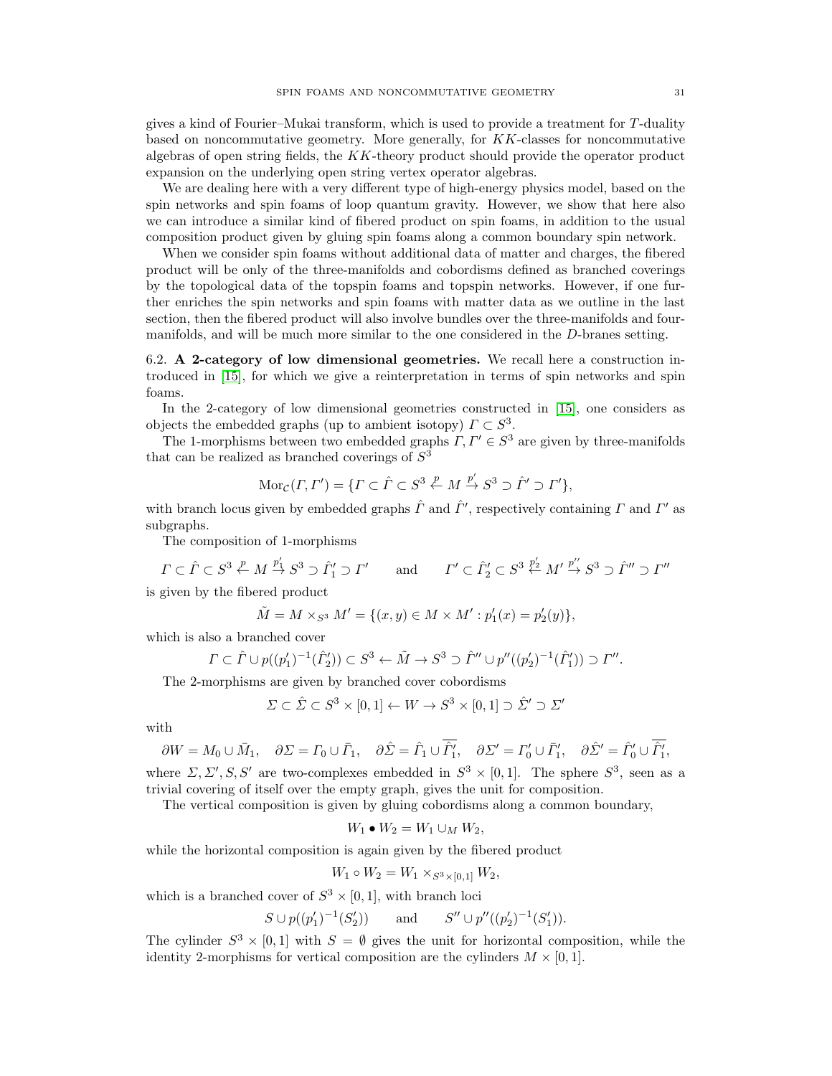gives a kind of Fourier–Mukai transform, which is used to provide a treatment for T-duality based on noncommutative geometry. More generally, for  $KK$ -classes for noncommutative algebras of open string fields, the  $KK$ -theory product should provide the operator product expansion on the underlying open string vertex operator algebras.

We are dealing here with a very different type of high-energy physics model, based on the spin networks and spin foams of loop quantum gravity. However, we show that here also we can introduce a similar kind of fibered product on spin foams, in addition to the usual composition product given by gluing spin foams along a common boundary spin network.

When we consider spin foams without additional data of matter and charges, the fibered product will be only of the three-manifolds and cobordisms defined as branched coverings by the topological data of the topspin foams and topspin networks. However, if one further enriches the spin networks and spin foams with matter data as we outline in the last section, then the fibered product will also involve bundles over the three-manifolds and fourmanifolds, and will be much more similar to the one considered in the D-branes setting.

<span id="page-30-0"></span>6.2. A 2-category of low dimensional geometries. We recall here a construction introduced in [\[15\]](#page-47-15), for which we give a reinterpretation in terms of spin networks and spin foams.

In the 2-category of low dimensional geometries constructed in [\[15\]](#page-47-15), one considers as objects the embedded graphs (up to ambient isotopy)  $\Gamma \subset S^3$ .

The 1-morphisms between two embedded graphs  $\Gamma, \Gamma' \in S^3$  are given by three-manifolds that can be realized as branched coverings of  $S^3$ 

$$
Mor_{\mathcal{C}}(F, \Gamma') = \{ \Gamma \subset \hat{\Gamma} \subset S^3 \stackrel{p}{\leftarrow} M \stackrel{p'}{\rightarrow} S^3 \supset \hat{\Gamma}' \supset \Gamma' \},
$$

with branch locus given by embedded graphs  $\hat{\Gamma}$  and  $\hat{\Gamma}'$ , respectively containing  $\Gamma$  and  $\Gamma'$  as subgraphs.

The composition of 1-morphisms

$$
\varGamma \subset \hat{\varGamma} \subset S^3 \xleftarrow{p} M \xrightarrow{p'_1} S^3 \supset \hat{\varGamma}'_1 \supset \varGamma' \qquad \text{and} \qquad \varGamma' \subset \hat{\varGamma}'_2 \subset S^3 \xleftarrow{p'_2} M' \xrightarrow{p''} S^3 \supset \hat{\varGamma}'' \supset \varGamma''
$$

is given by the fibered product

$$
\tilde{M} = M \times_{S^3} M' = \{(x, y) \in M \times M' : p'_1(x) = p'_2(y)\},\
$$

which is also a branched cover

$$
\Gamma \subset \hat{\Gamma} \cup p((p'_1)^{-1}(\hat{\Gamma}'_2)) \subset S^3 \leftarrow \tilde{M} \to S^3 \supset \hat{\Gamma}'' \cup p''((p'_2)^{-1}(\hat{\Gamma}'_1)) \supset \Gamma''.
$$

The 2-morphisms are given by branched cover cobordisms

$$
\Sigma \subset \hat{\Sigma} \subset S^3 \times [0,1] \leftarrow W \to S^3 \times [0,1] \supset \hat{\Sigma}' \supset \Sigma'
$$

with

$$
\partial W = M_0 \cup \bar{M}_1, \quad \partial \Sigma = \Gamma_0 \cup \bar{\Gamma}_1, \quad \partial \hat{\Sigma} = \hat{\Gamma}_1 \cup \hat{\Gamma}_1', \quad \partial \Sigma' = \Gamma'_0 \cup \bar{\Gamma}_1', \quad \partial \hat{\Sigma}' = \hat{\Gamma}_0' \cup \hat{\Gamma}_1',
$$

where  $\Sigma, \Sigma', S, S'$  are two-complexes embedded in  $S^3 \times [0,1]$ . The sphere  $S^3$ , seen as a trivial covering of itself over the empty graph, gives the unit for composition.

The vertical composition is given by gluing cobordisms along a common boundary,

$$
W_1 \bullet W_2 = W_1 \cup_M W_2,
$$

while the horizontal composition is again given by the fibered product

$$
W_1 \circ W_2 = W_1 \times_{S^3 \times [0,1]} W_2,
$$

which is a branched cover of  $S^3 \times [0,1]$ , with branch loci

$$
S \cup p((p'_1)^{-1}(S'_2))
$$
 and  $S'' \cup p''((p'_2)^{-1}(S'_1)).$ 

The cylinder  $S^3 \times [0,1]$  with  $S = \emptyset$  gives the unit for horizontal composition, while the identity 2-morphisms for vertical composition are the cylinders  $M \times [0, 1]$ .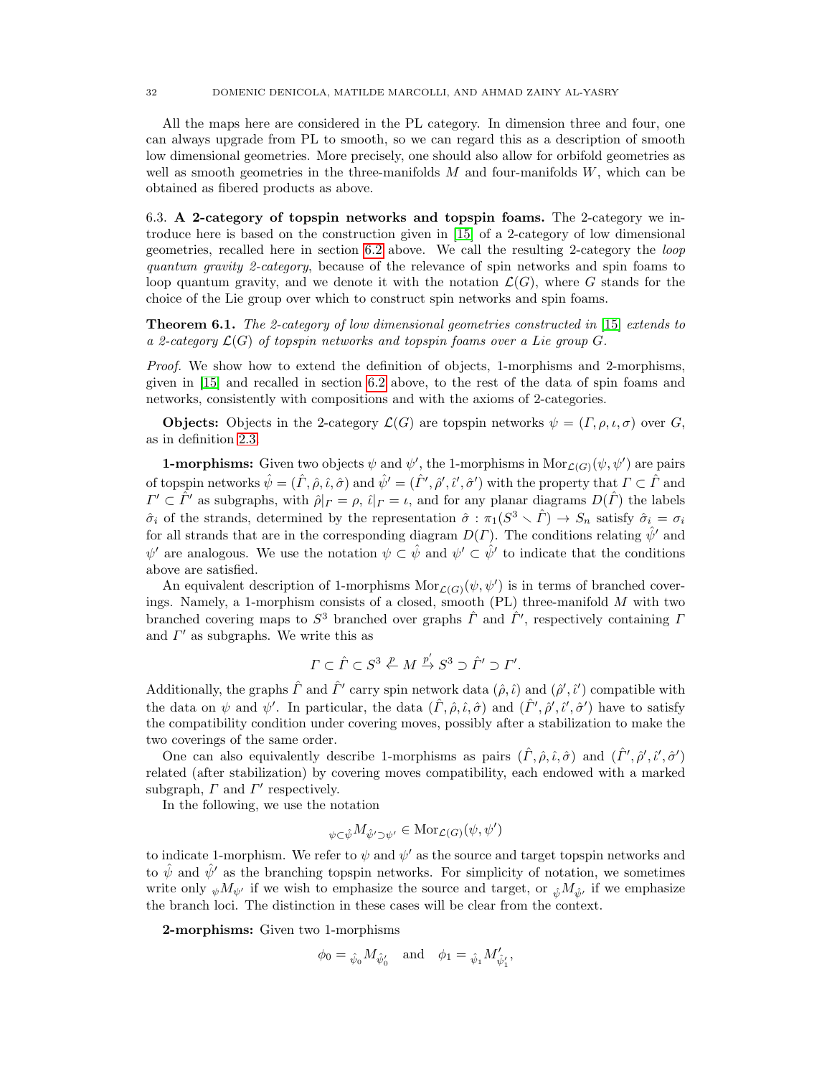All the maps here are considered in the PL category. In dimension three and four, one can always upgrade from PL to smooth, so we can regard this as a description of smooth low dimensional geometries. More precisely, one should also allow for orbifold geometries as well as smooth geometries in the three-manifolds  $M$  and four-manifolds  $W$ , which can be obtained as fibered products as above.

<span id="page-31-0"></span>6.3. A 2-category of topspin networks and topspin foams. The 2-category we introduce here is based on the construction given in [\[15\]](#page-47-15) of a 2-category of low dimensional geometries, recalled here in section [6.2](#page-30-0) above. We call the resulting 2-category the loop quantum gravity 2-category, because of the relevance of spin networks and spin foams to loop quantum gravity, and we denote it with the notation  $\mathcal{L}(G)$ , where G stands for the choice of the Lie group over which to construct spin networks and spin foams.

**Theorem 6.1.** The 2-category of low dimensional geometries constructed in [\[15\]](#page-47-15) extends to a 2-category  $\mathcal{L}(G)$  of topspin networks and topspin foams over a Lie group G.

Proof. We show how to extend the definition of objects, 1-morphisms and 2-morphisms, given in [\[15\]](#page-47-15) and recalled in section [6.2](#page-30-0) above, to the rest of the data of spin foams and networks, consistently with compositions and with the axioms of 2-categories.

**Objects:** Objects in the 2-category  $\mathcal{L}(G)$  are topspin networks  $\psi = (\Gamma, \rho, \iota, \sigma)$  over G, as in definition [2.3.](#page-7-3)

**1-morphisms:** Given two objects  $\psi$  and  $\psi'$ , the 1-morphisms in  $Mor_{\mathcal{L}(G)}(\psi, \psi')$  are pairs of topspin networks  $\hat{\psi} = (\hat{\Gamma}, \hat{\rho}, \hat{\iota}, \hat{\sigma})$  and  $\hat{\psi}' = (\hat{\Gamma}', \hat{\rho}', \hat{\iota}', \hat{\sigma}')$  with the property that  $\Gamma \subset \hat{\Gamma}$  and  $\Gamma' \subset \hat{\Gamma}'$  as subgraphs, with  $\hat{\rho}|_{\Gamma} = \rho$ ,  $\hat{\iota}|_{\Gamma} = \iota$ , and for any planar diagrams  $D(\hat{\Gamma})$  the labels  $\hat{\sigma}_i$  of the strands, determined by the representation  $\hat{\sigma}$  :  $\pi_1(S^3 \setminus \hat{\Gamma}) \to S_n$  satisfy  $\hat{\sigma}_i = \sigma_i$ for all strands that are in the corresponding diagram  $D(\Gamma)$ . The conditions relating  $\hat{\psi}'$  and  $\psi'$  are analogous. We use the notation  $\psi \subset \hat{\psi}$  and  $\psi' \subset \hat{\psi}'$  to indicate that the conditions above are satisfied.

An equivalent description of 1-morphisms  $\text{Mor}_{\mathcal{L}(G)}(\psi, \psi')$  is in terms of branched coverings. Namely, a 1-morphism consists of a closed, smooth  $(PL)$  three-manifold M with two branched covering maps to  $S^3$  branched over graphs  $\hat{\Gamma}$  and  $\hat{\Gamma}'$ , respectively containing  $\Gamma$ and  $\Gamma'$  as subgraphs. We write this as

$$
\varGamma\subset\hat{\varGamma}\subset S^3\stackrel{p}{\leftarrow}M\stackrel{p'}{\rightarrow}S^3\supset\hat{\varGamma}'\supset\varGamma'.
$$

Additionally, the graphs  $\hat{\Gamma}$  and  $\hat{\Gamma}'$  carry spin network data  $(\hat{\rho}, \hat{\iota})$  and  $(\hat{\rho}', \hat{\iota}')$  compatible with the data on  $\psi$  and  $\psi'$ . In particular, the data  $(\hat{\Gamma}, \hat{\rho}, \hat{\iota}, \hat{\sigma})$  and  $(\hat{\Gamma}', \hat{\rho}', \hat{\iota}', \hat{\sigma}')$  have to satisfy the compatibility condition under covering moves, possibly after a stabilization to make the two coverings of the same order.

One can also equivalently describe 1-morphisms as pairs  $(\hat{\Gamma}, \hat{\rho}, \hat{\iota}, \hat{\sigma})$  and  $(\hat{\Gamma}', \hat{\rho}', \hat{\iota}', \hat{\sigma}')$ related (after stabilization) by covering moves compatibility, each endowed with a marked subgraph,  $\Gamma$  and  $\Gamma'$  respectively.

In the following, we use the notation

$$
\psi \in \hat{\psi}^M \hat{\psi}' \supset \psi' \in \text{Mor}_{\mathcal{L}(G)}(\psi, \psi')
$$

to indicate 1-morphism. We refer to  $\psi$  and  $\psi'$  as the source and target topspin networks and to  $\hat{\psi}$  and  $\hat{\psi}'$  as the branching topspin networks. For simplicity of notation, we sometimes write only  $_{\psi}M_{\psi'}$  if we wish to emphasize the source and target, or  $_{\hat{\psi}}M_{\hat{\psi}'}$  if we emphasize the branch loci. The distinction in these cases will be clear from the context.

2-morphisms: Given two 1-morphisms

$$
\phi_0 = \hat{\psi}_0 M_{\hat{\psi}'_0}
$$
 and  $\phi_1 = \hat{\psi}_1 M'_{\hat{\psi}'_1}$ ,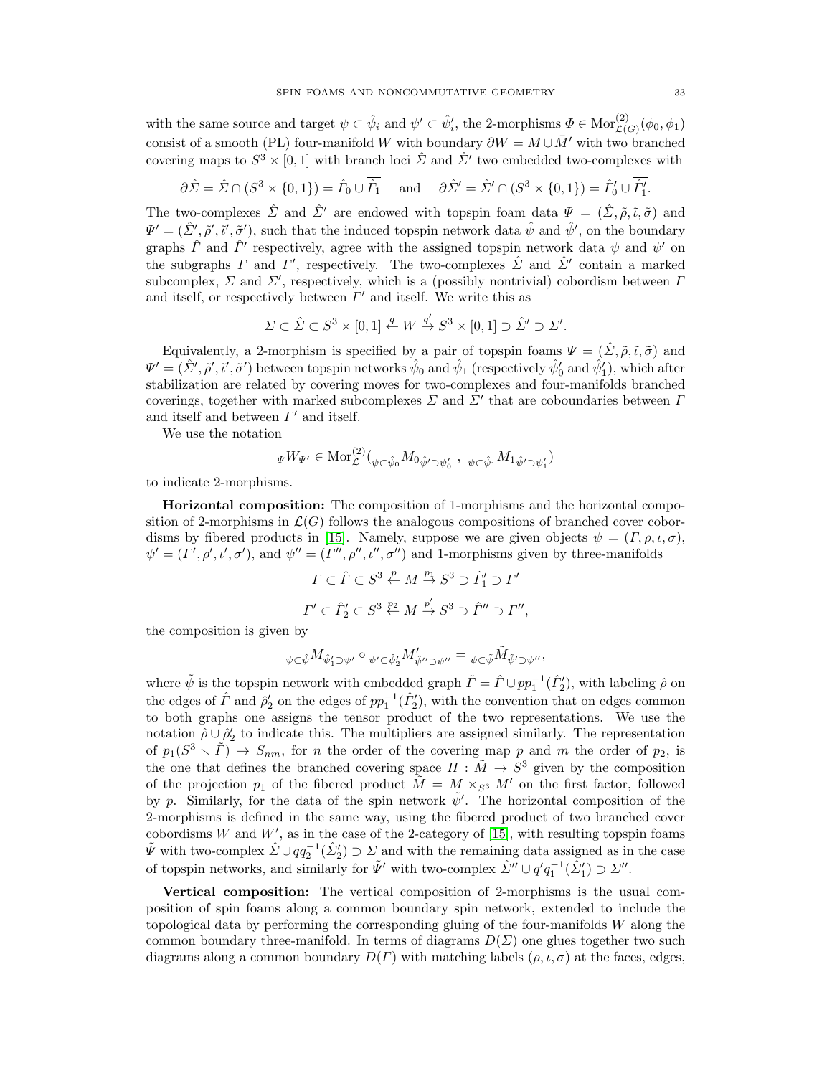with the same source and target  $\psi \subset \hat{\psi}_i$  and  $\psi' \subset \hat{\psi}'_i$ , the 2-morphisms  $\Phi \in \text{Mor}_{\mathcal{L}(G)}^{(2)}(\phi_0, \phi_1)$ consist of a smooth (PL) four-manifold W with boundary  $\partial W = M \cup \overline{M}'$  with two branched covering maps to  $S^3 \times [0,1]$  with branch loci  $\hat{\Sigma}$  and  $\hat{\Sigma}'$  two embedded two-complexes with

$$
\partial \hat{\Sigma} = \hat{\Sigma} \cap (S^3 \times \{0, 1\}) = \hat{\Gamma}_0 \cup \hat{\Gamma}_1 \quad \text{and} \quad \partial \hat{\Sigma}' = \hat{\Sigma}' \cap (S^3 \times \{0, 1\}) = \hat{\Gamma}'_0 \cup \hat{\Gamma}'_1.
$$

The two-complexes  $\hat{\Sigma}$  and  $\hat{\Sigma}'$  are endowed with topspin foam data  $\Psi = (\hat{\Sigma}, \tilde{\rho}, \tilde{\iota}, \tilde{\sigma})$  and  $\Psi' = (\hat{\Sigma}', \tilde{\rho}', \tilde{\iota}', \tilde{\sigma}')$ , such that the induced topspin network data  $\hat{\psi}$  and  $\hat{\psi}'$ , on the boundary graphs  $\hat{\Gamma}$  and  $\hat{\Gamma}'$  respectively, agree with the assigned topspin network data  $\psi$  and  $\psi'$  on the subgraphs  $\Gamma$  and  $\Gamma'$ , respectively. The two-complexes  $\hat{\Sigma}$  and  $\hat{\Sigma}'$  contain a marked subcomplex,  $\Sigma$  and  $\Sigma'$ , respectively, which is a (possibly nontrivial) cobordism between  $\Gamma$ and itself, or respectively between  $\Gamma'$  and itself. We write this as

$$
\varSigma\subset\hat{\varSigma}\subset S^3\times[0,1]\stackrel{q}{\leftarrow}W\stackrel{q'}{\rightarrow}S^3\times[0,1]\supset\hat{\varSigma}'\supset\varSigma'.
$$

Equivalently, a 2-morphism is specified by a pair of topspin foams  $\Psi = (\hat{\Sigma}, \tilde{\rho}, \tilde{\iota}, \tilde{\sigma})$  and  $\Psi' = (\hat{\Sigma}', \tilde{\rho}', \tilde{\iota}', \tilde{\sigma}')$  between topspin networks  $\hat{\psi}_0$  and  $\hat{\psi}_1$  (respectively  $\hat{\psi}'_0$  and  $\hat{\psi}'_1$ ), which after stabilization are related by covering moves for two-complexes and four-manifolds branched coverings, together with marked subcomplexes  $\Sigma$  and  $\Sigma'$  that are coboundaries between  $\Gamma$ and itself and between  $\Gamma'$  and itself.

We use the notation

$$
\Psi W_{\Psi'} \in \text{Mor}^{(2)}_{\mathcal{L}}({}_{\psi \subset \hat{\psi}_0} M_{0\hat{\psi}' \supset \psi'_0} , \psi \subset \hat{\psi}_1 M_{1\hat{\psi}' \supset \psi'_1})
$$

to indicate 2-morphisms.

Horizontal composition: The composition of 1-morphisms and the horizontal composition of 2-morphisms in  $\mathcal{L}(G)$  follows the analogous compositions of branched cover cobor-disms by fibered products in [\[15\]](#page-47-15). Namely, suppose we are given objects  $\psi = (\Gamma, \rho, \iota, \sigma)$ ,  $\psi' = (\Gamma', \rho', \iota', \sigma')$ , and  $\psi'' = (\Gamma'', \rho'', \iota'', \sigma'')$  and 1-morphisms given by three-manifolds

$$
\Gamma \subset \hat{\Gamma} \subset S^3 \stackrel{p}{\leftarrow} M \stackrel{p_1}{\rightarrow} S^3 \supset \hat{\Gamma}'_1 \supset \Gamma'
$$
  

$$
\Gamma' \subset \hat{\Gamma}'_2 \subset S^3 \stackrel{p_2}{\leftarrow} M \stackrel{p'}{\rightarrow} S^3 \supset \hat{\Gamma}'' \supset \Gamma'',
$$

the composition is given by

$$
{}_{\psi\subset \hat\psi}M_{\hat\psi_1'\supset\psi'}\circ{}_{\psi'\subset \hat\psi_2'}M'_{\hat\psi''\supset\psi''}={}_{\psi\subset \tilde\psi}\tilde M_{\tilde\psi'\supset\psi''},
$$

where  $\tilde{\psi}$  is the topspin network with embedded graph  $\tilde{\Gamma} = \hat{\Gamma} \cup pp_1^{-1}(\hat{\Gamma}_2')$ , with labeling  $\hat{\rho}$  on the edges of  $\hat{\Gamma}$  and  $\hat{\rho}'_2$  on the edges of  $pp_1^{-1}(\hat{\Gamma}'_2)$ , with the convention that on edges common to both graphs one assigns the tensor product of the two representations. We use the notation  $\hat{\rho} \cup \hat{\rho}'_2$  to indicate this. The multipliers are assigned similarly. The representation of  $p_1(S^3 \setminus \tilde{\Gamma}) \to S_{nm}$ , for n the order of the covering map p and m the order of  $p_2$ , is the one that defines the branched covering space  $\Pi : \tilde{M} \to S^3$  given by the composition of the projection  $p_1$  of the fibered product  $\tilde{M} = M \times_{S^3} M'$  on the first factor, followed by p. Similarly, for the data of the spin network  $\tilde{\psi}'$ . The horizontal composition of the 2-morphisms is defined in the same way, using the fibered product of two branched cover cobordisms W and  $W'$ , as in the case of the 2-category of [\[15\]](#page-47-15), with resulting topspin foams  $\tilde{\Psi}$  with two-complex  $\hat{\Sigma} \cup qq_2^{-1}(\hat{\Sigma}_2') \supset \Sigma$  and with the remaining data assigned as in the case of topspin networks, and similarly for  $\tilde{\Psi}'$  with two-complex  $\hat{\Sigma}'' \cup q' q_1^{-1} (\hat{\Sigma}_1') \supset \Sigma''$ .

Vertical composition: The vertical composition of 2-morphisms is the usual composition of spin foams along a common boundary spin network, extended to include the topological data by performing the corresponding gluing of the four-manifolds W along the common boundary three-manifold. In terms of diagrams  $D(\Sigma)$  one glues together two such diagrams along a common boundary  $D(\Gamma)$  with matching labels  $(\rho, \iota, \sigma)$  at the faces, edges,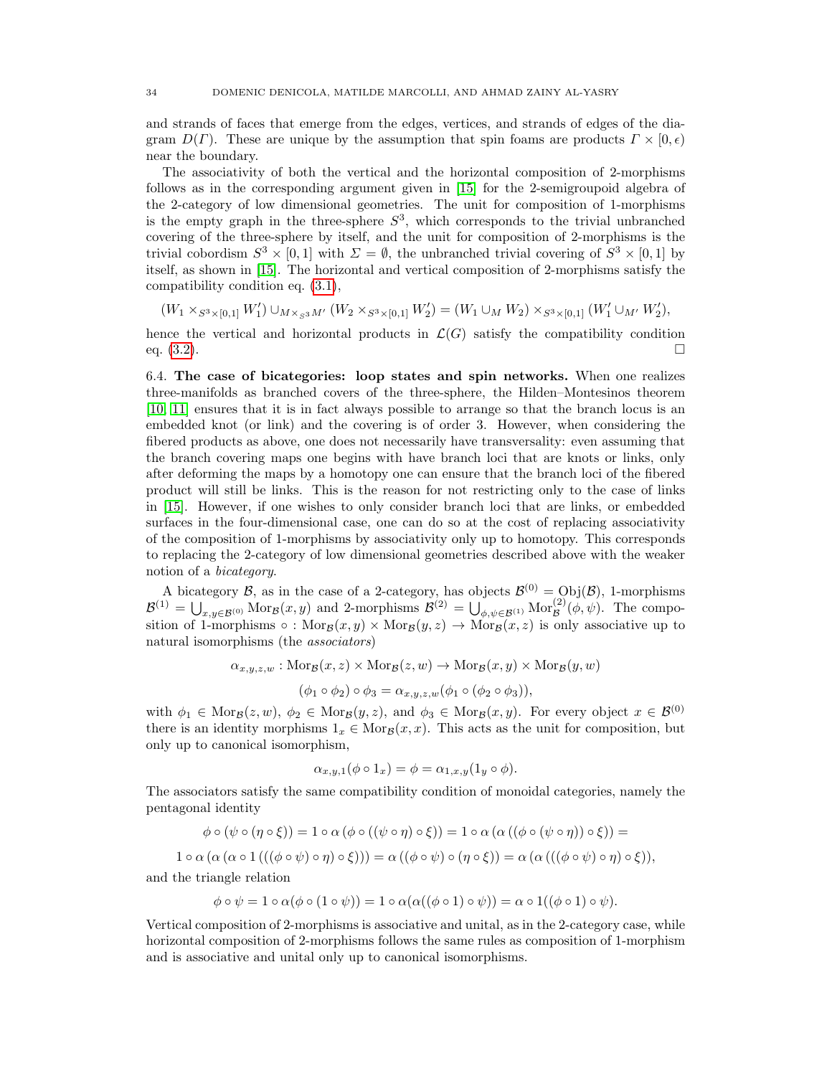and strands of faces that emerge from the edges, vertices, and strands of edges of the diagram  $D(\Gamma)$ . These are unique by the assumption that spin foams are products  $\Gamma \times [0, \epsilon)$ near the boundary.

The associativity of both the vertical and the horizontal composition of 2-morphisms follows as in the corresponding argument given in [\[15\]](#page-47-15) for the 2-semigroupoid algebra of the 2-category of low dimensional geometries. The unit for composition of 1-morphisms is the empty graph in the three-sphere  $S^3$ , which corresponds to the trivial unbranched covering of the three-sphere by itself, and the unit for composition of 2-morphisms is the trivial cobordism  $S^3 \times [0,1]$  with  $\Sigma = \emptyset$ , the unbranched trivial covering of  $S^3 \times [0,1]$  by itself, as shown in [\[15\]](#page-47-15). The horizontal and vertical composition of 2-morphisms satisfy the compatibility condition eq. [\(3.1\)](#page-20-2),

$$
(W_1 \times_{S^3 \times [0,1]} W_1') \cup_{M \times_{S^3} M'} (W_2 \times_{S^3 \times [0,1]} W_2') = (W_1 \cup_M W_2) \times_{S^3 \times [0,1]} (W_1' \cup_{M'} W_2'),
$$

hence the vertical and horizontal products in  $\mathcal{L}(G)$  satisfy the compatibility condition eq. (3.2). eq.  $(3.2)$ .

<span id="page-33-0"></span>6.4. The case of bicategories: loop states and spin networks. When one realizes three-manifolds as branched covers of the three-sphere, the Hilden–Montesinos theorem [\[10,](#page-47-10) [11\]](#page-47-11) ensures that it is in fact always possible to arrange so that the branch locus is an embedded knot (or link) and the covering is of order 3. However, when considering the fibered products as above, one does not necessarily have transversality: even assuming that the branch covering maps one begins with have branch loci that are knots or links, only after deforming the maps by a homotopy one can ensure that the branch loci of the fibered product will still be links. This is the reason for not restricting only to the case of links in [\[15\]](#page-47-15). However, if one wishes to only consider branch loci that are links, or embedded surfaces in the four-dimensional case, one can do so at the cost of replacing associativity of the composition of 1-morphisms by associativity only up to homotopy. This corresponds to replacing the 2-category of low dimensional geometries described above with the weaker notion of a bicategory.

A bicategory B, as in the case of a 2-category, has objects  $\mathcal{B}^{(0)} = \text{Obj}(\mathcal{B})$ , 1-morphisms  $\mathcal{B}^{(1)} = \bigcup_{x,y \in \mathcal{B}^{(0)}} \text{Mor}_{\mathcal{B}}(x,y)$  and 2-morphisms  $\mathcal{B}^{(2)} = \bigcup_{\phi,\psi \in \mathcal{B}^{(1)}} \text{Mor}_{\mathcal{B}}^{(2)}(\phi,\psi)$ . The composition of 1-morphisms  $\circ$ : Mor $_B(x, y) \times \text{Mor}_B(y, z) \rightarrow \text{Mor}_B(x, z)$  is only associative up to natural isomorphisms (the associators)

 $\alpha_{x,y,z,w} : \text{Mor}_{\mathcal{B}}(x, z) \times \text{Mor}_{\mathcal{B}}(z, w) \rightarrow \text{Mor}_{\mathcal{B}}(x, y) \times \text{Mor}_{\mathcal{B}}(y, w)$ 

$$
(\phi_1 \circ \phi_2) \circ \phi_3 = \alpha_{x,y,z,w} (\phi_1 \circ (\phi_2 \circ \phi_3)),
$$

with  $\phi_1 \in \text{Mor}_{\mathcal{B}}(z, w), \phi_2 \in \text{Mor}_{\mathcal{B}}(y, z)$ , and  $\phi_3 \in \text{Mor}_{\mathcal{B}}(x, y)$ . For every object  $x \in \mathcal{B}^{(0)}$ there is an identity morphisms  $1_x \in \text{Mor}_{\mathcal{B}}(x, x)$ . This acts as the unit for composition, but only up to canonical isomorphism,

$$
\alpha_{x,y,1}(\phi \circ 1_x) = \phi = \alpha_{1,x,y}(1_y \circ \phi).
$$

The associators satisfy the same compatibility condition of monoidal categories, namely the pentagonal identity

$$
\phi \circ (\psi \circ (\eta \circ \xi)) = 1 \circ \alpha (\phi \circ ((\psi \circ \eta) \circ \xi)) = 1 \circ \alpha (\alpha ((\phi \circ (\psi \circ \eta)) \circ \xi)) =
$$

 $1 \circ \alpha (\alpha (\alpha \circ 1(((\phi \circ \psi) \circ \eta) \circ \xi))) = \alpha ((\phi \circ \psi) \circ (\eta \circ \xi)) = \alpha (\alpha (((\phi \circ \psi) \circ \eta) \circ \xi)),$ 

and the triangle relation

$$
\phi \circ \psi = 1 \circ \alpha(\phi \circ (1 \circ \psi)) = 1 \circ \alpha(\alpha((\phi \circ 1) \circ \psi)) = \alpha \circ 1((\phi \circ 1) \circ \psi).
$$

Vertical composition of 2-morphisms is associative and unital, as in the 2-category case, while horizontal composition of 2-morphisms follows the same rules as composition of 1-morphism and is associative and unital only up to canonical isomorphisms.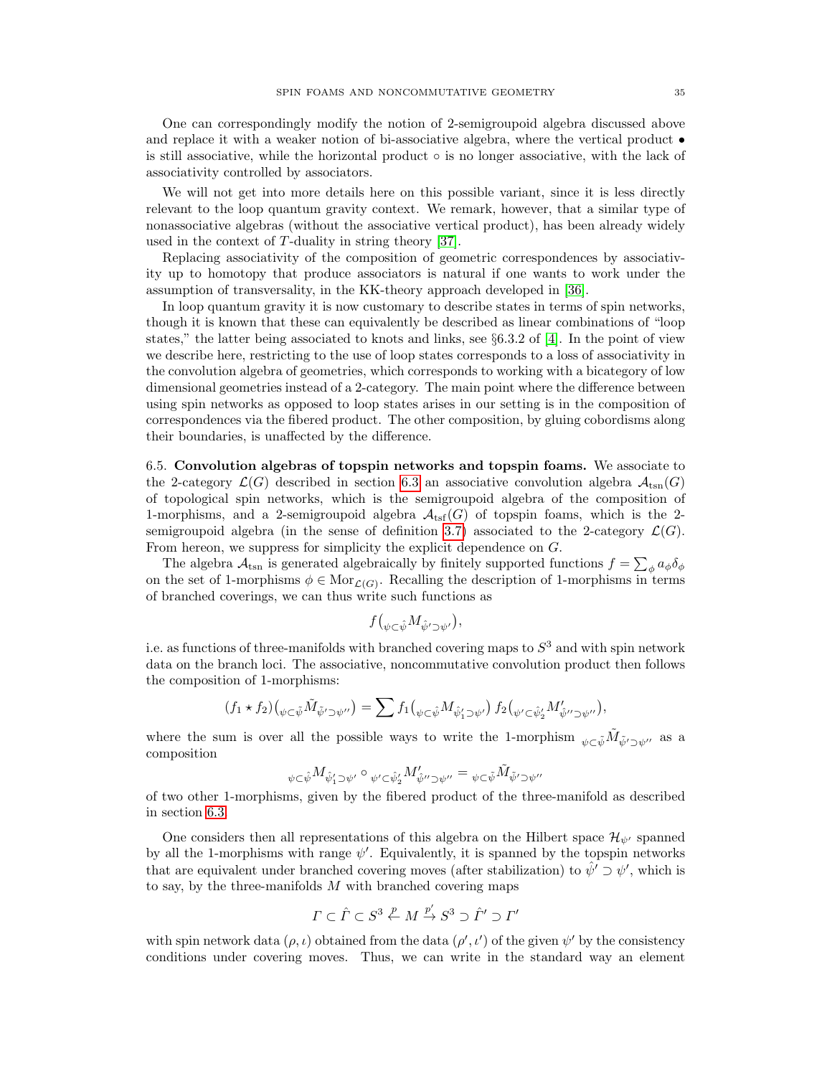One can correspondingly modify the notion of 2-semigroupoid algebra discussed above and replace it with a weaker notion of bi-associative algebra, where the vertical product • is still associative, while the horizontal product  $\circ$  is no longer associative, with the lack of associativity controlled by associators.

We will not get into more details here on this possible variant, since it is less directly relevant to the loop quantum gravity context. We remark, however, that a similar type of nonassociative algebras (without the associative vertical product), has been already widely used in the context of T-duality in string theory [\[37\]](#page-48-3).

Replacing associativity of the composition of geometric correspondences by associativity up to homotopy that produce associators is natural if one wants to work under the assumption of transversality, in the KK-theory approach developed in [\[36\]](#page-48-2).

In loop quantum gravity it is now customary to describe states in terms of spin networks, though it is known that these can equivalently be described as linear combinations of "loop states," the latter being associated to knots and links, see  $\S 6.3.2$  of [\[4\]](#page-47-4). In the point of view we describe here, restricting to the use of loop states corresponds to a loss of associativity in the convolution algebra of geometries, which corresponds to working with a bicategory of low dimensional geometries instead of a 2-category. The main point where the difference between using spin networks as opposed to loop states arises in our setting is in the composition of correspondences via the fibered product. The other composition, by gluing cobordisms along their boundaries, is unaffected by the difference.

<span id="page-34-0"></span>6.5. Convolution algebras of topspin networks and topspin foams. We associate to the 2-category  $\mathcal{L}(G)$  described in section [6.3](#page-31-0) an associative convolution algebra  $\mathcal{A}_{\text{tsn}}(G)$ of topological spin networks, which is the semigroupoid algebra of the composition of 1-morphisms, and a 2-semigroupoid algebra  $\mathcal{A}_{\text{tsf}}(G)$  of topspin foams, which is the 2-semigroupoid algebra (in the sense of definition [3.7\)](#page-20-3) associated to the 2-category  $\mathcal{L}(G)$ . From hereon, we suppress for simplicity the explicit dependence on G.

The algebra  $\mathcal{A}_{\text{tsn}}$  is generated algebraically by finitely supported functions  $f = \sum_{\phi} a_{\phi} \delta_{\phi}$ on the set of 1-morphisms  $\phi \in \text{Mor}_{\mathcal{L}(G)}$ . Recalling the description of 1-morphisms in terms of branched coverings, we can thus write such functions as

$$
f\big(\psi \in \hat{\psi} M_{\hat{\psi}' \supset \psi'}\big),\
$$

i.e. as functions of three-manifolds with branched covering maps to  $S<sup>3</sup>$  and with spin network data on the branch loci. The associative, noncommutative convolution product then follows the composition of 1-morphisms:

$$
(f_1 \star f_2) \big( \psi \in \tilde{\psi} \tilde{M}_{\tilde{\psi}' \supset \psi''} \big) = \sum f_1 \big( \psi \in \tilde{\psi} M_{\hat{\psi}'_1 \supset \psi'} \big) f_2 \big( \psi \in \hat{\psi}'_2 M'_{\hat{\psi}'' \supset \psi''} \big),
$$

where the sum is over all the possible ways to write the 1-morphism  $\psi \in \tilde{\psi} \tilde{M}_{\tilde{\psi}' \supset \psi''}$  as a composition

$$
{}_{\psi\subset \hat\psi}M_{\hat\psi'_1\supset\psi'}\circ{}_{\psi'\subset \hat\psi'_2}M'_{\hat\psi''\supset\psi''}={}_{\psi\subset \tilde\psi}\tilde M_{\tilde\psi'\supset\psi''}
$$

of two other 1-morphisms, given by the fibered product of the three-manifold as described in section [6.3.](#page-31-0)

One considers then all representations of this algebra on the Hilbert space  $\mathcal{H}_{\psi'}$  spanned by all the 1-morphisms with range  $\psi'$ . Equivalently, it is spanned by the topspin networks that are equivalent under branched covering moves (after stabilization) to  $\hat{\psi}' \supset \psi'$ , which is to say, by the three-manifolds  $M$  with branched covering maps

$$
\Gamma \subset \hat{\Gamma} \subset S^3 \stackrel{p}{\leftarrow} M \stackrel{p'}{\rightarrow} S^3 \supset \hat{\Gamma}' \supset \Gamma'
$$

with spin network data  $(\rho, \iota)$  obtained from the data  $(\rho', \iota')$  of the given  $\psi'$  by the consistency conditions under covering moves. Thus, we can write in the standard way an element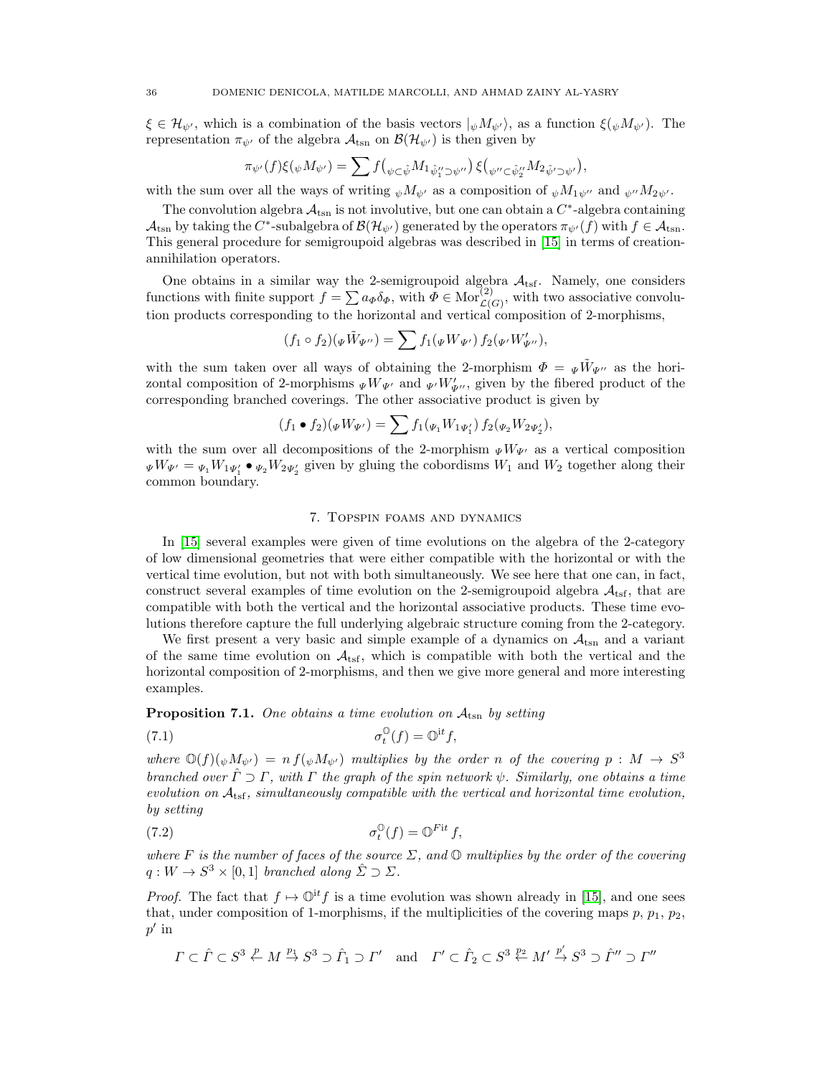$\xi \in \mathcal{H}_{\psi'}$ , which is a combination of the basis vectors  $|_{\psi}M_{\psi'}\rangle$ , as a function  $\xi_{\psi}M_{\psi'}\rangle$ . The representation  $\pi_{\psi}$  of the algebra  $\mathcal{A}_{\text{tsn}}$  on  $\mathcal{B}(\mathcal{H}_{\psi})$  is then given by

$$
\pi_{\psi'}(f)\xi(\psi M_{\psi'}) = \sum f(\psi \in \hat{\psi}M_1 \hat{\psi}_1'' \supset \psi'') \xi(\psi'' \in \hat{\psi}_2'' M_2 \hat{\psi}' \supset \psi'),
$$

with the sum over all the ways of writing  $_{\psi}M_{\psi'}$  as a composition of  $_{\psi}M_{1\psi''}$  and  $_{\psi''}M_{2\psi'}$ .

The convolution algebra  $\mathcal{A}_{\rm{tsn}}$  is not involutive, but one can obtain a  $C^*$ -algebra containing  $\mathcal{A}_{\text{tsn}}$  by taking the  $C^*$ -subalgebra of  $\mathcal{B}(\mathcal{H}_{\psi'})$  generated by the operators  $\pi_{\psi'}(f)$  with  $f \in \mathcal{A}_{\text{tsn}}$ . This general procedure for semigroupoid algebras was described in [\[15\]](#page-47-15) in terms of creationannihilation operators.

One obtains in a similar way the 2-semigroupoid algebra  $\mathcal{A}_{\text{tsf}}$ . Namely, one considers functions with finite support  $f = \sum a_{\Phi} \delta_{\Phi}$ , with  $\Phi \in \text{Mor}_{\mathcal{L}(G)}^{(2)}$ , with two associative convolution products corresponding to the horizontal and vertical composition of 2-morphisms,

$$
(f_1 \circ f_2)(\Psi \tilde{W}_{\Psi''}) = \sum f_1(\Psi W_{\Psi'}) f_2(\Psi' W_{\Psi''}),
$$

with the sum taken over all ways of obtaining the 2-morphism  $\Phi = \Psi \tilde{W}_{\Psi}$  as the horizontal composition of 2-morphisms  $_{\Psi}W_{\Psi'}$  and  $_{\Psi'}W'_{\Psi''}$ , given by the fibered product of the corresponding branched coverings. The other associative product is given by

$$
(f_1 \bullet f_2)(\Psi W_{\Psi'}) = \sum f_1(\Psi_1 W_1 \Psi'_1) f_2(\Psi_2 W_2 \Psi'_2),
$$

with the sum over all decompositions of the 2-morphism  $\psi W_{\Psi}$  as a vertical composition  $\psi W_{\Psi'} = \psi_1 W_1 \psi_1' \bullet \psi_2 W_2 \psi_2'$  given by gluing the cobordisms  $W_1$  and  $W_2$  together along their common boundary.

## 7. Topspin foams and dynamics

<span id="page-35-0"></span>In [\[15\]](#page-47-15) several examples were given of time evolutions on the algebra of the 2-category of low dimensional geometries that were either compatible with the horizontal or with the vertical time evolution, but not with both simultaneously. We see here that one can, in fact, construct several examples of time evolution on the 2-semigroupoid algebra  $A_{\text{tsf}}$ , that are compatible with both the vertical and the horizontal associative products. These time evolutions therefore capture the full underlying algebraic structure coming from the 2-category.

We first present a very basic and simple example of a dynamics on  $A_{\text{tsn}}$  and a variant of the same time evolution on  $\mathcal{A}_{\text{tsf}}$ , which is compatible with both the vertical and the horizontal composition of 2-morphisms, and then we give more general and more interesting examples.

## **Proposition 7.1.** One obtains a time evolution on  $A_{\text{tsn}}$  by setting

(7.1) 
$$
\sigma_t^{\mathbb{O}}(f) = \mathbb{O}^{\mathrm{i}t}f,
$$

where  $\mathbb{O}(f)(\psi M_{\psi'}) = n f(\psi M_{\psi'})$  multiplies by the order n of the covering  $p : M \to S^3$ branched over  $\hat{\Gamma} \supset \Gamma$ , with  $\Gamma$  the graph of the spin network  $\psi$ . Similarly, one obtains a time evolution on  $A_{\text{tsf}}$ , simultaneously compatible with the vertical and horizontal time evolution, by setting

(7.2) 
$$
\sigma_t^{\mathbb{O}}(f) = \mathbb{O}^{Fit} f,
$$

where F is the number of faces of the source  $\Sigma$ , and  $\mathbb O$  multiplies by the order of the covering  $q: W \to S^3 \times [0,1]$  branched along  $\hat{\Sigma} \supset \Sigma$ .

*Proof.* The fact that  $f \mapsto \mathbb{Q}^{\mathbf{i}t} f$  is a time evolution was shown already in [\[15\]](#page-47-15), and one sees that, under composition of 1-morphisms, if the multiplicities of the covering maps  $p, p_1, p_2$ ,  $p'$  in

$$
\Gamma \subset \hat{\Gamma} \subset S^3 \stackrel{p}{\leftarrow} M \stackrel{p_1}{\rightarrow} S^3 \supset \hat{\Gamma}_1 \supset \Gamma'
$$
 and  $\Gamma' \subset \hat{\Gamma}_2 \subset S^3 \stackrel{p_2}{\leftarrow} M' \stackrel{p'}{\rightarrow} S^3 \supset \hat{\Gamma}'' \supset \Gamma''$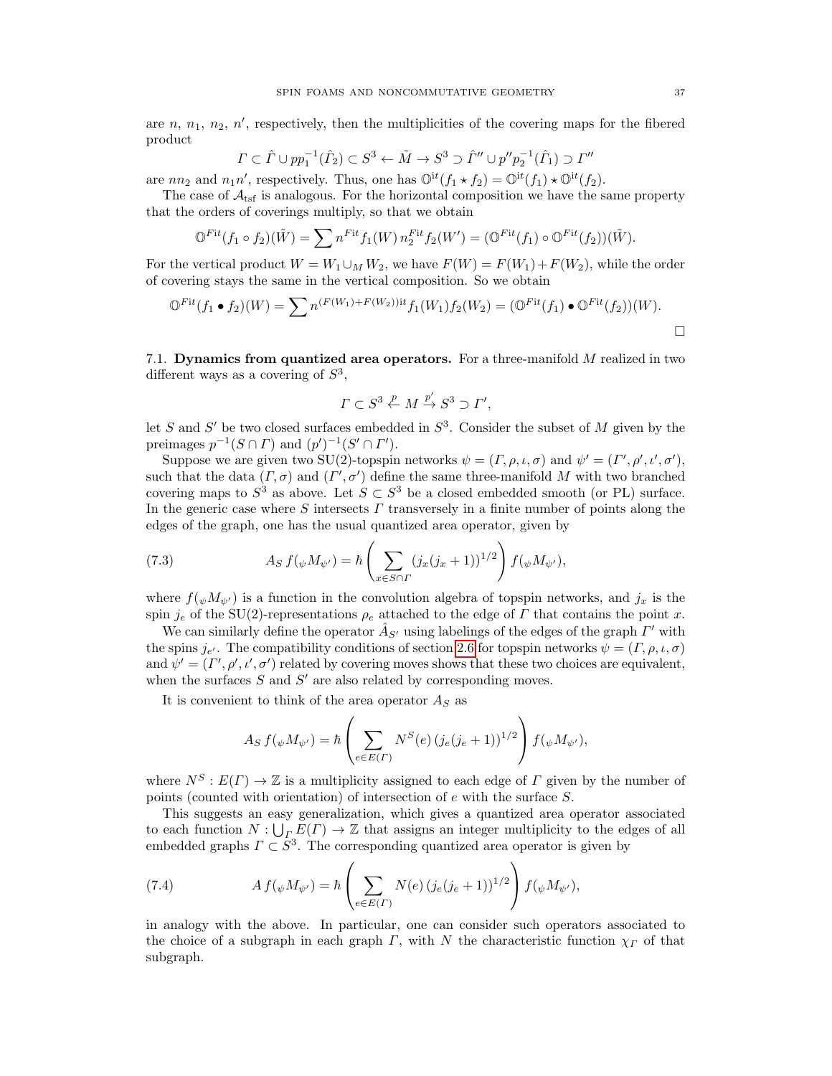are  $n, n_1, n_2, n'$ , respectively, then the multiplicities of the covering maps for the fibered product

$$
\Gamma \subset \hat{\Gamma} \cup pp_1^{-1}(\hat{\Gamma}_2) \subset S^3 \leftarrow \tilde{M} \to S^3 \supset \hat{\Gamma}'' \cup p''p_2^{-1}(\hat{\Gamma}_1) \supset \Gamma''
$$

are  $nn_2$  and  $n_1n'$ , respectively. Thus, one has  $\mathbb{O}^{it}(f_1 \star f_2) = \mathbb{O}^{it}(f_1) \star \mathbb{O}^{it}(f_2)$ .

The case of  $A_{\text{tsf}}$  is analogous. For the horizontal composition we have the same property that the orders of coverings multiply, so that we obtain

$$
\mathbb{O}^{Fit}(f_1 \circ f_2)(\tilde{W}) = \sum n^{Fit} f_1(W) n_2^{Fit} f_2(W') = (\mathbb{O}^{Fit}(f_1) \circ \mathbb{O}^{Fit}(f_2))(\tilde{W}).
$$

For the vertical product  $W = W_1 \cup_M W_2$ , we have  $F(W) = F(W_1) + F(W_2)$ , while the order of covering stays the same in the vertical composition. So we obtain

$$
\mathbb{O}^{Fit}(f_1 \bullet f_2)(W) = \sum n^{(F(W_1) + F(W_2))it} f_1(W_1) f_2(W_2) = (\mathbb{O}^{Fit}(f_1) \bullet \mathbb{O}^{Fit}(f_2))(W).
$$

<span id="page-36-0"></span>7.1. Dynamics from quantized area operators. For a three-manifold M realized in two different ways as a covering of  $S^3$ ,

$$
\Gamma \subset S^3 \stackrel{p}{\leftarrow} M \stackrel{p'}{\rightarrow} S^3 \supset \Gamma',
$$

let S and S' be two closed surfaces embedded in  $S^3$ . Consider the subset of M given by the preimages  $p^{-1}(S \cap \Gamma)$  and  $(p')^{-1}(S' \cap \Gamma')$ .

Suppose we are given two SU(2)-topspin networks  $\psi = (\Gamma, \rho, \iota, \sigma)$  and  $\psi' = (\Gamma', \rho', \iota', \sigma')$ , such that the data  $(\Gamma, \sigma)$  and  $(\Gamma', \sigma')$  define the same three-manifold M with two branched covering maps to  $S^3$  as above. Let  $S \subset S^3$  be a closed embedded smooth (or PL) surface. In the generic case where S intersects  $\Gamma$  transversely in a finite number of points along the edges of the graph, one has the usual quantized area operator, given by

(7.3) 
$$
A_S f(\psi M_{\psi'}) = \hbar \left( \sum_{x \in S \cap \Gamma} (j_x (j_x + 1))^{1/2} \right) f(\psi M_{\psi'}),
$$

where  $f(\psi M_{\psi'})$  is a function in the convolution algebra of topspin networks, and  $j_x$  is the spin j<sub>e</sub> of the SU(2)-representations  $\rho_e$  attached to the edge of Γ that contains the point x.

We can similarly define the operator  $\hat{A}_{S'}$  using labelings of the edges of the graph  $\Gamma'$  with the spins  $j_{e'}$ . The compatibility conditions of section [2.6](#page-8-0) for topspin networks  $\psi = (T, \rho, \iota, \sigma)$ and  $\psi' = (\Gamma', \rho', \iota', \sigma')$  related by covering moves shows that these two choices are equivalent, when the surfaces  $S$  and  $S'$  are also related by corresponding moves.

It is convenient to think of the area operator  $A<sub>S</sub>$  as

$$
A_S f(\psi M_{\psi'}) = \hbar \left( \sum_{e \in E(\Gamma)} N^S(e) (j_e(j_e+1))^{1/2} \right) f(\psi M_{\psi'}),
$$

where  $N^S : E(\Gamma) \to \mathbb{Z}$  is a multiplicity assigned to each edge of  $\Gamma$  given by the number of points (counted with orientation) of intersection of e with the surface S.

This suggests an easy generalization, which gives a quantized area operator associated to each function  $N: \bigcup_{\Gamma} E(\Gamma) \to \mathbb{Z}$  that assigns an integer multiplicity to the edges of all embedded graphs  $\Gamma \subset S^3$ . The corresponding quantized area operator is given by

(7.4) 
$$
A f(\psi M_{\psi'}) = \hbar \left( \sum_{e \in E(\Gamma)} N(e) (j_e (j_e + 1))^{1/2} \right) f(\psi M_{\psi'}),
$$

in analogy with the above. In particular, one can consider such operators associated to the choice of a subgraph in each graph  $\Gamma$ , with N the characteristic function  $\chi_{\Gamma}$  of that subgraph.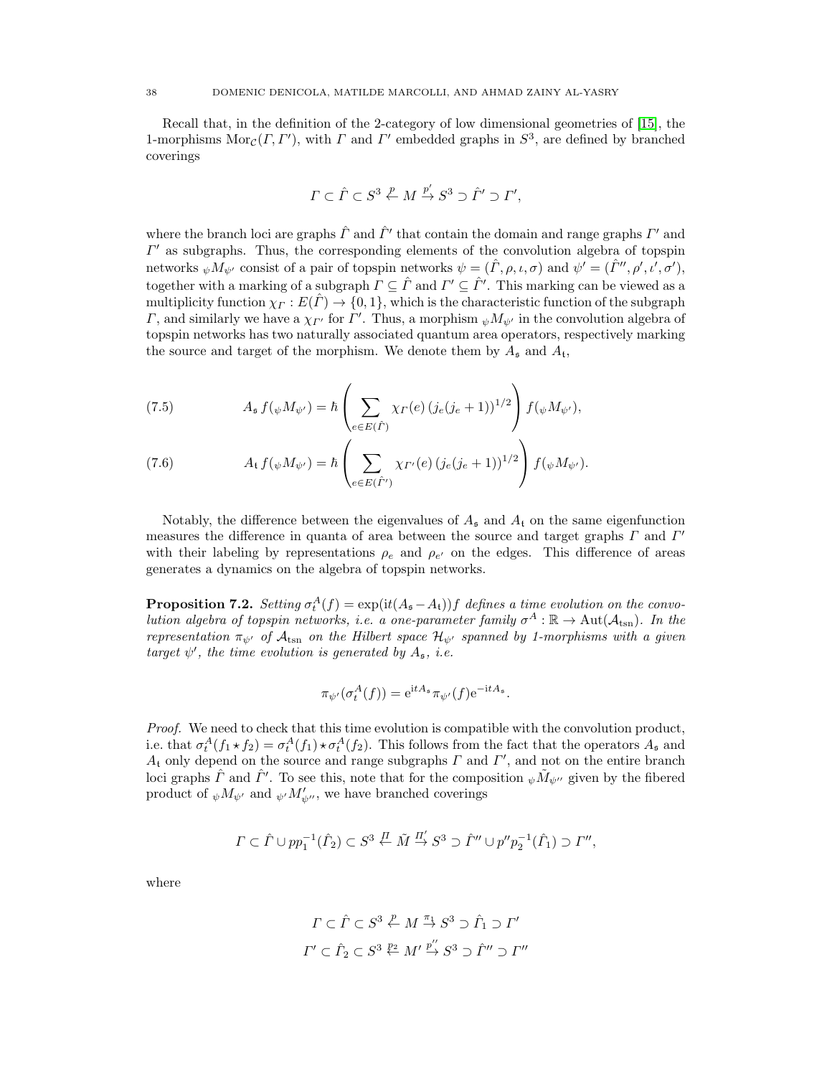Recall that, in the definition of the 2-category of low dimensional geometries of [\[15\]](#page-47-15), the 1-morphisms  $\text{Mor}_{\mathcal{C}}(\Gamma,\Gamma')$ , with  $\Gamma$  and  $\Gamma'$  embedded graphs in  $S^3$ , are defined by branched coverings

$$
\varGamma\subset\hat{\varGamma}\subset S^3\stackrel{p}{\leftarrow}M\stackrel{p'}{\rightarrow}S^3\supset\hat{\varGamma}'\supset\varGamma',
$$

where the branch loci are graphs  $\hat{\Gamma}$  and  $\hat{\Gamma}'$  that contain the domain and range graphs  $\Gamma'$  and  $\Gamma'$  as subgraphs. Thus, the corresponding elements of the convolution algebra of topspin networks  $_{\psi}M_{\psi'}$  consist of a pair of topspin networks  $\psi = (\hat{\Gamma}, \rho, \iota, \sigma)$  and  $\psi' = (\hat{\Gamma}'', \rho', \iota', \sigma'),$ together with a marking of a subgraph  $\Gamma \subseteq \hat{\Gamma}$  and  $\Gamma' \subseteq \hat{\Gamma}'$ . This marking can be viewed as a multiplicity function  $\chi_{\Gamma}: E(\hat{\Gamma}) \to \{0,1\}$ , which is the characteristic function of the subgraph Γ, and similarly we have a  $\chi_{\Gamma'}$  for Γ'. Thus, a morphism  $\psi M_{\psi'}$  in the convolution algebra of topspin networks has two naturally associated quantum area operators, respectively marking the source and target of the morphism. We denote them by  $A_{\mathfrak{s}}$  and  $A_{\mathfrak{t}},$ 

(7.5) 
$$
A_{\mathfrak{s}} f(\psi M_{\psi'}) = \hbar \left( \sum_{e \in E(\hat{\Gamma})} \chi_{\Gamma}(e) \left( j_e (j_e + 1) \right)^{1/2} \right) f(\psi M_{\psi'}),
$$

(7.6) 
$$
A_{\mathfrak{t}} f(\psi M_{\psi'}) = \hbar \left( \sum_{e \in E(\hat{\Gamma'})} \chi_{\Gamma'}(e) \left( j_e(j_e+1) \right)^{1/2} \right) f(\psi M_{\psi'}).
$$

Notably, the difference between the eigenvalues of  $A_{\mathfrak{s}}$  and  $A_{\mathfrak{t}}$  on the same eigenfunction measures the difference in quanta of area between the source and target graphs  $\Gamma$  and  $\Gamma'$ with their labeling by representations  $\rho_e$  and  $\rho_{e'}$  on the edges. This difference of areas generates a dynamics on the algebra of topspin networks.

<span id="page-37-0"></span>**Proposition 7.2.** Setting  $\sigma_t^A(f) = \exp(it(A_{\mathfrak{s}}-A_{\mathfrak{t}}))f$  defines a time evolution on the convolution algebra of topspin networks, i.e. a one-parameter family  $\sigma^A : \mathbb{R} \to \text{Aut}(\mathcal{A}_{\text{tsn}})$ . In the representation  $\pi_{\psi}$  of  $\mathcal{A}_{\text{tsn}}$  on the Hilbert space  $\mathcal{H}_{\psi}$  spanned by 1-morphisms with a given target  $\psi'$ , the time evolution is generated by  $A_{\mathfrak{s}}$ , i.e.

$$
\pi_{\psi'}(\sigma_t^A(f)) = e^{\mathrm{i}tA_{\mathfrak{s}}}\pi_{\psi'}(f)e^{-\mathrm{i}tA_{\mathfrak{s}}}.
$$

Proof. We need to check that this time evolution is compatible with the convolution product, i.e. that  $\sigma_t^A(f_1 \star f_2) = \sigma_t^A(f_1) \star \sigma_t^A(f_2)$ . This follows from the fact that the operators  $A_s$  and  $A_t$  only depend on the source and range subgraphs  $\Gamma$  and  $\Gamma'$ , and not on the entire branch loci graphs  $\hat{\Gamma}$  and  $\hat{\Gamma}'$ . To see this, note that for the composition  $_{\psi}\tilde{M}_{\psi''}$  given by the fibered product of  $_{\psi}M_{\psi'}$  and  $_{\psi'}M_{\psi''}$ , we have branched coverings

$$
\Gamma \subset \hat{\Gamma} \cup pp_1^{-1}(\hat{\Gamma}_2) \subset S^3 \stackrel{\prod}{\leftarrow} \tilde{M} \stackrel{\Pi'}{\rightarrow} S^3 \supset \hat{\Gamma}'' \cup p''p_2^{-1}(\hat{\Gamma}_1) \supset \Gamma'',
$$

where

$$
\Gamma \subset \hat{\Gamma} \subset S^3 \stackrel{p}{\leftarrow} M \stackrel{\pi_1}{\rightarrow} S^3 \supset \hat{\Gamma}_1 \supset \Gamma'
$$
  

$$
\Gamma' \subset \hat{\Gamma}_2 \subset S^3 \stackrel{p_2}{\leftarrow} M' \stackrel{p''}{\rightarrow} S^3 \supset \hat{\Gamma}'' \supset \Gamma''
$$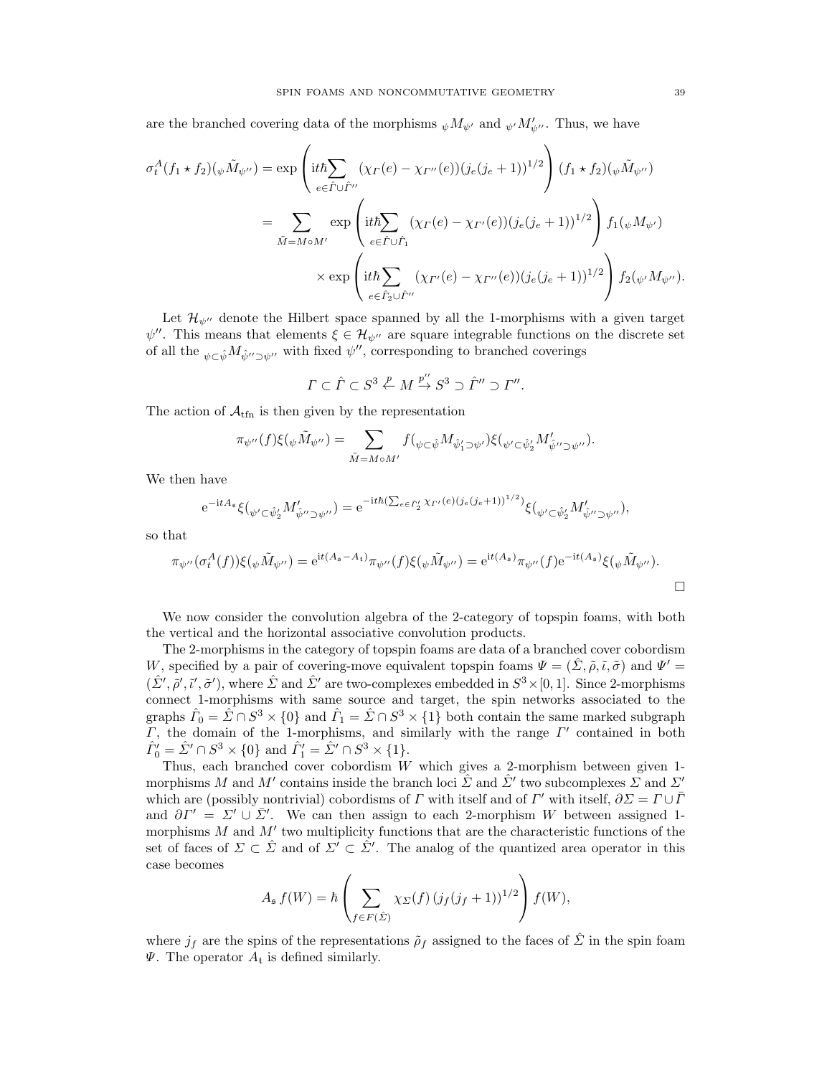are the branched covering data of the morphisms  $_{\psi}M_{\psi'}$  and  $_{\psi'}M_{\psi''}$ . Thus, we have

$$
\sigma_t^A(f_1 \star f_2)(\psi \tilde{M}_{\psi''}) = \exp\left(\mathrm{i}t\hbar \sum_{e \in \hat{\Gamma} \cup \hat{\Gamma}''} (\chi_{\Gamma}(e) - \chi_{\Gamma''}(e))(j_e(j_e+1))^{1/2}\right) (f_1 \star f_2)(\psi \tilde{M}_{\psi''})
$$
  

$$
= \sum_{\tilde{M} = M \circ M'} \exp\left(\mathrm{i}t\hbar \sum_{e \in \hat{\Gamma} \cup \hat{\Gamma}_1} (\chi_{\Gamma}(e) - \chi_{\Gamma'}(e))(j_e(j_e+1))^{1/2}\right) f_1(\psi M_{\psi'})
$$
  

$$
\times \exp\left(\mathrm{i}t\hbar \sum_{e \in \hat{\Gamma}_2 \cup \hat{\Gamma}''} (\chi_{\Gamma'}(e) - \chi_{\Gamma''}(e))(j_e(j_e+1))^{1/2}\right) f_2(\psi M_{\psi''}).
$$

Let  $\mathcal{H}_{\psi^{\prime\prime}}$  denote the Hilbert space spanned by all the 1-morphisms with a given target  $\psi''$ . This means that elements  $\xi \in \mathcal{H}_{\psi''}$  are square integrable functions on the discrete set of all the  $\psi \in \hat{\psi} M_{\hat{\psi}'' \supset \psi''}$  with fixed  $\psi''$ , corresponding to branched coverings

$$
\Gamma \subset \hat{\Gamma} \subset S^3 \stackrel{p}{\leftarrow} M \stackrel{p''}{\rightarrow} S^3 \supset \hat{\Gamma}'' \supset \Gamma''.
$$

The action of  $A_{\text{tfn}}$  is then given by the representation

$$
\pi_{\psi''}(f)\xi(_\psi \tilde{M}_{\psi''})=\sum_{\tilde{M}=M\circ M'}f(_{\psi\subset \hat{\psi}}M_{\hat{\psi}'_1\supset \psi'})\xi(_{\psi'\subset \hat{\psi}'_2}M'_{\hat{\psi''}\supset \psi''}).
$$

We then have

$$
e^{-itA_s}\xi(\psi' \subset \hat{\psi}'_2 M'_{\hat{\psi}'' \supset \psi''}) = e^{-it\hbar(\sum_{e \in \hat{\Gamma}'_2} \chi_{\Gamma'}(e)(j_e(j_e+1)))^{1/2})} \xi(\psi' \subset \hat{\psi}'_2 M'_{\hat{\psi}'' \supset \psi''}),
$$

so that

$$
\pi_{\psi''}(\sigma_t^A(f))\xi(\psi\tilde{M}_{\psi''}) = e^{it(A_s - A_t)}\pi_{\psi''}(f)\xi(\psi\tilde{M}_{\psi''}) = e^{it(A_s)}\pi_{\psi''}(f)e^{-it(A_s)}\xi(\psi\tilde{M}_{\psi''}).
$$

We now consider the convolution algebra of the 2-category of topspin foams, with both the vertical and the horizontal associative convolution products.

The 2-morphisms in the category of topspin foams are data of a branched cover cobordism W, specified by a pair of covering-move equivalent topspin foams  $\Psi = (\hat{\Sigma}, \tilde{\rho}, \tilde{\iota}, \tilde{\sigma})$  and  $\Psi' = \tilde{\iota}$  $(\hat{\Sigma}', \tilde{\rho}', \tilde{\iota}', \tilde{\sigma}')$ , where  $\hat{\Sigma}$  and  $\hat{\Sigma}'$  are two-complexes embedded in  $S^3 \times [0, 1]$ . Since 2-morphisms connect 1-morphisms with same source and target, the spin networks associated to the graphs  $\hat{\Gamma}_0 = \hat{\Sigma} \cap S^3 \times \{0\}$  and  $\hat{\Gamma}_1 = \hat{\Sigma} \cap S^3 \times \{1\}$  both contain the same marked subgraph  $\Gamma$ , the domain of the 1-morphisms, and similarly with the range  $\Gamma'$  contained in both  $\hat{\Gamma}'_0 = \hat{\Sigma}' \cap S^3 \times \{0\}$  and  $\hat{\Gamma}'_1 = \hat{\Sigma}' \cap S^3 \times \{1\}.$ 

Thus, each branched cover cobordism  $W$  which gives a 2-morphism between given 1morphisms M and M' contains inside the branch loci  $\hat{\Sigma}$  and  $\hat{\Sigma}'$  two subcomplexes  $\Sigma$  and  $\Sigma'$ which are (possibly nontrivial) cobordisms of  $\Gamma$  with itself and of  $\Gamma'$  with itself,  $\partial \Sigma = \Gamma \cup \overline{\Gamma}$ and  $\partial \Gamma' = \Sigma' \cup \overline{\Sigma}'$ . We can then assign to each 2-morphism W between assigned 1morphisms  $M$  and  $M'$  two multiplicity functions that are the characteristic functions of the set of faces of  $\Sigma \subset \hat{\Sigma}$  and of  $\Sigma' \subset \hat{\Sigma}'$ . The analog of the quantized area operator in this case becomes

$$
A_{\mathfrak{s}} f(W) = \hbar \left( \sum_{f \in F(\hat{\Sigma})} \chi_{\Sigma}(f) \left( j_f(j_f + 1) \right)^{1/2} \right) f(W),
$$

where  $j_f$  are the spins of the representations  $\tilde{\rho}_f$  assigned to the faces of  $\hat{\Sigma}$  in the spin foam  $\Psi$ . The operator  $A_t$  is defined similarly.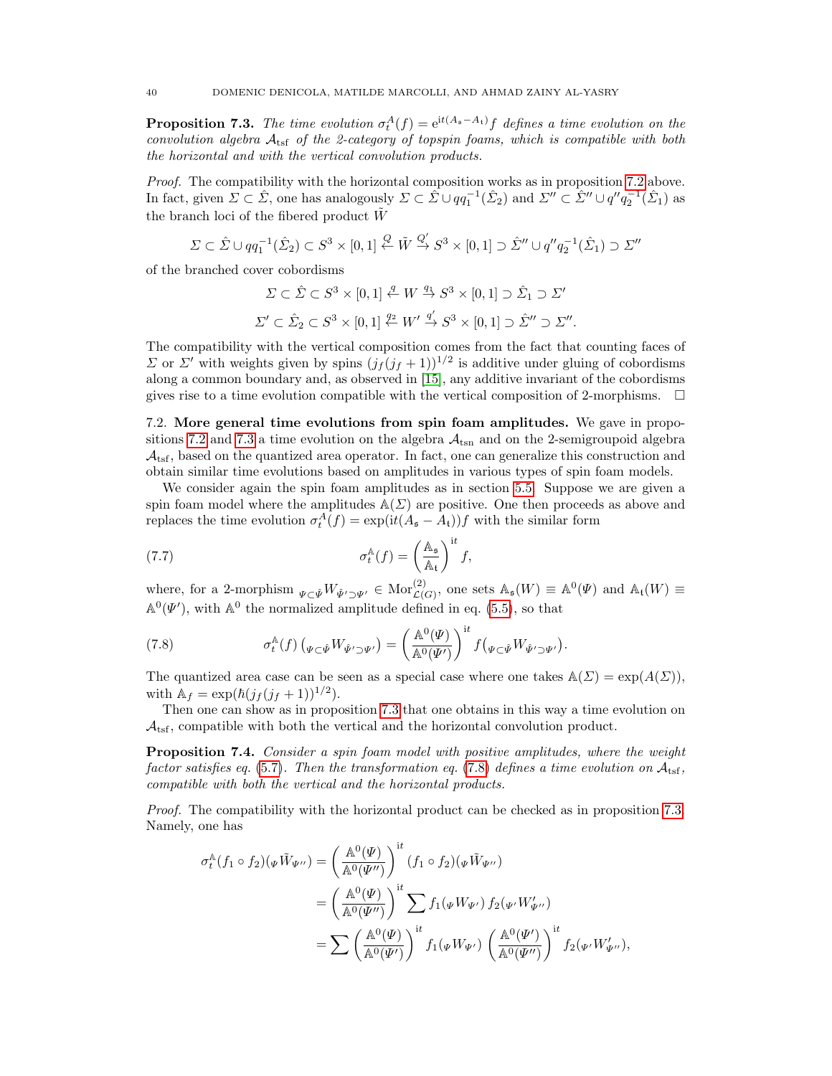<span id="page-39-1"></span>**Proposition 7.3.** The time evolution  $\sigma_t^A(f) = e^{it(A_s - A_t)}f$  defines a time evolution on the convolution algebra  $A_{\text{tsf}}$  of the 2-category of topspin foams, which is compatible with both the horizontal and with the vertical convolution products.

Proof. The compatibility with the horizontal composition works as in proposition [7.2](#page-37-0) above. In fact, given  $\Sigma \subset \hat{\Sigma}$ , one has analogously  $\Sigma \subset \hat{\Sigma} \cup qq_1^{-1}(\hat{\Sigma}_2)$  and  $\Sigma'' \subset \hat{\Sigma}'' \cup q''q_2^{-1}(\hat{\Sigma}_1)$  as the branch loci of the fibered product  $\tilde{W}$ 

$$
\Sigma \subset \hat{\Sigma} \cup qq_1^{-1}(\hat{\Sigma}_2) \subset S^3 \times [0,1] \stackrel{Q}{\leftarrow} \tilde{W} \stackrel{Q'}{\rightarrow} S^3 \times [0,1] \supset \hat{\Sigma}'' \cup q''q_2^{-1}(\hat{\Sigma}_1) \supset \Sigma''
$$

of the branched cover cobordisms

$$
\Sigma \subset \hat{\Sigma} \subset S^3 \times [0,1] \stackrel{q}{\leftarrow} W \stackrel{q_1}{\rightarrow} S^3 \times [0,1] \supset \hat{\Sigma}_1 \supset \Sigma'
$$
  

$$
\Sigma' \subset \hat{\Sigma}_2 \subset S^3 \times [0,1] \stackrel{q_2}{\leftarrow} W' \stackrel{q'}{\rightarrow} S^3 \times [0,1] \supset \hat{\Sigma}'' \supset \Sigma''.
$$

The compatibility with the vertical composition comes from the fact that counting faces of  $Σ$  or  $Σ'$  with weights given by spins  $(j_f (j_f + 1))^{1/2}$  is additive under gluing of cobordisms along a common boundary and, as observed in [\[15\]](#page-47-15), any additive invariant of the cobordisms gives rise to a time evolution compatible with the vertical composition of 2-morphisms.  $\Box$ 

<span id="page-39-0"></span>7.2. More general time evolutions from spin foam amplitudes. We gave in propo-sitions [7.2](#page-37-0) and [7.3](#page-39-1) a time evolution on the algebra  $A_{\text{tsn}}$  and on the 2-semigroupoid algebra  $\mathcal{A}_{\text{tsf}}$ , based on the quantized area operator. In fact, one can generalize this construction and obtain similar time evolutions based on amplitudes in various types of spin foam models.

We consider again the spin foam amplitudes as in section [5.5.](#page-25-1) Suppose we are given a spin foam model where the amplitudes  $\mathbb{A}(\Sigma)$  are positive. One then proceeds as above and replaces the time evolution  $\sigma_t^A(f) = \exp(it(A_{\mathfrak{s}} - A_t))f$  with the similar form

(7.7) 
$$
\sigma_t^{\mathbb{A}}(f) = \left(\frac{\mathbb{A}_{\mathfrak{s}}}{\mathbb{A}_{\mathfrak{t}}}\right)^{\mathrm{i}t} f,
$$

where, for a 2-morphism  $\psi \subset \hat{\psi} W_{\hat{\Psi}' \supset \Psi'} \in \text{Mor}^{(2)}_{\mathcal{L}(G)}$ , one sets  $\mathbb{A}_{\mathfrak{s}}(W) \equiv \mathbb{A}^0(\Psi)$  and  $\mathbb{A}_{\mathfrak{t}}(W) \equiv$  $\mathbb{A}^0(\Psi')$ , with  $\mathbb{A}^0$  the normalized amplitude defined in eq. [\(5.5\)](#page-26-2), so that

<span id="page-39-2"></span>(7.8) 
$$
\sigma_t^{\mathbb{A}}(f) \left( \Psi(\psi \psi) - \Phi(\psi) \right) = \left( \frac{\mathbb{A}^0(\Psi)}{\mathbb{A}^0(\Psi')} \right)^{\mathrm{i}t} f \left( \Psi(\psi \psi) - \Phi(\psi) \right).
$$

The quantized area case can be seen as a special case where one takes  $\mathbb{A}(\Sigma) = \exp(A(\Sigma))$ , with  $A_f = \exp(\hbar(j_f(j_f+1))^{1/2}).$ 

Then one can show as in proposition [7.3](#page-39-1) that one obtains in this way a time evolution on  $\mathcal{A}_{\text{tsf}}$ , compatible with both the vertical and the horizontal convolution product.

**Proposition 7.4.** Consider a spin foam model with positive amplitudes, where the weight factor satisfies eq. [\(5.7\)](#page-26-1). Then the transformation eq. [\(7.8\)](#page-39-2) defines a time evolution on  $A_{\text{tsf}}$ , compatible with both the vertical and the horizontal products.

Proof. The compatibility with the horizontal product can be checked as in proposition [7.3.](#page-39-1) Namely, one has

$$
\sigma_t^{\mathbb{A}}(f_1 \circ f_2)(\Psi \tilde{W}_{\Psi''}) = \left(\frac{\mathbb{A}^0(\Psi)}{\mathbb{A}^0(\Psi'')} \right)^{\mathrm{i}t} (f_1 \circ f_2)(\Psi \tilde{W}_{\Psi''})
$$
  
\n
$$
= \left(\frac{\mathbb{A}^0(\Psi)}{\mathbb{A}^0(\Psi'')} \right)^{\mathrm{i}t} \sum f_1(\Psi W_{\Psi'}) f_2(\Psi' W_{\Psi''}')
$$
  
\n
$$
= \sum \left(\frac{\mathbb{A}^0(\Psi)}{\mathbb{A}^0(\Psi')} \right)^{\mathrm{i}t} f_1(\Psi W_{\Psi'}) \left(\frac{\mathbb{A}^0(\Psi')}{\mathbb{A}^0(\Psi'')}\right)^{\mathrm{i}t} f_2(\Psi' W_{\Psi''}'),
$$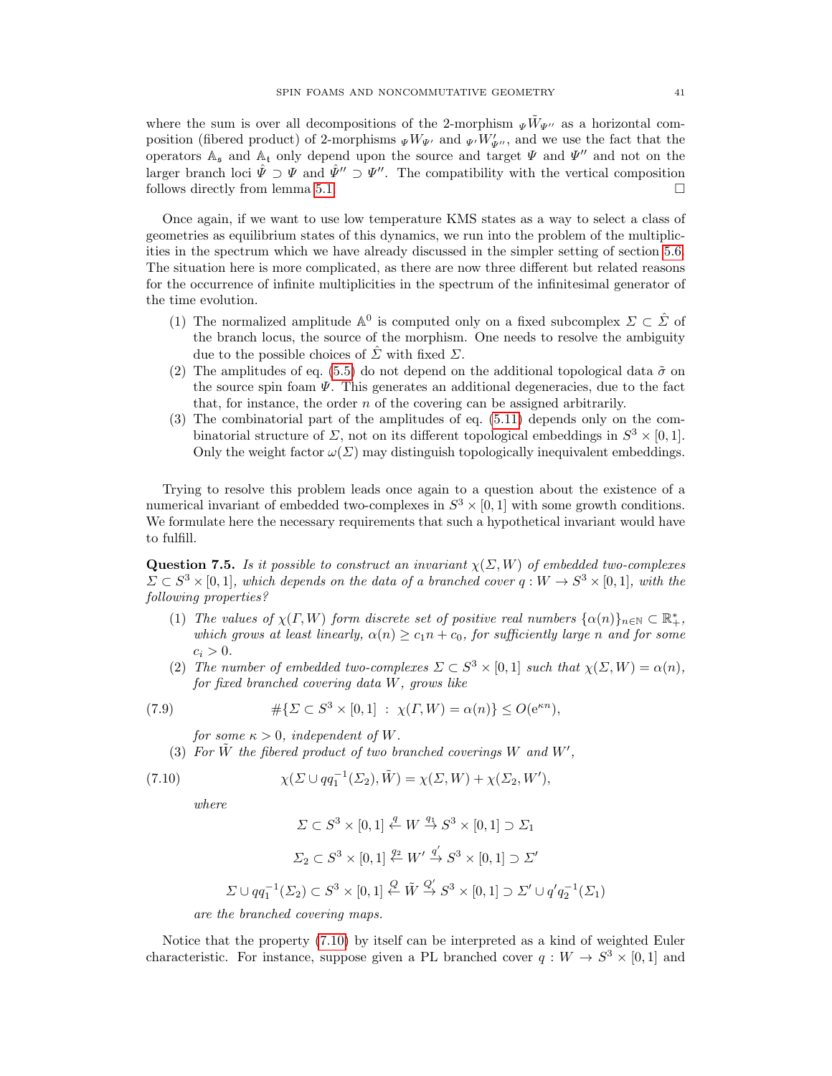where the sum is over all decompositions of the 2-morphism  $\psi \tilde{W}_{\Psi}$  as a horizontal composition (fibered product) of 2-morphisms  $_{\Psi}W_{\Psi'}$  and  $_{\Psi'}W'_{\Psi''}$ , and we use the fact that the operators  $A_{\mathfrak{s}}$  and  $A_{\mathfrak{t}}$  only depend upon the source and target  $\Psi$  and  $\Psi''$  and not on the larger branch loci  $\hat{\Psi} \supset \Psi$  and  $\hat{\Psi}'' \supset \Psi''$ . The compatibility with the vertical composition follows directly from lemma [5.1.](#page-27-1)

Once again, if we want to use low temperature KMS states as a way to select a class of geometries as equilibrium states of this dynamics, we run into the problem of the multiplicities in the spectrum which we have already discussed in the simpler setting of section [5.6.](#page-28-0) The situation here is more complicated, as there are now three different but related reasons for the occurrence of infinite multiplicities in the spectrum of the infinitesimal generator of the time evolution.

- (1) The normalized amplitude  $\mathbb{A}^0$  is computed only on a fixed subcomplex  $\Sigma \subset \hat{\Sigma}$  of the branch locus, the source of the morphism. One needs to resolve the ambiguity due to the possible choices of  $\hat{\Sigma}$  with fixed  $\Sigma$ .
- (2) The amplitudes of eq. [\(5.5\)](#page-26-2) do not depend on the additional topological data  $\tilde{\sigma}$  on the source spin foam  $\Psi$ . This generates an additional degeneracies, due to the fact that, for instance, the order  $n$  of the covering can be assigned arbitrarily.
- (3) The combinatorial part of the amplitudes of eq. [\(5.11\)](#page-28-1) depends only on the combinatorial structure of  $\Sigma$ , not on its different topological embeddings in  $S^3 \times [0,1]$ . Only the weight factor  $\omega(\Sigma)$  may distinguish topologically inequivalent embeddings.

Trying to resolve this problem leads once again to a question about the existence of a numerical invariant of embedded two-complexes in  $S^3 \times [0,1]$  with some growth conditions. We formulate here the necessary requirements that such a hypothetical invariant would have to fulfill.

<span id="page-40-1"></span>**Question 7.5.** Is it possible to construct an invariant  $\chi(\Sigma, W)$  of embedded two-complexes  $\Sigma \subset S^3 \times [0,1]$ , which depends on the data of a branched cover  $q: W \to S^3 \times [0,1]$ , with the following properties?

- (1) The values of  $\chi(\Gamma, W)$  form discrete set of positive real numbers  $\{\alpha(n)\}_{n\in \mathbb{N}} \subset \mathbb{R}_+^*$ , which grows at least linearly,  $\alpha(n) \geq c_1 n + c_0$ , for sufficiently large n and for some  $c_i > 0$ .
- (2) The number of embedded two-complexes  $\Sigma \subset S^3 \times [0,1]$  such that  $\chi(\Sigma, W) = \alpha(n)$ , for fixed branched covering data W, grows like

(7.9) 
$$
\#\{\Sigma \subset S^3 \times [0,1] : \chi(\Gamma,W) = \alpha(n)\} \le O(e^{\kappa n}),
$$

for some  $\kappa > 0$ , independent of W.

(3) For  $\tilde{W}$  the fibered product of two branched coverings W and W',

(7.10) 
$$
\chi(\Sigma \cup qq_1^{-1}(\Sigma_2), \tilde{W}) = \chi(\Sigma, W) + \chi(\Sigma_2, W'),
$$

where

<span id="page-40-0"></span>
$$
\Sigma \subset S^3 \times [0,1] \stackrel{q}{\leftarrow} W \stackrel{q_1}{\rightarrow} S^3 \times [0,1] \supset \Sigma_1
$$
  

$$
\Sigma_2 \subset S^3 \times [0,1] \stackrel{q_2}{\leftarrow} W' \stackrel{q'}{\rightarrow} S^3 \times [0,1] \supset \Sigma'
$$
  

$$
\Sigma \cup qq_1^{-1}(\Sigma_2) \subset S^3 \times [0,1] \stackrel{Q}{\leftarrow} \tilde{W} \stackrel{Q'}{\rightarrow} S^3 \times [0,1] \supset \Sigma' \cup q'q_2^{-1}(\Sigma_1)
$$

are the branched covering maps.

Notice that the property [\(7.10\)](#page-40-0) by itself can be interpreted as a kind of weighted Euler characteristic. For instance, suppose given a PL branched cover  $q: W \to S^3 \times [0,1]$  and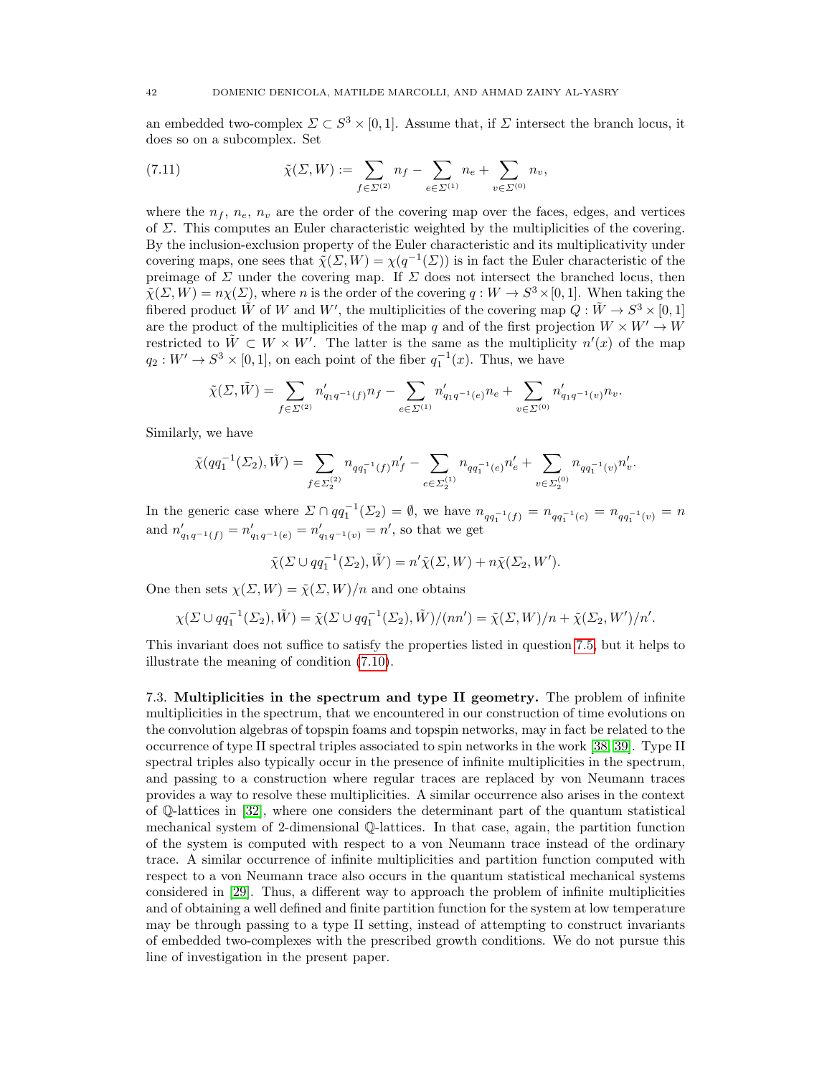an embedded two-complex  $\Sigma \subset S^3 \times [0,1]$ . Assume that, if  $\Sigma$  intersect the branch locus, it does so on a subcomplex. Set

(7.11) 
$$
\tilde{\chi}(\Sigma, W) := \sum_{f \in \Sigma^{(2)}} n_f - \sum_{e \in \Sigma^{(1)}} n_e + \sum_{v \in \Sigma^{(0)}} n_v,
$$

where the  $n_f$ ,  $n_e$ ,  $n_v$  are the order of the covering map over the faces, edges, and vertices of  $\Sigma$ . This computes an Euler characteristic weighted by the multiplicities of the covering. By the inclusion-exclusion property of the Euler characteristic and its multiplicativity under covering maps, one sees that  $\tilde{\chi}(\Sigma, W) = \chi(q^{-1}(\Sigma))$  is in fact the Euler characteristic of the preimage of  $\Sigma$  under the covering map. If  $\Sigma$  does not intersect the branched locus, then  $\tilde{\chi}(\Sigma, W) = n\chi(\Sigma)$ , where *n* is the order of the covering  $q: W \to S^3 \times [0, 1]$ . When taking the fibered product  $\tilde{W}$  of W and W', the multiplicities of the covering map  $Q: \tilde{W} \to S^3 \times [0,1]$ are the product of the multiplicities of the map q and of the first projection  $W \times W' \rightarrow W$ restricted to  $\tilde{W} \subset W \times W'$ . The latter is the same as the multiplicity  $n'(x)$  of the map  $q_2: W' \to S^3 \times [0,1],$  on each point of the fiber  $q_1^{-1}(x)$ . Thus, we have

$$
\tilde{\chi}(\Sigma, \tilde{W}) = \sum_{f \in \Sigma^{(2)}} n'_{q_1 q^{-1}(f)} n_f - \sum_{e \in \Sigma^{(1)}} n'_{q_1 q^{-1}(e)} n_e + \sum_{v \in \Sigma^{(0)}} n'_{q_1 q^{-1}(v)} n_v.
$$

Similarly, we have

$$
\tilde{\chi}(qq_1^{-1}(\varSigma_2), \tilde{W}) = \sum_{f \in \varSigma_2^{(2)}} n_{qq_1^{-1}(f)} n_f' - \sum_{e \in \varSigma_2^{(1)}} n_{qq_1^{-1}(e)} n_e' + \sum_{v \in \varSigma_2^{(0)}} n_{qq_1^{-1}(v)} n_v'.
$$

In the generic case where  $\Sigma \cap qq_1^{-1}(\Sigma_2) = \emptyset$ , we have  $n_{qq_1^{-1}(f)} = n_{qq_1^{-1}(e)} = n_{qq_1^{-1}(v)} = n$ and  $n'_{q_1q^{-1}(f)} = n'_{q_1q^{-1}(e)} = n'_{q_1q^{-1}(v)} = n'$ , so that we get

$$
\tilde{\chi}(\Sigma \cup qq_1^{-1}(\Sigma_2), \tilde{W}) = n'\tilde{\chi}(\Sigma, W) + n\tilde{\chi}(\Sigma_2, W').
$$

One then sets  $\chi(\Sigma, W) = \tilde{\chi}(\Sigma, W)/n$  and one obtains

$$
\chi(\Sigma \cup qq_1^{-1}(\Sigma_2), \tilde{W}) = \tilde{\chi}(\Sigma \cup qq_1^{-1}(\Sigma_2), \tilde{W})/(nn') = \tilde{\chi}(\Sigma, W)/n + \tilde{\chi}(\Sigma_2, W')/n'.
$$

This invariant does not suffice to satisfy the properties listed in question [7.5,](#page-40-1) but it helps to illustrate the meaning of condition [\(7.10\)](#page-40-0).

<span id="page-41-0"></span>7.3. Multiplicities in the spectrum and type II geometry. The problem of infinite multiplicities in the spectrum, that we encountered in our construction of time evolutions on the convolution algebras of topspin foams and topspin networks, may in fact be related to the occurrence of type II spectral triples associated to spin networks in the work [\[38,](#page-48-4) [39\]](#page-48-5). Type II spectral triples also typically occur in the presence of infinite multiplicities in the spectrum, and passing to a construction where regular traces are replaced by von Neumann traces provides a way to resolve these multiplicities. A similar occurrence also arises in the context of Q-lattices in [\[32\]](#page-47-32), where one considers the determinant part of the quantum statistical mechanical system of 2-dimensional Q-lattices. In that case, again, the partition function of the system is computed with respect to a von Neumann trace instead of the ordinary trace. A similar occurrence of infinite multiplicities and partition function computed with respect to a von Neumann trace also occurs in the quantum statistical mechanical systems considered in [\[29\]](#page-47-29). Thus, a different way to approach the problem of infinite multiplicities and of obtaining a well defined and finite partition function for the system at low temperature may be through passing to a type II setting, instead of attempting to construct invariants of embedded two-complexes with the prescribed growth conditions. We do not pursue this line of investigation in the present paper.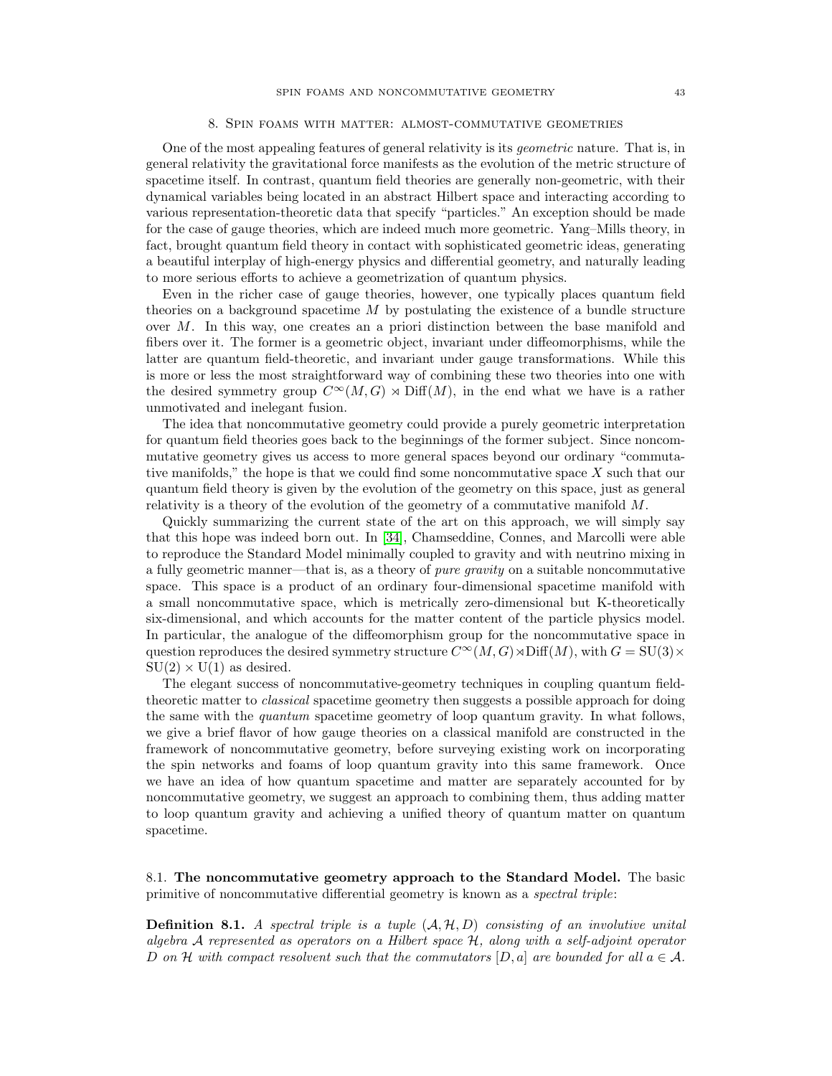### 8. Spin foams with matter: almost-commutative geometries

<span id="page-42-0"></span>One of the most appealing features of general relativity is its geometric nature. That is, in general relativity the gravitational force manifests as the evolution of the metric structure of spacetime itself. In contrast, quantum field theories are generally non-geometric, with their dynamical variables being located in an abstract Hilbert space and interacting according to various representation-theoretic data that specify "particles." An exception should be made for the case of gauge theories, which are indeed much more geometric. Yang–Mills theory, in fact, brought quantum field theory in contact with sophisticated geometric ideas, generating a beautiful interplay of high-energy physics and differential geometry, and naturally leading to more serious efforts to achieve a geometrization of quantum physics.

Even in the richer case of gauge theories, however, one typically places quantum field theories on a background spacetime  $M$  by postulating the existence of a bundle structure over M. In this way, one creates an a priori distinction between the base manifold and fibers over it. The former is a geometric object, invariant under diffeomorphisms, while the latter are quantum field-theoretic, and invariant under gauge transformations. While this is more or less the most straightforward way of combining these two theories into one with the desired symmetry group  $C^{\infty}(M, G) \rtimes \text{Diff}(M)$ , in the end what we have is a rather unmotivated and inelegant fusion.

The idea that noncommutative geometry could provide a purely geometric interpretation for quantum field theories goes back to the beginnings of the former subject. Since noncommutative geometry gives us access to more general spaces beyond our ordinary "commutative manifolds," the hope is that we could find some noncommutative space X such that our quantum field theory is given by the evolution of the geometry on this space, just as general relativity is a theory of the evolution of the geometry of a commutative manifold M.

Quickly summarizing the current state of the art on this approach, we will simply say that this hope was indeed born out. In [\[34\]](#page-48-0), Chamseddine, Connes, and Marcolli were able to reproduce the Standard Model minimally coupled to gravity and with neutrino mixing in a fully geometric manner—that is, as a theory of pure gravity on a suitable noncommutative space. This space is a product of an ordinary four-dimensional spacetime manifold with a small noncommutative space, which is metrically zero-dimensional but K-theoretically six-dimensional, and which accounts for the matter content of the particle physics model. In particular, the analogue of the diffeomorphism group for the noncommutative space in question reproduces the desired symmetry structure  $C^{\infty}(M, G) \rtimes \text{Diff}(M)$ , with  $G = \text{SU}(3) \times$  $SU(2) \times U(1)$  as desired.

The elegant success of noncommutative-geometry techniques in coupling quantum fieldtheoretic matter to *classical* spacetime geometry then suggests a possible approach for doing the same with the quantum spacetime geometry of loop quantum gravity. In what follows, we give a brief flavor of how gauge theories on a classical manifold are constructed in the framework of noncommutative geometry, before surveying existing work on incorporating the spin networks and foams of loop quantum gravity into this same framework. Once we have an idea of how quantum spacetime and matter are separately accounted for by noncommutative geometry, we suggest an approach to combining them, thus adding matter to loop quantum gravity and achieving a unified theory of quantum matter on quantum spacetime.

<span id="page-42-1"></span>8.1. The noncommutative geometry approach to the Standard Model. The basic primitive of noncommutative differential geometry is known as a spectral triple:

**Definition 8.1.** A spectral triple is a tuple  $(A, H, D)$  consisting of an involutive unital algebra A represented as operators on a Hilbert space H, along with a self-adjoint operator D on H with compact resolvent such that the commutators  $[D, a]$  are bounded for all  $a \in \mathcal{A}$ .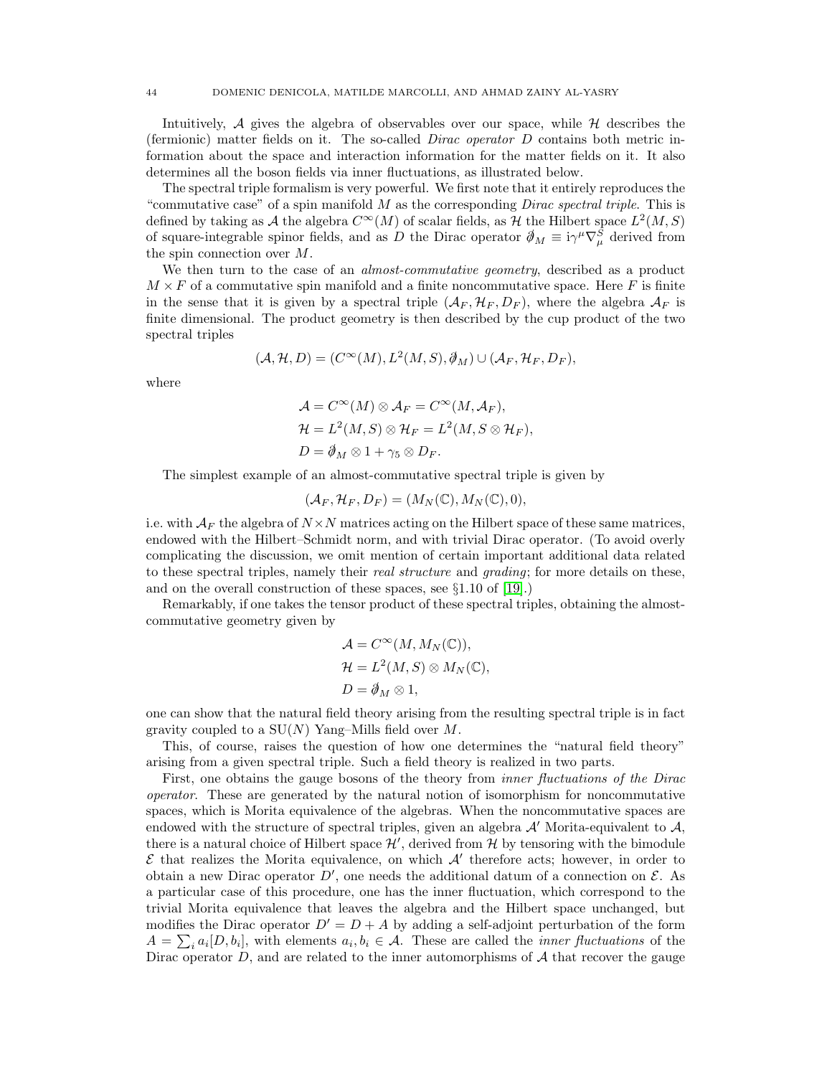Intuitively,  $\mathcal A$  gives the algebra of observables over our space, while  $\mathcal H$  describes the (fermionic) matter fields on it. The so-called Dirac operator D contains both metric information about the space and interaction information for the matter fields on it. It also determines all the boson fields via inner fluctuations, as illustrated below.

The spectral triple formalism is very powerful. We first note that it entirely reproduces the "commutative case" of a spin manifold  $M$  as the corresponding *Dirac spectral triple*. This is defined by taking as A the algebra  $C^{\infty}(M)$  of scalar fields, as H the Hilbert space  $L^2(M, S)$ of square-integrable spinor fields, and as D the Dirac operator  $\partial_M \equiv i\gamma^\mu \nabla_\mu^S$  derived from the spin connection over M.

We then turn to the case of an *almost-commutative geometry*, described as a product  $M \times F$  of a commutative spin manifold and a finite noncommutative space. Here F is finite in the sense that it is given by a spectral triple  $(A_F, H_F, D_F)$ , where the algebra  $A_F$  is finite dimensional. The product geometry is then described by the cup product of the two spectral triples

$$
(\mathcal{A}, \mathcal{H}, D) = (C^{\infty}(M), L^{2}(M, S), \mathcal{J}_{M}) \cup (\mathcal{A}_{F}, \mathcal{H}_{F}, D_{F}),
$$

where

$$
\mathcal{A} = C^{\infty}(M) \otimes \mathcal{A}_F = C^{\infty}(M, \mathcal{A}_F), \mathcal{H} = L^2(M, S) \otimes \mathcal{H}_F = L^2(M, S \otimes \mathcal{H}_F), D = \mathcal{A}_M \otimes 1 + \gamma_5 \otimes D_F.
$$

The simplest example of an almost-commutative spectral triple is given by

$$
(\mathcal{A}_F, \mathcal{H}_F, D_F) = (M_N(\mathbb{C}), M_N(\mathbb{C}), 0),
$$

i.e. with  $A_F$  the algebra of  $N \times N$  matrices acting on the Hilbert space of these same matrices, endowed with the Hilbert–Schmidt norm, and with trivial Dirac operator. (To avoid overly complicating the discussion, we omit mention of certain important additional data related to these spectral triples, namely their *real structure* and *grading*; for more details on these, and on the overall construction of these spaces, see §1.10 of [\[19\]](#page-47-19).)

Remarkably, if one takes the tensor product of these spectral triples, obtaining the almostcommutative geometry given by

$$
\mathcal{A} = C^{\infty}(M, M_N(\mathbb{C})),
$$
  
\n
$$
\mathcal{H} = L^2(M, S) \otimes M_N(\mathbb{C}),
$$
  
\n
$$
D = \mathcal{J}_M \otimes 1,
$$

one can show that the natural field theory arising from the resulting spectral triple is in fact gravity coupled to a  $SU(N)$  Yang–Mills field over M.

This, of course, raises the question of how one determines the "natural field theory" arising from a given spectral triple. Such a field theory is realized in two parts.

First, one obtains the gauge bosons of the theory from *inner fluctuations of the Dirac* operator. These are generated by the natural notion of isomorphism for noncommutative spaces, which is Morita equivalence of the algebras. When the noncommutative spaces are endowed with the structure of spectral triples, given an algebra  $\mathcal{A}'$  Morita-equivalent to  $\mathcal{A}$ , there is a natural choice of Hilbert space  $\mathcal{H}'$ , derived from  $\mathcal{H}$  by tensoring with the bimodule  $\mathcal E$  that realizes the Morita equivalence, on which  $\mathcal A'$  therefore acts; however, in order to obtain a new Dirac operator  $D'$ , one needs the additional datum of a connection on  $\mathcal{E}$ . As a particular case of this procedure, one has the inner fluctuation, which correspond to the trivial Morita equivalence that leaves the algebra and the Hilbert space unchanged, but modifies the Dirac operator  $D' = D + A$  by adding a self-adjoint perturbation of the form  $A = \sum_i a_i [D, b_i]$ , with elements  $a_i, b_i \in A$ . These are called the *inner fluctuations* of the Dirac operator  $D$ , and are related to the inner automorphisms of  $A$  that recover the gauge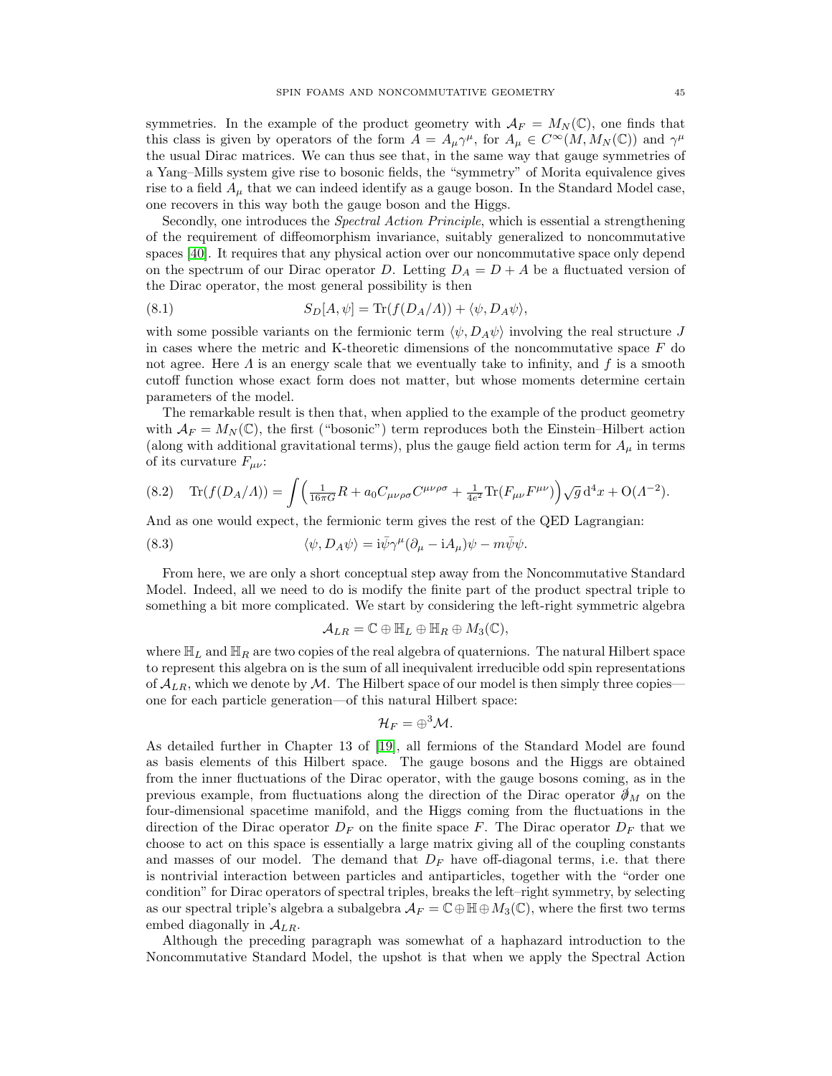symmetries. In the example of the product geometry with  $\mathcal{A}_F = M_N(\mathbb{C})$ , one finds that this class is given by operators of the form  $A = A_{\mu} \gamma^{\mu}$ , for  $A_{\mu} \in C^{\infty}(M, M_N(\mathbb{C}))$  and  $\gamma^{\mu}$ the usual Dirac matrices. We can thus see that, in the same way that gauge symmetries of a Yang–Mills system give rise to bosonic fields, the "symmetry" of Morita equivalence gives rise to a field  $A_\mu$  that we can indeed identify as a gauge boson. In the Standard Model case, one recovers in this way both the gauge boson and the Higgs.

Secondly, one introduces the *Spectral Action Principle*, which is essential a strengthening of the requirement of diffeomorphism invariance, suitably generalized to noncommutative spaces [\[40\]](#page-48-6). It requires that any physical action over our noncommutative space only depend on the spectrum of our Dirac operator D. Letting  $D_A = D + A$  be a fluctuated version of the Dirac operator, the most general possibility is then

(8.1) 
$$
S_D[A,\psi] = \text{Tr}(f(D_A/A)) + \langle \psi, D_A\psi \rangle,
$$

with some possible variants on the fermionic term  $\langle \psi, D_A \psi \rangle$  involving the real structure J in cases where the metric and K-theoretic dimensions of the noncommutative space  $F$  do not agree. Here  $\Lambda$  is an energy scale that we eventually take to infinity, and  $f$  is a smooth cutoff function whose exact form does not matter, but whose moments determine certain parameters of the model.

The remarkable result is then that, when applied to the example of the product geometry with  $\mathcal{A}_F = M_N(\mathbb{C})$ , the first ("bosonic") term reproduces both the Einstein–Hilbert action (along with additional gravitational terms), plus the gauge field action term for  $A_\mu$  in terms of its curvature  $F_{\mu\nu}$ :

<span id="page-44-0"></span>
$$
(8.2) \quad \text{Tr}(f(D_A/A)) = \int \left(\frac{1}{16\pi G}R + a_0 C_{\mu\nu\rho\sigma}C^{\mu\nu\rho\sigma} + \frac{1}{4e^2}\text{Tr}(F_{\mu\nu}F^{\mu\nu})\right)\sqrt{g}\,d^4x + O(A^{-2}).
$$

And as one would expect, the fermionic term gives the rest of the QED Lagrangian:

(8.3) 
$$
\langle \psi, D_A \psi \rangle = i \bar{\psi} \gamma^{\mu} (\partial_{\mu} - i A_{\mu}) \psi - m \bar{\psi} \psi.
$$

From here, we are only a short conceptual step away from the Noncommutative Standard Model. Indeed, all we need to do is modify the finite part of the product spectral triple to something a bit more complicated. We start by considering the left-right symmetric algebra

$$
\mathcal{A}_{LR}=\mathbb{C}\oplus\mathbb{H}_L\oplus\mathbb{H}_R\oplus M_3(\mathbb{C}),
$$

where  $\mathbb{H}_L$  and  $\mathbb{H}_R$  are two copies of the real algebra of quaternions. The natural Hilbert space to represent this algebra on is the sum of all inequivalent irreducible odd spin representations of  $\mathcal{A}_{LR}$ , which we denote by M. The Hilbert space of our model is then simply three copies one for each particle generation—of this natural Hilbert space:

$$
\mathcal{H}_F=\oplus^3\mathcal{M}.
$$

As detailed further in Chapter 13 of [\[19\]](#page-47-19), all fermions of the Standard Model are found as basis elements of this Hilbert space. The gauge bosons and the Higgs are obtained from the inner fluctuations of the Dirac operator, with the gauge bosons coming, as in the previous example, from fluctuations along the direction of the Dirac operator  $\mathcal{J}_M$  on the four-dimensional spacetime manifold, and the Higgs coming from the fluctuations in the direction of the Dirac operator  $D_F$  on the finite space F. The Dirac operator  $D_F$  that we choose to act on this space is essentially a large matrix giving all of the coupling constants and masses of our model. The demand that  $D_F$  have off-diagonal terms, i.e. that there is nontrivial interaction between particles and antiparticles, together with the "order one condition" for Dirac operators of spectral triples, breaks the left–right symmetry, by selecting as our spectral triple's algebra a subalgebra  $\mathcal{A}_F = \mathbb{C} \oplus \mathbb{H} \oplus M_3(\mathbb{C})$ , where the first two terms embed diagonally in  $A_{LR}$ .

Although the preceding paragraph was somewhat of a haphazard introduction to the Noncommutative Standard Model, the upshot is that when we apply the Spectral Action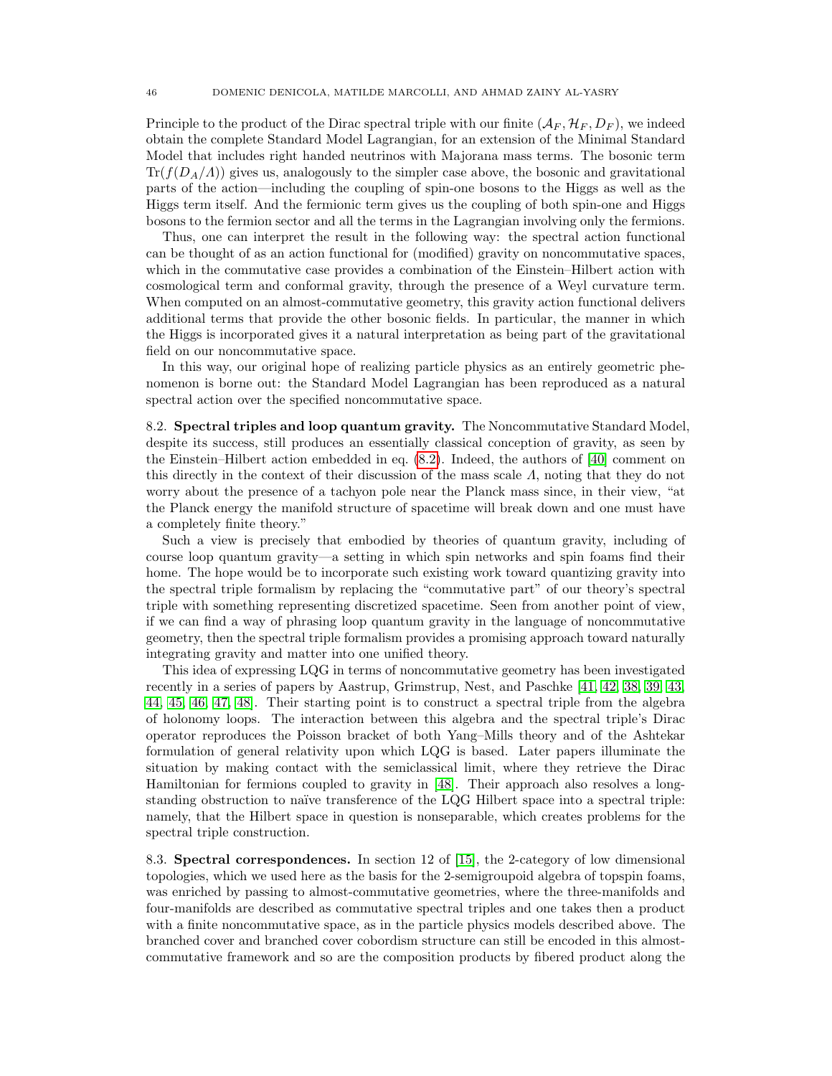Principle to the product of the Dirac spectral triple with our finite  $(A_F, \mathcal{H}_F, D_F)$ , we indeed obtain the complete Standard Model Lagrangian, for an extension of the Minimal Standard Model that includes right handed neutrinos with Majorana mass terms. The bosonic term  $Tr(f(D_A/A))$  gives us, analogously to the simpler case above, the bosonic and gravitational parts of the action—including the coupling of spin-one bosons to the Higgs as well as the Higgs term itself. And the fermionic term gives us the coupling of both spin-one and Higgs bosons to the fermion sector and all the terms in the Lagrangian involving only the fermions.

Thus, one can interpret the result in the following way: the spectral action functional can be thought of as an action functional for (modified) gravity on noncommutative spaces, which in the commutative case provides a combination of the Einstein–Hilbert action with cosmological term and conformal gravity, through the presence of a Weyl curvature term. When computed on an almost-commutative geometry, this gravity action functional delivers additional terms that provide the other bosonic fields. In particular, the manner in which the Higgs is incorporated gives it a natural interpretation as being part of the gravitational field on our noncommutative space.

In this way, our original hope of realizing particle physics as an entirely geometric phenomenon is borne out: the Standard Model Lagrangian has been reproduced as a natural spectral action over the specified noncommutative space.

<span id="page-45-0"></span>8.2. Spectral triples and loop quantum gravity. The Noncommutative Standard Model, despite its success, still produces an essentially classical conception of gravity, as seen by the Einstein–Hilbert action embedded in eq. [\(8.2\)](#page-44-0). Indeed, the authors of [\[40\]](#page-48-6) comment on this directly in the context of their discussion of the mass scale  $\Lambda$ , noting that they do not worry about the presence of a tachyon pole near the Planck mass since, in their view, "at the Planck energy the manifold structure of spacetime will break down and one must have a completely finite theory."

Such a view is precisely that embodied by theories of quantum gravity, including of course loop quantum gravity—a setting in which spin networks and spin foams find their home. The hope would be to incorporate such existing work toward quantizing gravity into the spectral triple formalism by replacing the "commutative part" of our theory's spectral triple with something representing discretized spacetime. Seen from another point of view, if we can find a way of phrasing loop quantum gravity in the language of noncommutative geometry, then the spectral triple formalism provides a promising approach toward naturally integrating gravity and matter into one unified theory.

This idea of expressing LQG in terms of noncommutative geometry has been investigated recently in a series of papers by Aastrup, Grimstrup, Nest, and Paschke [\[41,](#page-48-7) [42,](#page-48-8) [38,](#page-48-4) [39,](#page-48-5) [43,](#page-48-9) [44,](#page-48-10) [45,](#page-48-11) [46,](#page-48-12) [47,](#page-48-13) [48\]](#page-48-14). Their starting point is to construct a spectral triple from the algebra of holonomy loops. The interaction between this algebra and the spectral triple's Dirac operator reproduces the Poisson bracket of both Yang–Mills theory and of the Ashtekar formulation of general relativity upon which LQG is based. Later papers illuminate the situation by making contact with the semiclassical limit, where they retrieve the Dirac Hamiltonian for fermions coupled to gravity in [\[48\]](#page-48-14). Their approach also resolves a longstanding obstruction to naïve transference of the LQG Hilbert space into a spectral triple: namely, that the Hilbert space in question is nonseparable, which creates problems for the spectral triple construction.

<span id="page-45-1"></span>8.3. Spectral correspondences. In section 12 of [\[15\]](#page-47-15), the 2-category of low dimensional topologies, which we used here as the basis for the 2-semigroupoid algebra of topspin foams, was enriched by passing to almost-commutative geometries, where the three-manifolds and four-manifolds are described as commutative spectral triples and one takes then a product with a finite noncommutative space, as in the particle physics models described above. The branched cover and branched cover cobordism structure can still be encoded in this almostcommutative framework and so are the composition products by fibered product along the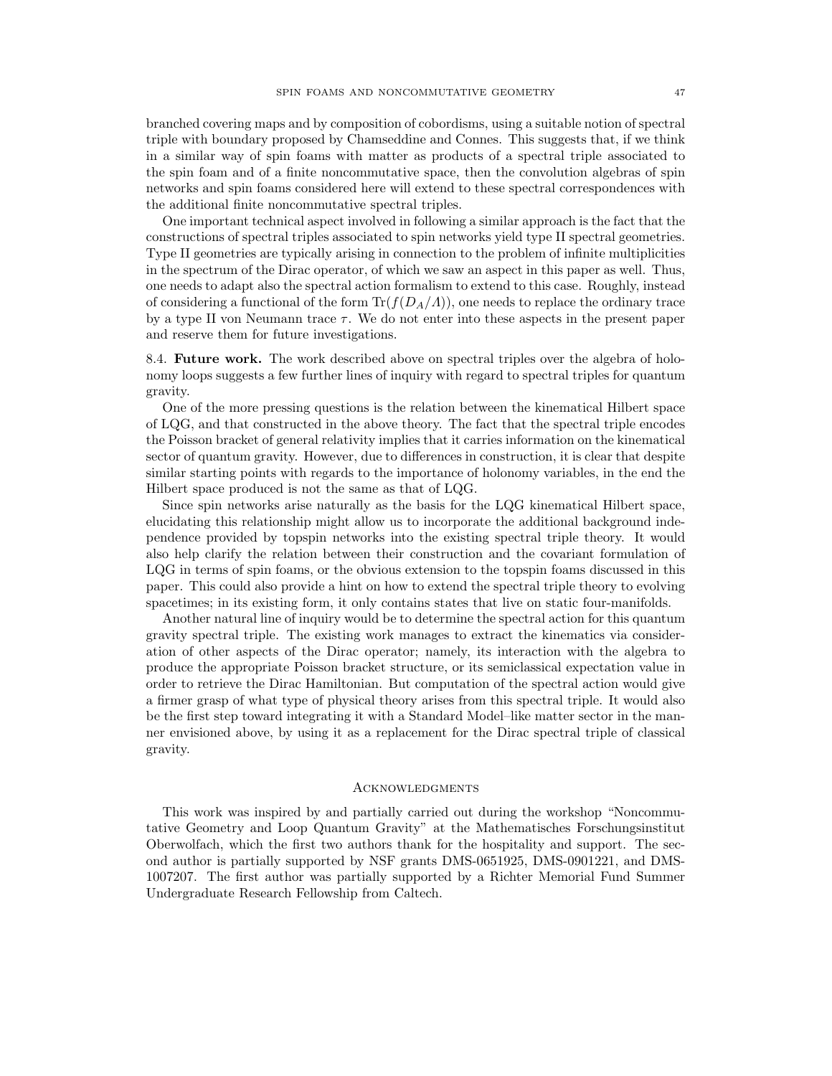branched covering maps and by composition of cobordisms, using a suitable notion of spectral triple with boundary proposed by Chamseddine and Connes. This suggests that, if we think in a similar way of spin foams with matter as products of a spectral triple associated to the spin foam and of a finite noncommutative space, then the convolution algebras of spin networks and spin foams considered here will extend to these spectral correspondences with the additional finite noncommutative spectral triples.

One important technical aspect involved in following a similar approach is the fact that the constructions of spectral triples associated to spin networks yield type II spectral geometries. Type II geometries are typically arising in connection to the problem of infinite multiplicities in the spectrum of the Dirac operator, of which we saw an aspect in this paper as well. Thus, one needs to adapt also the spectral action formalism to extend to this case. Roughly, instead of considering a functional of the form  $\text{Tr}(f(D_A/A))$ , one needs to replace the ordinary trace by a type II von Neumann trace  $\tau$ . We do not enter into these aspects in the present paper and reserve them for future investigations.

<span id="page-46-0"></span>8.4. Future work. The work described above on spectral triples over the algebra of holonomy loops suggests a few further lines of inquiry with regard to spectral triples for quantum gravity.

One of the more pressing questions is the relation between the kinematical Hilbert space of LQG, and that constructed in the above theory. The fact that the spectral triple encodes the Poisson bracket of general relativity implies that it carries information on the kinematical sector of quantum gravity. However, due to differences in construction, it is clear that despite similar starting points with regards to the importance of holonomy variables, in the end the Hilbert space produced is not the same as that of LQG.

Since spin networks arise naturally as the basis for the LQG kinematical Hilbert space, elucidating this relationship might allow us to incorporate the additional background independence provided by topspin networks into the existing spectral triple theory. It would also help clarify the relation between their construction and the covariant formulation of LQG in terms of spin foams, or the obvious extension to the topspin foams discussed in this paper. This could also provide a hint on how to extend the spectral triple theory to evolving spacetimes; in its existing form, it only contains states that live on static four-manifolds.

Another natural line of inquiry would be to determine the spectral action for this quantum gravity spectral triple. The existing work manages to extract the kinematics via consideration of other aspects of the Dirac operator; namely, its interaction with the algebra to produce the appropriate Poisson bracket structure, or its semiclassical expectation value in order to retrieve the Dirac Hamiltonian. But computation of the spectral action would give a firmer grasp of what type of physical theory arises from this spectral triple. It would also be the first step toward integrating it with a Standard Model–like matter sector in the manner envisioned above, by using it as a replacement for the Dirac spectral triple of classical gravity.

### <span id="page-46-1"></span>**ACKNOWLEDGMENTS**

This work was inspired by and partially carried out during the workshop "Noncommutative Geometry and Loop Quantum Gravity" at the Mathematisches Forschungsinstitut Oberwolfach, which the first two authors thank for the hospitality and support. The second author is partially supported by NSF grants DMS-0651925, DMS-0901221, and DMS-1007207. The first author was partially supported by a Richter Memorial Fund Summer Undergraduate Research Fellowship from Caltech.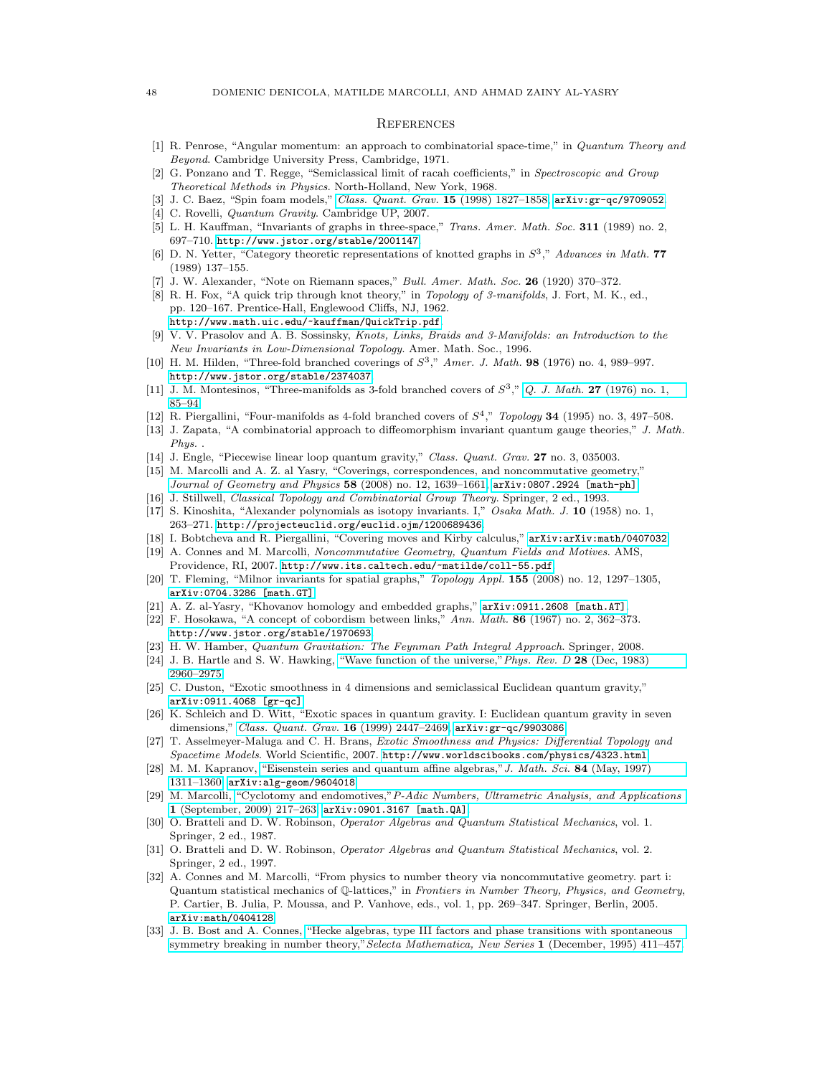#### <span id="page-47-0"></span>**REFERENCES**

- <span id="page-47-1"></span>[1] R. Penrose, "Angular momentum: an approach to combinatorial space-time," in Quantum Theory and Beyond. Cambridge University Press, Cambridge, 1971.
- <span id="page-47-2"></span>[2] G. Ponzano and T. Regge, "Semiclassical limit of racah coefficients," in Spectroscopic and Group Theoretical Methods in Physics. North-Holland, New York, 1968.
- <span id="page-47-3"></span>[3] J. C. Baez, "Spin foam models," [Class. Quant. Grav.](http://dx.doi.org/10.1088/0264-9381/15/7/004) 15 (1998) 1827–1858, [arXiv:gr-qc/9709052](http://arxiv.org/abs/gr-qc/9709052).
- <span id="page-47-4"></span>[4] C. Rovelli, Quantum Gravity. Cambridge UP, 2007.
- <span id="page-47-5"></span>[5] L. H. Kauffman, "Invariants of graphs in three-space," Trans. Amer. Math. Soc. 311 (1989) no. 2, 697–710. <http://www.jstor.org/stable/2001147>.
- <span id="page-47-6"></span>[6] D. N. Yetter, "Category theoretic representations of knotted graphs in  $S^3$ ," Advances in Math. 77 (1989) 137–155.
- <span id="page-47-7"></span>[7] J. W. Alexander, "Note on Riemann spaces," Bull. Amer. Math. Soc. 26 (1920) 370–372.
- <span id="page-47-8"></span>[8] R. H. Fox, "A quick trip through knot theory," in Topology of 3-manifolds, J. Fort, M. K., ed., pp. 120–167. Prentice-Hall, Englewood Cliffs, NJ, 1962. <http://www.math.uic.edu/~kauffman/QuickTrip.pdf>.
- <span id="page-47-9"></span>[9] V. V. Prasolov and A. B. Sossinsky, Knots, Links, Braids and 3-Manifolds: an Introduction to the New Invariants in Low-Dimensional Topology. Amer. Math. Soc., 1996.
- <span id="page-47-10"></span>[10] H. M. Hilden, "Three-fold branched coverings of  $S^3$ ," Amer. J. Math. 98 (1976) no. 4, 989–997. <http://www.jstor.org/stable/2374037>.
- <span id="page-47-11"></span>[11] J. M. Montesinos, "Three-manifolds as 3-fold branched covers of  $S^3$ ," Q. J. Math. 27 [\(1976\) no. 1,](http://dx.doi.org/10.1093/qmath/27.1.85) [85–94.](http://dx.doi.org/10.1093/qmath/27.1.85)
- <span id="page-47-12"></span>[12] R. Piergallini, "Four-manifolds as 4-fold branched covers of  $S<sup>4</sup>$ ," Topology 34 (1995) no. 3, 497–508.
- <span id="page-47-13"></span>[13] J. Zapata, "A combinatorial approach to diffeomorphism invariant quantum gauge theories," J. Math. Phys. .
- <span id="page-47-14"></span>[14] J. Engle, "Piecewise linear loop quantum gravity," Class. Quant. Grav. 27 no. 3, 035003.
- <span id="page-47-15"></span>[15] M. Marcolli and A. Z. al Yasry, "Coverings, correspondences, and noncommutative geometry," [Journal of Geometry and Physics](http://dx.doi.org/10.1016/j.geomphys.2008.07.007) 58 (2008) no. 12, 1639–1661, [arXiv:0807.2924 \[math-ph\]](http://arxiv.org/abs/0807.2924).
- <span id="page-47-16"></span>[16] J. Stillwell, Classical Topology and Combinatorial Group Theory. Springer, 2 ed., 1993.
- <span id="page-47-17"></span>[17] S. Kinoshita, "Alexander polynomials as isotopy invariants. I," Osaka Math. J. 10 (1958) no. 1, 263–271. <http://projecteuclid.org/euclid.ojm/1200689436>.
- <span id="page-47-18"></span>[18] I. Bobtcheva and R. Piergallini, "Covering moves and Kirby calculus," [arXiv:arXiv:math/0407032](http://arxiv.org/abs/arXiv:math/0407032).
- <span id="page-47-19"></span>[19] A. Connes and M. Marcolli, Noncommutative Geometry, Quantum Fields and Motives. AMS, Providence, RI, 2007. <http://www.its.caltech.edu/~matilde/coll-55.pdf>.
- <span id="page-47-20"></span>[20] T. Fleming, "Milnor invariants for spatial graphs," Topology Appl. 155 (2008) no. 12, 1297–1305, [arXiv:0704.3286 \[math.GT\]](http://arxiv.org/abs/0704.3286).
- <span id="page-47-21"></span>[21] A. Z. al-Yasry, "Khovanov homology and embedded graphs," [arXiv:0911.2608 \[math.AT\]](http://arxiv.org/abs/0911.2608).
- <span id="page-47-22"></span>[22] F. Hosokawa, "A concept of cobordism between links," Ann. Math. 86 (1967) no. 2, 362–373. <http://www.jstor.org/stable/1970693>.
- <span id="page-47-23"></span>[23] H. W. Hamber, Quantum Gravitation: The Feynman Path Integral Approach. Springer, 2008.
- <span id="page-47-24"></span>[24] J. B. Hartle and S. W. Hawking, ["Wave function of the universe,"](http://dx.doi.org/10.1103/PhysRevD.28.2960)Phys. Rev. D 28 (Dec, 1983) [2960–2975.](http://dx.doi.org/10.1103/PhysRevD.28.2960)
- <span id="page-47-25"></span>[25] C. Duston, "Exotic smoothness in 4 dimensions and semiclassical Euclidean quantum gravity," [arXiv:0911.4068 \[gr-qc\]](http://arxiv.org/abs/0911.4068).
- <span id="page-47-26"></span>[26] K. Schleich and D. Witt, "Exotic spaces in quantum gravity. I: Euclidean quantum gravity in seven dimensions," [Class. Quant. Grav.](http://dx.doi.org/10.1088/0264-9381/16/7/319) 16 (1999) 2447-2469, arXiv: gr-qc/9903086.
- <span id="page-47-27"></span>[27] T. Asselmeyer-Maluga and C. H. Brans, Exotic Smoothness and Physics: Differential Topology and Spacetime Models. World Scientific, 2007. <http://www.worldscibooks.com/physics/4323.html>.
- <span id="page-47-28"></span>[28] M. M. Kapranov, ["Eisenstein series and quantum affine algebras,"](http://dx.doi.org/10.1007/BF02399194)J. Math. Sci. 84 (May, 1997) [1311–1360,](http://dx.doi.org/10.1007/BF02399194) [arXiv:alg-geom/9604018](http://arxiv.org/abs/alg-geom/9604018).
- <span id="page-47-29"></span>[29] M. Marcolli, "Cyclotomy and endomotives,"[P-Adic Numbers, Ultrametric Analysis, and Applications](http://dx.doi.org/10.1134/S2070046609030042) 1 [\(September, 2009\) 217–263,](http://dx.doi.org/10.1134/S2070046609030042) [arXiv:0901.3167 \[math.QA\]](http://arxiv.org/abs/0901.3167).
- <span id="page-47-30"></span>[30] O. Bratteli and D. W. Robinson, Operator Algebras and Quantum Statistical Mechanics, vol. 1. Springer, 2 ed., 1987.
- <span id="page-47-31"></span>[31] O. Bratteli and D. W. Robinson, Operator Algebras and Quantum Statistical Mechanics, vol. 2. Springer, 2 ed., 1997.
- <span id="page-47-32"></span>[32] A. Connes and M. Marcolli, "From physics to number theory via noncommutative geometry. part i: Quantum statistical mechanics of Q-lattices," in Frontiers in Number Theory, Physics, and Geometry, P. Cartier, B. Julia, P. Moussa, and P. Vanhove, eds., vol. 1, pp. 269–347. Springer, Berlin, 2005. [arXiv:math/0404128](http://arxiv.org/abs/arXiv:math/0404128).
- <span id="page-47-33"></span>[33] J. B. Bost and A. Connes, ["Hecke algebras, type III factors and phase transitions with spontaneous](http://dx.doi.org/10.1007/BF01589495) [symmetry breaking in number theory,"](http://dx.doi.org/10.1007/BF01589495) Selecta Mathematica, New Series 1 (December, 1995) 411–457.